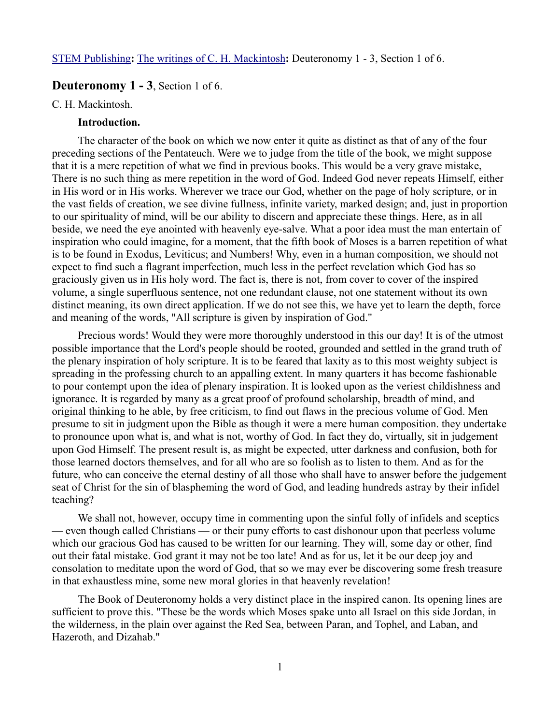# **Deuteronomy 1 - 3**, Section 1 of 6.

#### C. H. Mackintosh.

## **Introduction.**

The character of the book on which we now enter it quite as distinct as that of any of the four preceding sections of the Pentateuch. Were we to judge from the title of the book, we might suppose that it is a mere repetition of what we find in previous books. This would be a very grave mistake, There is no such thing as mere repetition in the word of God. Indeed God never repeats Himself, either in His word or in His works. Wherever we trace our God, whether on the page of holy scripture, or in the vast fields of creation, we see divine fullness, infinite variety, marked design; and, just in proportion to our spirituality of mind, will be our ability to discern and appreciate these things. Here, as in all beside, we need the eye anointed with heavenly eye-salve. What a poor idea must the man entertain of inspiration who could imagine, for a moment, that the fifth book of Moses is a barren repetition of what is to be found in Exodus, Leviticus; and Numbers! Why, even in a human composition, we should not expect to find such a flagrant imperfection, much less in the perfect revelation which God has so graciously given us in His holy word. The fact is, there is not, from cover to cover of the inspired volume, a single superfluous sentence, not one redundant clause, not one statement without its own distinct meaning, its own direct application. If we do not see this, we have yet to learn the depth, force and meaning of the words, "All scripture is given by inspiration of God."

Precious words! Would they were more thoroughly understood in this our day! It is of the utmost possible importance that the Lord's people should be rooted, grounded and settled in the grand truth of the plenary inspiration of holy scripture. It is to be feared that laxity as to this most weighty subject is spreading in the professing church to an appalling extent. In many quarters it has become fashionable to pour contempt upon the idea of plenary inspiration. It is looked upon as the veriest childishness and ignorance. It is regarded by many as a great proof of profound scholarship, breadth of mind, and original thinking to he able, by free criticism, to find out flaws in the precious volume of God. Men presume to sit in judgment upon the Bible as though it were a mere human composition. they undertake to pronounce upon what is, and what is not, worthy of God. In fact they do, virtually, sit in judgement upon God Himself. The present result is, as might be expected, utter darkness and confusion, both for those learned doctors themselves, and for all who are so foolish as to listen to them. And as for the future, who can conceive the eternal destiny of all those who shall have to answer before the judgement seat of Christ for the sin of blaspheming the word of God, and leading hundreds astray by their infidel teaching?

We shall not, however, occupy time in commenting upon the sinful folly of infidels and sceptics — even though called Christians — or their puny efforts to cast dishonour upon that peerless volume which our gracious God has caused to be written for our learning. They will, some day or other, find out their fatal mistake. God grant it may not be too late! And as for us, let it be our deep joy and consolation to meditate upon the word of God, that so we may ever be discovering some fresh treasure in that exhaustless mine, some new moral glories in that heavenly revelation!

The Book of Deuteronomy holds a very distinct place in the inspired canon. Its opening lines are sufficient to prove this. "These be the words which Moses spake unto all Israel on this side Jordan, in the wilderness, in the plain over against the Red Sea, between Paran, and Tophel, and Laban, and Hazeroth, and Dizahab."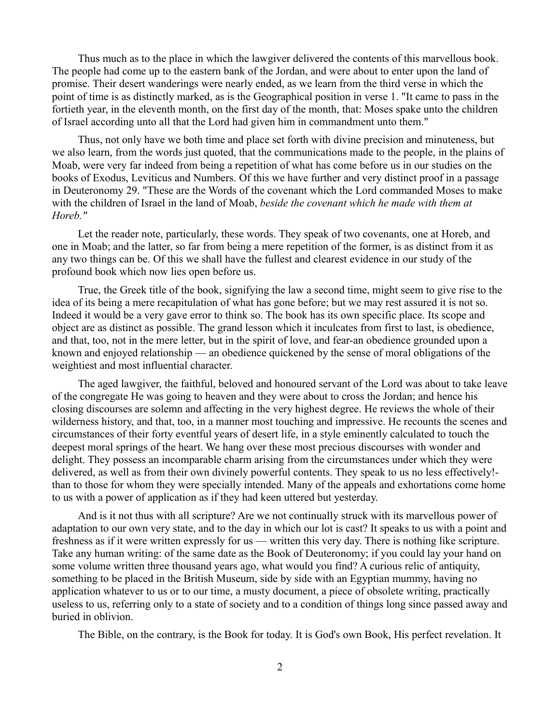Thus much as to the place in which the lawgiver delivered the contents of this marvellous book. The people had come up to the eastern bank of the Jordan, and were about to enter upon the land of promise. Their desert wanderings were nearly ended, as we learn from the third verse in which the point of time is as distinctly marked, as is the Geographical position in verse 1. "It came to pass in the fortieth year, in the eleventh month, on the first day of the month, that: Moses spake unto the children of Israel according unto all that the Lord had given him in commandment unto them."

Thus, not only have we both time and place set forth with divine precision and minuteness, but we also learn, from the words just quoted, that the communications made to the people, in the plains of Moab, were very far indeed from being a repetition of what has come before us in our studies on the books of Exodus, Leviticus and Numbers. Of this we have further and very distinct proof in a passage in Deuteronomy 29. "These are the Words of the covenant which the Lord commanded Moses to make with the children of Israel in the land of Moab, *beside the covenant which he made with them at Horeb."*

Let the reader note, particularly, these words. They speak of two covenants, one at Horeb, and one in Moab; and the latter, so far from being a mere repetition of the former, is as distinct from it as any two things can be. Of this we shall have the fullest and clearest evidence in our study of the profound book which now lies open before us.

True, the Greek title of the book, signifying the law a second time, might seem to give rise to the idea of its being a mere recapitulation of what has gone before; but we may rest assured it is not so. Indeed it would be a very gave error to think so. The book has its own specific place. Its scope and object are as distinct as possible. The grand lesson which it inculcates from first to last, is obedience, and that, too, not in the mere letter, but in the spirit of love, and fear-an obedience grounded upon a known and enjoyed relationship — an obedience quickened by the sense of moral obligations of the weightiest and most influential character.

The aged lawgiver, the faithful, beloved and honoured servant of the Lord was about to take leave of the congregate He was going to heaven and they were about to cross the Jordan; and hence his closing discourses are solemn and affecting in the very highest degree. He reviews the whole of their wilderness history, and that, too, in a manner most touching and impressive. He recounts the scenes and circumstances of their forty eventful years of desert life, in a style eminently calculated to touch the deepest moral springs of the heart. We hang over these most precious discourses with wonder and delight. They possess an incomparable charm arising from the circumstances under which they were delivered, as well as from their own divinely powerful contents. They speak to us no less effectively! than to those for whom they were specially intended. Many of the appeals and exhortations come home to us with a power of application as if they had keen uttered but yesterday.

And is it not thus with all scripture? Are we not continually struck with its marvellous power of adaptation to our own very state, and to the day in which our lot is cast? It speaks to us with a point and freshness as if it were written expressly for us — written this very day. There is nothing like scripture. Take any human writing: of the same date as the Book of Deuteronomy; if you could lay your hand on some volume written three thousand years ago, what would you find? A curious relic of antiquity, something to be placed in the British Museum, side by side with an Egyptian mummy, having no application whatever to us or to our time, a musty document, a piece of obsolete writing, practically useless to us, referring only to a state of society and to a condition of things long since passed away and buried in oblivion.

The Bible, on the contrary, is the Book for today. It is God's own Book, His perfect revelation. It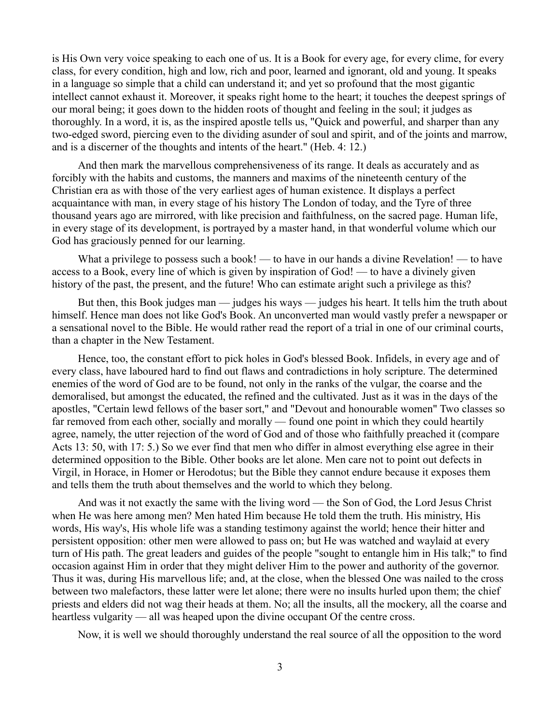is His Own very voice speaking to each one of us. It is a Book for every age, for every clime, for every class, for every condition, high and low, rich and poor, learned and ignorant, old and young. It speaks in a language so simple that a child can understand it; and yet so profound that the most gigantic intellect cannot exhaust it. Moreover, it speaks right home to the heart; it touches the deepest springs of our moral being; it goes down to the hidden roots of thought and feeling in the soul; it judges as thoroughly. In a word, it is, as the inspired apostle tells us, "Quick and powerful, and sharper than any two-edged sword, piercing even to the dividing asunder of soul and spirit, and of the joints and marrow, and is a discerner of the thoughts and intents of the heart." (Heb. 4: 12.)

And then mark the marvellous comprehensiveness of its range. It deals as accurately and as forcibly with the habits and customs, the manners and maxims of the nineteenth century of the Christian era as with those of the very earliest ages of human existence. It displays a perfect acquaintance with man, in every stage of his history The London of today, and the Tyre of three thousand years ago are mirrored, with like precision and faithfulness, on the sacred page. Human life, in every stage of its development, is portrayed by a master hand, in that wonderful volume which our God has graciously penned for our learning.

What a privilege to possess such a book! — to have in our hands a divine Revelation! — to have access to a Book, every line of which is given by inspiration of God! — to have a divinely given history of the past, the present, and the future! Who can estimate aright such a privilege as this?

But then, this Book judges man — judges his ways — judges his heart. It tells him the truth about himself. Hence man does not like God's Book. An unconverted man would vastly prefer a newspaper or a sensational novel to the Bible. He would rather read the report of a trial in one of our criminal courts, than a chapter in the New Testament.

Hence, too, the constant effort to pick holes in God's blessed Book. Infidels, in every age and of every class, have laboured hard to find out flaws and contradictions in holy scripture. The determined enemies of the word of God are to be found, not only in the ranks of the vulgar, the coarse and the demoralised, but amongst the educated, the refined and the cultivated. Just as it was in the days of the apostles, "Certain lewd fellows of the baser sort," and "Devout and honourable women" Two classes so far removed from each other, socially and morally — found one point in which they could heartily agree, namely, the utter rejection of the word of God and of those who faithfully preached it (compare Acts 13: 50, with 17: 5.) So we ever find that men who differ in almost everything else agree in their determined opposition to the Bible. Other books are let alone. Men care not to point out defects in Virgil, in Horace, in Homer or Herodotus; but the Bible they cannot endure because it exposes them and tells them the truth about themselves and the world to which they belong.

And was it not exactly the same with the living word — the Son of God, the Lord Jesus Christ when He was here among men? Men hated Him because He told them the truth. His ministry, His words, His way's, His whole life was a standing testimony against the world; hence their hitter and persistent opposition: other men were allowed to pass on; but He was watched and waylaid at every turn of His path. The great leaders and guides of the people "sought to entangle him in His talk;" to find occasion against Him in order that they might deliver Him to the power and authority of the governor. Thus it was, during His marvellous life; and, at the close, when the blessed One was nailed to the cross between two malefactors, these latter were let alone; there were no insults hurled upon them; the chief priests and elders did not wag their heads at them. No; all the insults, all the mockery, all the coarse and heartless vulgarity — all was heaped upon the divine occupant Of the centre cross.

Now, it is well we should thoroughly understand the real source of all the opposition to the word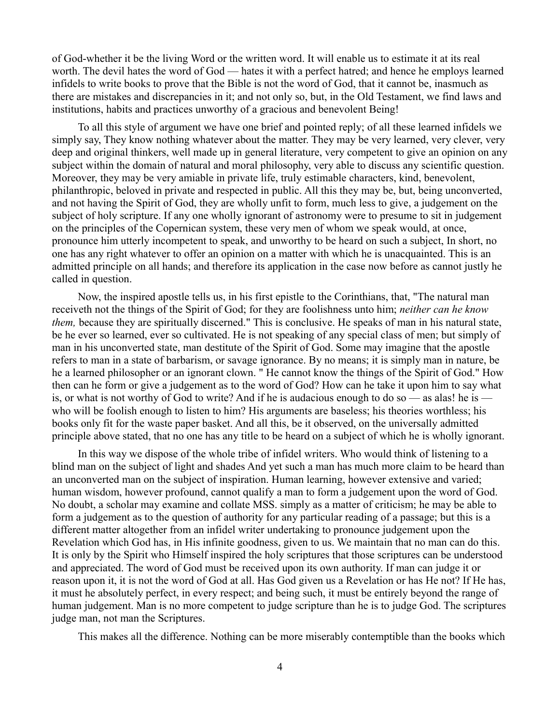of God-whether it be the living Word or the written word. It will enable us to estimate it at its real worth. The devil hates the word of God — hates it with a perfect hatred; and hence he employs learned infidels to write books to prove that the Bible is not the word of God, that it cannot be, inasmuch as there are mistakes and discrepancies in it; and not only so, but, in the Old Testament, we find laws and institutions, habits and practices unworthy of a gracious and benevolent Being!

To all this style of argument we have one brief and pointed reply; of all these learned infidels we simply say, They know nothing whatever about the matter. They may be very learned, very clever, very deep and original thinkers, well made up in general literature, very competent to give an opinion on any subject within the domain of natural and moral philosophy, very able to discuss any scientific question. Moreover, they may be very amiable in private life, truly estimable characters, kind, benevolent, philanthropic, beloved in private and respected in public. All this they may be, but, being unconverted, and not having the Spirit of God, they are wholly unfit to form, much less to give, a judgement on the subject of holy scripture. If any one wholly ignorant of astronomy were to presume to sit in judgement on the principles of the Copernican system, these very men of whom we speak would, at once, pronounce him utterly incompetent to speak, and unworthy to be heard on such a subject, In short, no one has any right whatever to offer an opinion on a matter with which he is unacquainted. This is an admitted principle on all hands; and therefore its application in the case now before as cannot justly he called in question.

Now, the inspired apostle tells us, in his first epistle to the Corinthians, that, "The natural man receiveth not the things of the Spirit of God; for they are foolishness unto him; *neither can he know them,* because they are spiritually discerned." This is conclusive. He speaks of man in his natural state, be he ever so learned, ever so cultivated. He is not speaking of any special class of men; but simply of man in his unconverted state, man destitute of the Spirit of God. Some may imagine that the apostle refers to man in a state of barbarism, or savage ignorance. By no means; it is simply man in nature, be he a learned philosopher or an ignorant clown. " He cannot know the things of the Spirit of God." How then can he form or give a judgement as to the word of God? How can he take it upon him to say what is, or what is not worthy of God to write? And if he is audacious enough to do so — as alas! he is who will be foolish enough to listen to him? His arguments are baseless; his theories worthless; his books only fit for the waste paper basket. And all this, be it observed, on the universally admitted principle above stated, that no one has any title to be heard on a subject of which he is wholly ignorant.

In this way we dispose of the whole tribe of infidel writers. Who would think of listening to a blind man on the subject of light and shades And yet such a man has much more claim to be heard than an unconverted man on the subject of inspiration. Human learning, however extensive and varied; human wisdom, however profound, cannot qualify a man to form a judgement upon the word of God. No doubt, a scholar may examine and collate MSS. simply as a matter of criticism; he may be able to form a judgement as to the question of authority for any particular reading of a passage; but this is a different matter altogether from an infidel writer undertaking to pronounce judgement upon the Revelation which God has, in His infinite goodness, given to us. We maintain that no man can do this. It is only by the Spirit who Himself inspired the holy scriptures that those scriptures can be understood and appreciated. The word of God must be received upon its own authority. If man can judge it or reason upon it, it is not the word of God at all. Has God given us a Revelation or has He not? If He has, it must he absolutely perfect, in every respect; and being such, it must be entirely beyond the range of human judgement. Man is no more competent to judge scripture than he is to judge God. The scriptures judge man, not man the Scriptures.

This makes all the difference. Nothing can be more miserably contemptible than the books which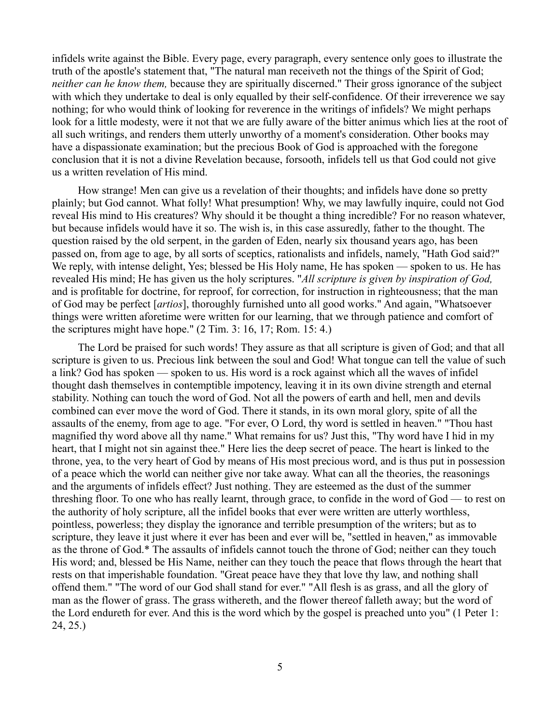infidels write against the Bible. Every page, every paragraph, every sentence only goes to illustrate the truth of the apostle's statement that, "The natural man receiveth not the things of the Spirit of God; *neither can he know them,* because they are spiritually discerned." Their gross ignorance of the subject with which they undertake to deal is only equalled by their self-confidence. Of their irreverence we say nothing; for who would think of looking for reverence in the writings of infidels? We might perhaps look for a little modesty, were it not that we are fully aware of the bitter animus which lies at the root of all such writings, and renders them utterly unworthy of a moment's consideration. Other books may have a dispassionate examination; but the precious Book of God is approached with the foregone conclusion that it is not a divine Revelation because, forsooth, infidels tell us that God could not give us a written revelation of His mind.

How strange! Men can give us a revelation of their thoughts; and infidels have done so pretty plainly; but God cannot. What folly! What presumption! Why, we may lawfully inquire, could not God reveal His mind to His creatures? Why should it be thought a thing incredible? For no reason whatever, but because infidels would have it so. The wish is, in this case assuredly, father to the thought. The question raised by the old serpent, in the garden of Eden, nearly six thousand years ago, has been passed on, from age to age, by all sorts of sceptics, rationalists and infidels, namely, "Hath God said?" We reply, with intense delight, Yes; blessed be His Holy name, He has spoken — spoken to us. He has revealed His mind; He has given us the holy scriptures. "*All scripture is given by inspiration of God,* and is profitable for doctrine, for reproof, for correction, for instruction in righteousness; that the man of God may be perfect [*artios*], thoroughly furnished unto all good works." And again, "Whatsoever things were written aforetime were written for our learning, that we through patience and comfort of the scriptures might have hope." (2 Tim. 3: 16, 17; Rom. 15: 4.)

The Lord be praised for such words! They assure as that all scripture is given of God; and that all scripture is given to us. Precious link between the soul and God! What tongue can tell the value of such a link? God has spoken — spoken to us. His word is a rock against which all the waves of infidel thought dash themselves in contemptible impotency, leaving it in its own divine strength and eternal stability. Nothing can touch the word of God. Not all the powers of earth and hell, men and devils combined can ever move the word of God. There it stands, in its own moral glory, spite of all the assaults of the enemy, from age to age. "For ever, O Lord, thy word is settled in heaven." "Thou hast magnified thy word above all thy name." What remains for us? Just this, "Thy word have I hid in my heart, that I might not sin against thee." Here lies the deep secret of peace. The heart is linked to the throne, yea, to the very heart of God by means of His most precious word, and is thus put in possession of a peace which the world can neither give nor take away. What can all the theories, the reasonings and the arguments of infidels effect? Just nothing. They are esteemed as the dust of the summer threshing floor. To one who has really learnt, through grace, to confide in the word of God — to rest on the authority of holy scripture, all the infidel books that ever were written are utterly worthless, pointless, powerless; they display the ignorance and terrible presumption of the writers; but as to scripture, they leave it just where it ever has been and ever will be, "settled in heaven," as immovable as the throne of God.\* The assaults of infidels cannot touch the throne of God; neither can they touch His word; and, blessed be His Name, neither can they touch the peace that flows through the heart that rests on that imperishable foundation. "Great peace have they that love thy law, and nothing shall offend them." "The word of our God shall stand for ever." "All flesh is as grass, and all the glory of man as the flower of grass. The grass withereth, and the flower thereof falleth away; but the word of the Lord endureth for ever. And this is the word which by the gospel is preached unto you" (1 Peter 1: 24, 25.)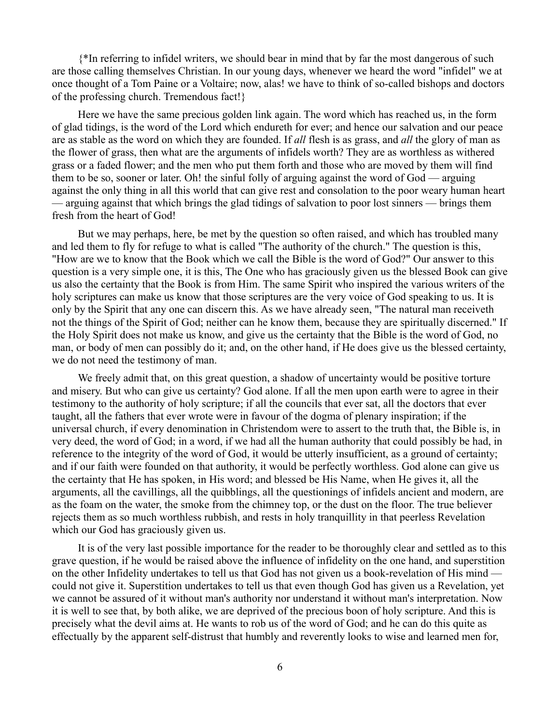{\*In referring to infidel writers, we should bear in mind that by far the most dangerous of such are those calling themselves Christian. In our young days, whenever we heard the word "infidel" we at once thought of a Tom Paine or a Voltaire; now, alas! we have to think of so-called bishops and doctors of the professing church. Tremendous fact!}

Here we have the same precious golden link again. The word which has reached us, in the form of glad tidings, is the word of the Lord which endureth for ever; and hence our salvation and our peace are as stable as the word on which they are founded. If *all* flesh is as grass, and *all* the glory of man as the flower of grass, then what are the arguments of infidels worth? They are as worthless as withered grass or a faded flower; and the men who put them forth and those who are moved by them will find them to be so, sooner or later. Oh! the sinful folly of arguing against the word of God — arguing against the only thing in all this world that can give rest and consolation to the poor weary human heart — arguing against that which brings the glad tidings of salvation to poor lost sinners — brings them fresh from the heart of God!

But we may perhaps, here, be met by the question so often raised, and which has troubled many and led them to fly for refuge to what is called "The authority of the church." The question is this, "How are we to know that the Book which we call the Bible is the word of God?" Our answer to this question is a very simple one, it is this, The One who has graciously given us the blessed Book can give us also the certainty that the Book is from Him. The same Spirit who inspired the various writers of the holy scriptures can make us know that those scriptures are the very voice of God speaking to us. It is only by the Spirit that any one can discern this. As we have already seen, "The natural man receiveth not the things of the Spirit of God; neither can he know them, because they are spiritually discerned." If the Holy Spirit does not make us know, and give us the certainty that the Bible is the word of God, no man, or body of men can possibly do it; and, on the other hand, if He does give us the blessed certainty, we do not need the testimony of man.

We freely admit that, on this great question, a shadow of uncertainty would be positive torture and misery. But who can give us certainty? God alone. If all the men upon earth were to agree in their testimony to the authority of holy scripture; if all the councils that ever sat, all the doctors that ever taught, all the fathers that ever wrote were in favour of the dogma of plenary inspiration; if the universal church, if every denomination in Christendom were to assert to the truth that, the Bible is, in very deed, the word of God; in a word, if we had all the human authority that could possibly be had, in reference to the integrity of the word of God, it would be utterly insufficient, as a ground of certainty; and if our faith were founded on that authority, it would be perfectly worthless. God alone can give us the certainty that He has spoken, in His word; and blessed be His Name, when He gives it, all the arguments, all the cavillings, all the quibblings, all the questionings of infidels ancient and modern, are as the foam on the water, the smoke from the chimney top, or the dust on the floor. The true believer rejects them as so much worthless rubbish, and rests in holy tranquillity in that peerless Revelation which our God has graciously given us.

It is of the very last possible importance for the reader to be thoroughly clear and settled as to this grave question, if he would be raised above the influence of infidelity on the one hand, and superstition on the other Infidelity undertakes to tell us that God has not given us a book-revelation of His mind could not give it. Superstition undertakes to tell us that even though God has given us a Revelation, yet we cannot be assured of it without man's authority nor understand it without man's interpretation. Now it is well to see that, by both alike, we are deprived of the precious boon of holy scripture. And this is precisely what the devil aims at. He wants to rob us of the word of God; and he can do this quite as effectually by the apparent self-distrust that humbly and reverently looks to wise and learned men for,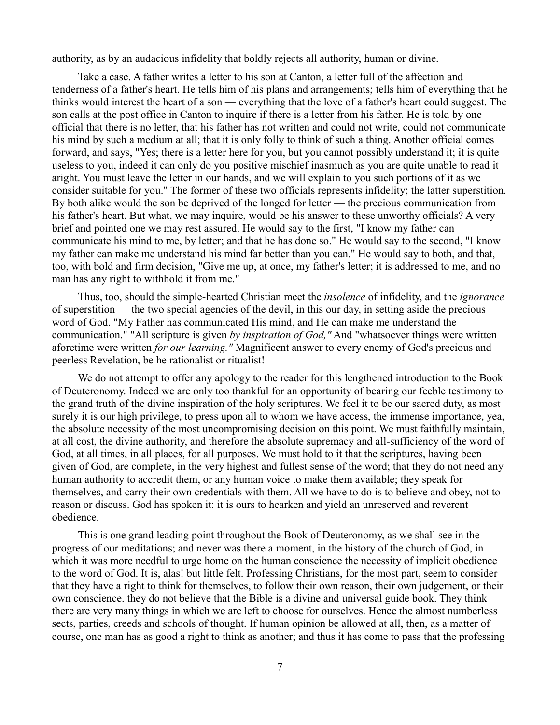authority, as by an audacious infidelity that boldly rejects all authority, human or divine.

Take a case. A father writes a letter to his son at Canton, a letter full of the affection and tenderness of a father's heart. He tells him of his plans and arrangements; tells him of everything that he thinks would interest the heart of a son — everything that the love of a father's heart could suggest. The son calls at the post office in Canton to inquire if there is a letter from his father. He is told by one official that there is no letter, that his father has not written and could not write, could not communicate his mind by such a medium at all; that it is only folly to think of such a thing. Another official comes forward, and says, "Yes; there is a letter here for you, but you cannot possibly understand it; it is quite useless to you, indeed it can only do you positive mischief inasmuch as you are quite unable to read it aright. You must leave the letter in our hands, and we will explain to you such portions of it as we consider suitable for you." The former of these two officials represents infidelity; the latter superstition. By both alike would the son be deprived of the longed for letter — the precious communication from his father's heart. But what, we may inquire, would be his answer to these unworthy officials? A very brief and pointed one we may rest assured. He would say to the first, "I know my father can communicate his mind to me, by letter; and that he has done so." He would say to the second, "I know my father can make me understand his mind far better than you can." He would say to both, and that, too, with bold and firm decision, "Give me up, at once, my father's letter; it is addressed to me, and no man has any right to withhold it from me."

Thus, too, should the simple-hearted Christian meet the *insolence* of infidelity, and the *ignorance* of superstition — the two special agencies of the devil, in this our day, in setting aside the precious word of God. "My Father has communicated His mind, and He can make me understand the communication." "All scripture is given *by inspiration of God,"* And "whatsoever things were written aforetime were written *for our learning."* Magnificent answer to every enemy of God's precious and peerless Revelation, be he rationalist or ritualist!

We do not attempt to offer any apology to the reader for this lengthened introduction to the Book of Deuteronomy. Indeed we are only too thankful for an opportunity of bearing our feeble testimony to the grand truth of the divine inspiration of the holy scriptures. We feel it to be our sacred duty, as most surely it is our high privilege, to press upon all to whom we have access, the immense importance, yea, the absolute necessity of the most uncompromising decision on this point. We must faithfully maintain, at all cost, the divine authority, and therefore the absolute supremacy and all-sufficiency of the word of God, at all times, in all places, for all purposes. We must hold to it that the scriptures, having been given of God, are complete, in the very highest and fullest sense of the word; that they do not need any human authority to accredit them, or any human voice to make them available; they speak for themselves, and carry their own credentials with them. All we have to do is to believe and obey, not to reason or discuss. God has spoken it: it is ours to hearken and yield an unreserved and reverent obedience.

This is one grand leading point throughout the Book of Deuteronomy, as we shall see in the progress of our meditations; and never was there a moment, in the history of the church of God, in which it was more needful to urge home on the human conscience the necessity of implicit obedience to the word of God. It is, alas! but little felt. Professing Christians, for the most part, seem to consider that they have a right to think for themselves, to follow their own reason, their own judgement, or their own conscience. they do not believe that the Bible is a divine and universal guide book. They think there are very many things in which we are left to choose for ourselves. Hence the almost numberless sects, parties, creeds and schools of thought. If human opinion be allowed at all, then, as a matter of course, one man has as good a right to think as another; and thus it has come to pass that the professing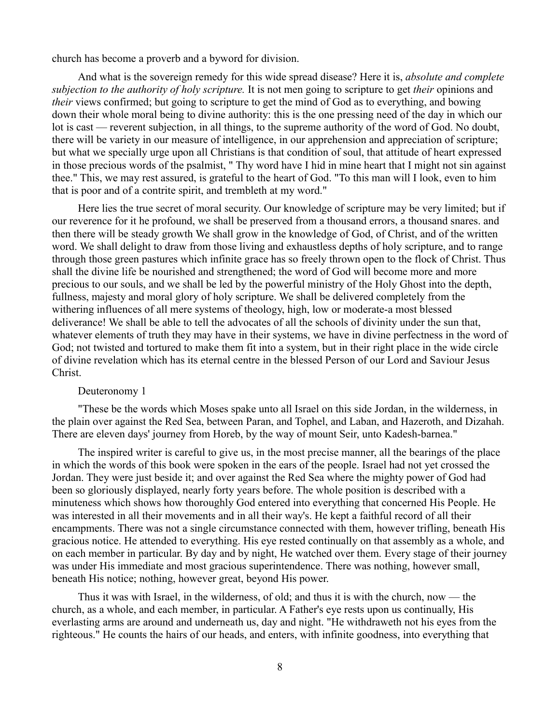church has become a proverb and a byword for division.

And what is the sovereign remedy for this wide spread disease? Here it is, *absolute and complete subjection to the authority of holy scripture.* It is not men going to scripture to get *their* opinions and *their* views confirmed; but going to scripture to get the mind of God as to everything, and bowing down their whole moral being to divine authority: this is the one pressing need of the day in which our lot is cast — reverent subjection, in all things, to the supreme authority of the word of God. No doubt, there will be variety in our measure of intelligence, in our apprehension and appreciation of scripture; but what we specially urge upon all Christians is that condition of soul, that attitude of heart expressed in those precious words of the psalmist, " Thy word have I hid in mine heart that I might not sin against thee." This, we may rest assured, is grateful to the heart of God. "To this man will I look, even to him that is poor and of a contrite spirit, and trembleth at my word."

Here lies the true secret of moral security. Our knowledge of scripture may be very limited; but if our reverence for it he profound, we shall be preserved from a thousand errors, a thousand snares. and then there will be steady growth We shall grow in the knowledge of God, of Christ, and of the written word. We shall delight to draw from those living and exhaustless depths of holy scripture, and to range through those green pastures which infinite grace has so freely thrown open to the flock of Christ. Thus shall the divine life be nourished and strengthened; the word of God will become more and more precious to our souls, and we shall be led by the powerful ministry of the Holy Ghost into the depth, fullness, majesty and moral glory of holy scripture. We shall be delivered completely from the withering influences of all mere systems of theology, high, low or moderate-a most blessed deliverance! We shall be able to tell the advocates of all the schools of divinity under the sun that, whatever elements of truth they may have in their systems, we have in divine perfectness in the word of God; not twisted and tortured to make them fit into a system, but in their right place in the wide circle of divine revelation which has its eternal centre in the blessed Person of our Lord and Saviour Jesus Christ.

#### Deuteronomy 1

"These be the words which Moses spake unto all Israel on this side Jordan, in the wilderness, in the plain over against the Red Sea, between Paran, and Tophel, and Laban, and Hazeroth, and Dizahah. There are eleven days' journey from Horeb, by the way of mount Seir, unto Kadesh-barnea."

The inspired writer is careful to give us, in the most precise manner, all the bearings of the place in which the words of this book were spoken in the ears of the people. Israel had not yet crossed the Jordan. They were just beside it; and over against the Red Sea where the mighty power of God had been so gloriously displayed, nearly forty years before. The whole position is described with a minuteness which shows how thoroughly God entered into everything that concerned His People. He was interested in all their movements and in all their way's. He kept a faithful record of all their encampments. There was not a single circumstance connected with them, however trifling, beneath His gracious notice. He attended to everything. His eye rested continually on that assembly as a whole, and on each member in particular. By day and by night, He watched over them. Every stage of their journey was under His immediate and most gracious superintendence. There was nothing, however small, beneath His notice; nothing, however great, beyond His power.

Thus it was with Israel, in the wilderness, of old; and thus it is with the church, now — the church, as a whole, and each member, in particular. A Father's eye rests upon us continually, His everlasting arms are around and underneath us, day and night. "He withdraweth not his eyes from the righteous." He counts the hairs of our heads, and enters, with infinite goodness, into everything that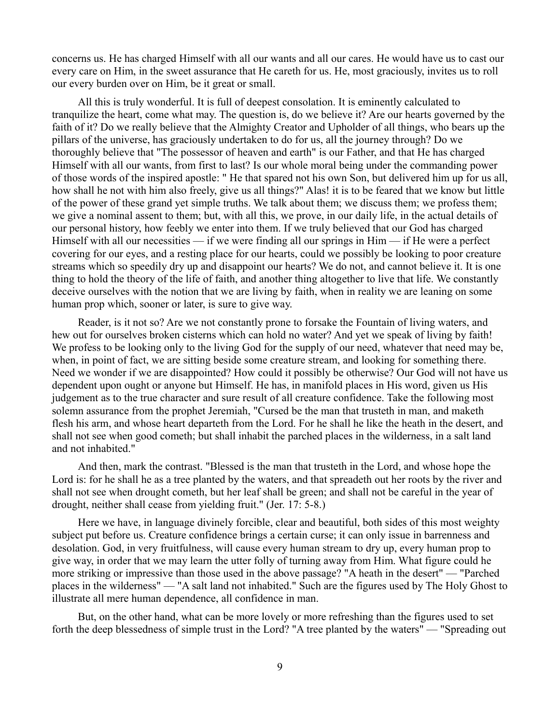concerns us. He has charged Himself with all our wants and all our cares. He would have us to cast our every care on Him, in the sweet assurance that He careth for us. He, most graciously, invites us to roll our every burden over on Him, be it great or small.

All this is truly wonderful. It is full of deepest consolation. It is eminently calculated to tranquilize the heart, come what may. The question is, do we believe it? Are our hearts governed by the faith of it? Do we really believe that the Almighty Creator and Upholder of all things, who bears up the pillars of the universe, has graciously undertaken to do for us, all the journey through? Do we thoroughly believe that "The possessor of heaven and earth" is our Father, and that He has charged Himself with all our wants, from first to last? Is our whole moral being under the commanding power of those words of the inspired apostle: " He that spared not his own Son, but delivered him up for us all, how shall he not with him also freely, give us all things?" Alas! it is to be feared that we know but little of the power of these grand yet simple truths. We talk about them; we discuss them; we profess them; we give a nominal assent to them; but, with all this, we prove, in our daily life, in the actual details of our personal history, how feebly we enter into them. If we truly believed that our God has charged Himself with all our necessities — if we were finding all our springs in Him — if He were a perfect covering for our eyes, and a resting place for our hearts, could we possibly be looking to poor creature streams which so speedily dry up and disappoint our hearts? We do not, and cannot believe it. It is one thing to hold the theory of the life of faith, and another thing altogether to live that life. We constantly deceive ourselves with the notion that we are living by faith, when in reality we are leaning on some human prop which, sooner or later, is sure to give way.

Reader, is it not so? Are we not constantly prone to forsake the Fountain of living waters, and hew out for ourselves broken cisterns which can hold no water? And yet we speak of living by faith! We profess to be looking only to the living God for the supply of our need, whatever that need may be, when, in point of fact, we are sitting beside some creature stream, and looking for something there. Need we wonder if we are disappointed? How could it possibly be otherwise? Our God will not have us dependent upon ought or anyone but Himself. He has, in manifold places in His word, given us His judgement as to the true character and sure result of all creature confidence. Take the following most solemn assurance from the prophet Jeremiah, "Cursed be the man that trusteth in man, and maketh flesh his arm, and whose heart departeth from the Lord. For he shall he like the heath in the desert, and shall not see when good cometh; but shall inhabit the parched places in the wilderness, in a salt land and not inhabited."

And then, mark the contrast. "Blessed is the man that trusteth in the Lord, and whose hope the Lord is: for he shall he as a tree planted by the waters, and that spreadeth out her roots by the river and shall not see when drought cometh, but her leaf shall be green; and shall not be careful in the year of drought, neither shall cease from yielding fruit." (Jer. 17: 5-8.)

Here we have, in language divinely forcible, clear and beautiful, both sides of this most weighty subject put before us. Creature confidence brings a certain curse; it can only issue in barrenness and desolation. God, in very fruitfulness, will cause every human stream to dry up, every human prop to give way, in order that we may learn the utter folly of turning away from Him. What figure could he more striking or impressive than those used in the above passage? "A heath in the desert" — "Parched places in the wilderness" — "A salt land not inhabited." Such are the figures used by The Holy Ghost to illustrate all mere human dependence, all confidence in man.

But, on the other hand, what can be more lovely or more refreshing than the figures used to set forth the deep blessedness of simple trust in the Lord? "A tree planted by the waters" — "Spreading out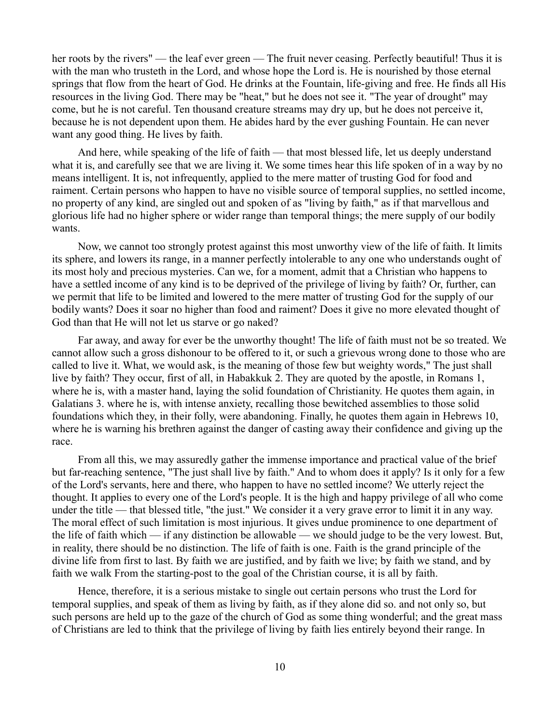her roots by the rivers" — the leaf ever green — The fruit never ceasing. Perfectly beautiful! Thus it is with the man who trusteth in the Lord, and whose hope the Lord is. He is nourished by those eternal springs that flow from the heart of God. He drinks at the Fountain, life-giving and free. He finds all His resources in the living God. There may be "heat," but he does not see it. "The year of drought" may come, but he is not careful. Ten thousand creature streams may dry up, but he does not perceive it, because he is not dependent upon them. He abides hard by the ever gushing Fountain. He can never want any good thing. He lives by faith.

And here, while speaking of the life of faith — that most blessed life, let us deeply understand what it is, and carefully see that we are living it. We some times hear this life spoken of in a way by no means intelligent. It is, not infrequently, applied to the mere matter of trusting God for food and raiment. Certain persons who happen to have no visible source of temporal supplies, no settled income, no property of any kind, are singled out and spoken of as "living by faith," as if that marvellous and glorious life had no higher sphere or wider range than temporal things; the mere supply of our bodily wants.

Now, we cannot too strongly protest against this most unworthy view of the life of faith. It limits its sphere, and lowers its range, in a manner perfectly intolerable to any one who understands ought of its most holy and precious mysteries. Can we, for a moment, admit that a Christian who happens to have a settled income of any kind is to be deprived of the privilege of living by faith? Or, further, can we permit that life to be limited and lowered to the mere matter of trusting God for the supply of our bodily wants? Does it soar no higher than food and raiment? Does it give no more elevated thought of God than that He will not let us starve or go naked?

Far away, and away for ever be the unworthy thought! The life of faith must not be so treated. We cannot allow such a gross dishonour to be offered to it, or such a grievous wrong done to those who are called to live it. What, we would ask, is the meaning of those few but weighty words," The just shall live by faith? They occur, first of all, in Habakkuk 2. They are quoted by the apostle, in Romans 1, where he is, with a master hand, laying the solid foundation of Christianity. He quotes them again, in Galatians 3. where he is, with intense anxiety, recalling those bewitched assemblies to those solid foundations which they, in their folly, were abandoning. Finally, he quotes them again in Hebrews 10, where he is warning his brethren against the danger of casting away their confidence and giving up the race.

From all this, we may assuredly gather the immense importance and practical value of the brief but far-reaching sentence, "The just shall live by faith." And to whom does it apply? Is it only for a few of the Lord's servants, here and there, who happen to have no settled income? We utterly reject the thought. It applies to every one of the Lord's people. It is the high and happy privilege of all who come under the title — that blessed title, "the just." We consider it a very grave error to limit it in any way. The moral effect of such limitation is most injurious. It gives undue prominence to one department of the life of faith which — if any distinction be allowable — we should judge to be the very lowest. But, in reality, there should be no distinction. The life of faith is one. Faith is the grand principle of the divine life from first to last. By faith we are justified, and by faith we live; by faith we stand, and by faith we walk From the starting-post to the goal of the Christian course, it is all by faith.

Hence, therefore, it is a serious mistake to single out certain persons who trust the Lord for temporal supplies, and speak of them as living by faith, as if they alone did so. and not only so, but such persons are held up to the gaze of the church of God as some thing wonderful; and the great mass of Christians are led to think that the privilege of living by faith lies entirely beyond their range. In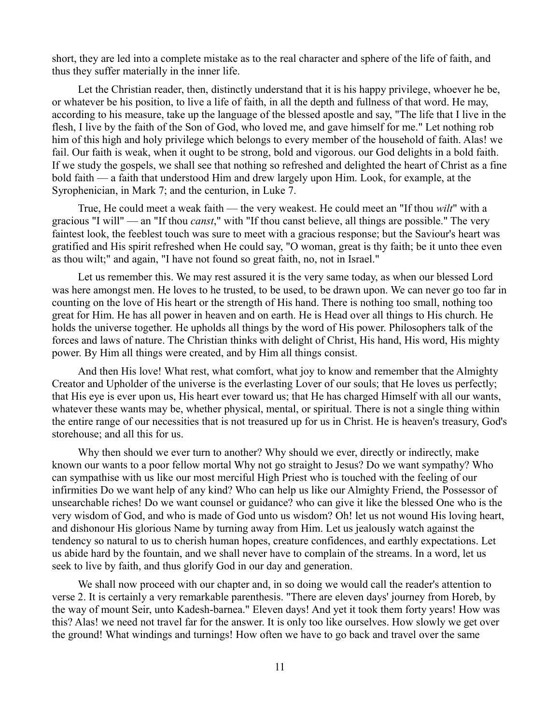short, they are led into a complete mistake as to the real character and sphere of the life of faith, and thus they suffer materially in the inner life.

Let the Christian reader, then, distinctly understand that it is his happy privilege, whoever he be, or whatever be his position, to live a life of faith, in all the depth and fullness of that word. He may, according to his measure, take up the language of the blessed apostle and say, "The life that I live in the flesh, I live by the faith of the Son of God, who loved me, and gave himself for me." Let nothing rob him of this high and holy privilege which belongs to every member of the household of faith. Alas! we fail. Our faith is weak, when it ought to be strong, bold and vigorous. our God delights in a bold faith. If we study the gospels, we shall see that nothing so refreshed and delighted the heart of Christ as a fine bold faith — a faith that understood Him and drew largely upon Him. Look, for example, at the Syrophenician, in Mark 7; and the centurion, in Luke 7.

True, He could meet a weak faith — the very weakest. He could meet an "If thou *wilt*" with a gracious "I will" — an "If thou *canst*," with "If thou canst believe, all things are possible." The very faintest look, the feeblest touch was sure to meet with a gracious response; but the Saviour's heart was gratified and His spirit refreshed when He could say, "O woman, great is thy faith; be it unto thee even as thou wilt;" and again, "I have not found so great faith, no, not in Israel."

Let us remember this. We may rest assured it is the very same today, as when our blessed Lord was here amongst men. He loves to he trusted, to be used, to be drawn upon. We can never go too far in counting on the love of His heart or the strength of His hand. There is nothing too small, nothing too great for Him. He has all power in heaven and on earth. He is Head over all things to His church. He holds the universe together. He upholds all things by the word of His power. Philosophers talk of the forces and laws of nature. The Christian thinks with delight of Christ, His hand, His word, His mighty power. By Him all things were created, and by Him all things consist.

And then His love! What rest, what comfort, what joy to know and remember that the Almighty Creator and Upholder of the universe is the everlasting Lover of our souls; that He loves us perfectly; that His eye is ever upon us, His heart ever toward us; that He has charged Himself with all our wants, whatever these wants may be, whether physical, mental, or spiritual. There is not a single thing within the entire range of our necessities that is not treasured up for us in Christ. He is heaven's treasury, God's storehouse; and all this for us.

Why then should we ever turn to another? Why should we ever, directly or indirectly, make known our wants to a poor fellow mortal Why not go straight to Jesus? Do we want sympathy? Who can sympathise with us like our most merciful High Priest who is touched with the feeling of our infirmities Do we want help of any kind? Who can help us like our Almighty Friend, the Possessor of unsearchable riches! Do we want counsel or guidance? who can give it like the blessed One who is the very wisdom of God, and who is made of God unto us wisdom? Oh! let us not wound His loving heart, and dishonour His glorious Name by turning away from Him. Let us jealously watch against the tendency so natural to us to cherish human hopes, creature confidences, and earthly expectations. Let us abide hard by the fountain, and we shall never have to complain of the streams. In a word, let us seek to live by faith, and thus glorify God in our day and generation.

We shall now proceed with our chapter and, in so doing we would call the reader's attention to verse 2. It is certainly a very remarkable parenthesis. "There are eleven days' journey from Horeb, by the way of mount Seir, unto Kadesh-barnea." Eleven days! And yet it took them forty years! How was this? Alas! we need not travel far for the answer. It is only too like ourselves. How slowly we get over the ground! What windings and turnings! How often we have to go back and travel over the same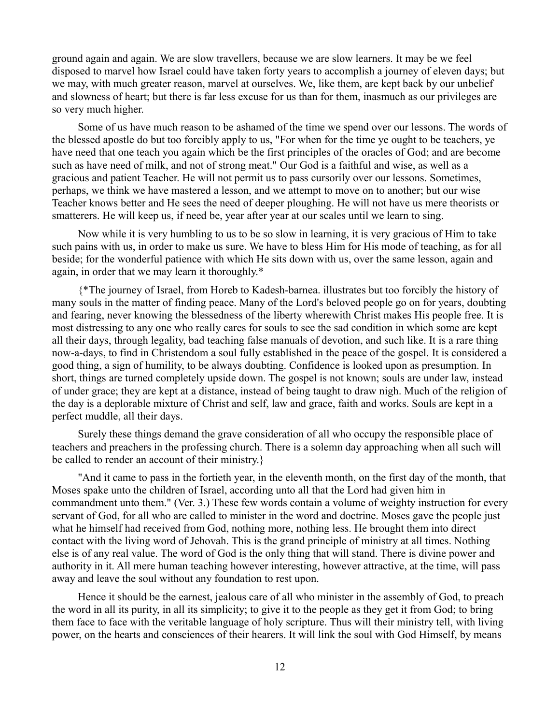ground again and again. We are slow travellers, because we are slow learners. It may be we feel disposed to marvel how Israel could have taken forty years to accomplish a journey of eleven days; but we may, with much greater reason, marvel at ourselves. We, like them, are kept back by our unbelief and slowness of heart; but there is far less excuse for us than for them, inasmuch as our privileges are so very much higher.

Some of us have much reason to be ashamed of the time we spend over our lessons. The words of the blessed apostle do but too forcibly apply to us, "For when for the time ye ought to be teachers, ye have need that one teach you again which be the first principles of the oracles of God; and are become such as have need of milk, and not of strong meat." Our God is a faithful and wise, as well as a gracious and patient Teacher. He will not permit us to pass cursorily over our lessons. Sometimes, perhaps, we think we have mastered a lesson, and we attempt to move on to another; but our wise Teacher knows better and He sees the need of deeper ploughing. He will not have us mere theorists or smatterers. He will keep us, if need be, year after year at our scales until we learn to sing.

Now while it is very humbling to us to be so slow in learning, it is very gracious of Him to take such pains with us, in order to make us sure. We have to bless Him for His mode of teaching, as for all beside; for the wonderful patience with which He sits down with us, over the same lesson, again and again, in order that we may learn it thoroughly.\*

{\*The journey of Israel, from Horeb to Kadesh-barnea. illustrates but too forcibly the history of many souls in the matter of finding peace. Many of the Lord's beloved people go on for years, doubting and fearing, never knowing the blessedness of the liberty wherewith Christ makes His people free. It is most distressing to any one who really cares for souls to see the sad condition in which some are kept all their days, through legality, bad teaching false manuals of devotion, and such like. It is a rare thing now-a-days, to find in Christendom a soul fully established in the peace of the gospel. It is considered a good thing, a sign of humility, to be always doubting. Confidence is looked upon as presumption. In short, things are turned completely upside down. The gospel is not known; souls are under law, instead of under grace; they are kept at a distance, instead of being taught to draw nigh. Much of the religion of the day is a deplorable mixture of Christ and self, law and grace, faith and works. Souls are kept in a perfect muddle, all their days.

Surely these things demand the grave consideration of all who occupy the responsible place of teachers and preachers in the professing church. There is a solemn day approaching when all such will be called to render an account of their ministry.}

"And it came to pass in the fortieth year, in the eleventh month, on the first day of the month, that Moses spake unto the children of Israel, according unto all that the Lord had given him in commandment unto them." (Ver. 3.) These few words contain a volume of weighty instruction for every servant of God, for all who are called to minister in the word and doctrine. Moses gave the people just what he himself had received from God, nothing more, nothing less. He brought them into direct contact with the living word of Jehovah. This is the grand principle of ministry at all times. Nothing else is of any real value. The word of God is the only thing that will stand. There is divine power and authority in it. All mere human teaching however interesting, however attractive, at the time, will pass away and leave the soul without any foundation to rest upon.

Hence it should be the earnest, jealous care of all who minister in the assembly of God, to preach the word in all its purity, in all its simplicity; to give it to the people as they get it from God; to bring them face to face with the veritable language of holy scripture. Thus will their ministry tell, with living power, on the hearts and consciences of their hearers. It will link the soul with God Himself, by means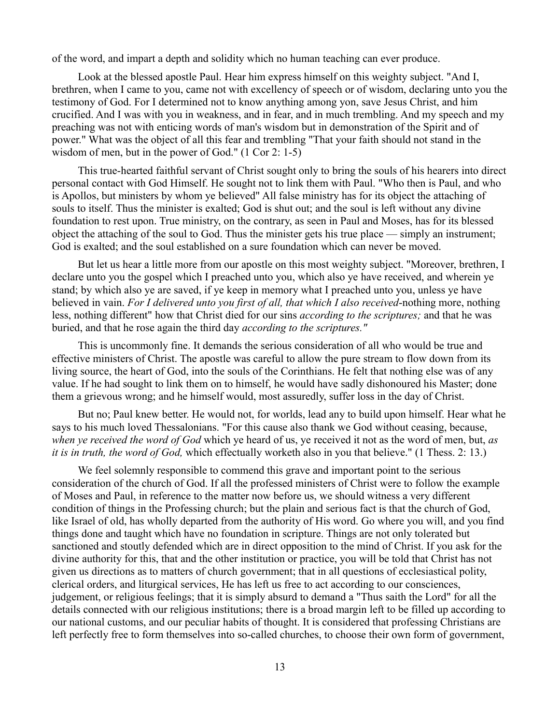of the word, and impart a depth and solidity which no human teaching can ever produce.

Look at the blessed apostle Paul. Hear him express himself on this weighty subject. "And I, brethren, when I came to you, came not with excellency of speech or of wisdom, declaring unto you the testimony of God. For I determined not to know anything among yon, save Jesus Christ, and him crucified. And I was with you in weakness, and in fear, and in much trembling. And my speech and my preaching was not with enticing words of man's wisdom but in demonstration of the Spirit and of power." What was the object of all this fear and trembling "That your faith should not stand in the wisdom of men, but in the power of God." (1 Cor 2: 1-5)

This true-hearted faithful servant of Christ sought only to bring the souls of his hearers into direct personal contact with God Himself. He sought not to link them with Paul. "Who then is Paul, and who is Apollos, but ministers by whom ye believed" All false ministry has for its object the attaching of souls to itself. Thus the minister is exalted; God is shut out; and the soul is left without any divine foundation to rest upon. True ministry, on the contrary, as seen in Paul and Moses, has for its blessed object the attaching of the soul to God. Thus the minister gets his true place — simply an instrument; God is exalted; and the soul established on a sure foundation which can never be moved.

But let us hear a little more from our apostle on this most weighty subject. "Moreover, brethren, I declare unto you the gospel which I preached unto you, which also ye have received, and wherein ye stand; by which also ye are saved, if ye keep in memory what I preached unto you, unless ye have believed in vain. *For I delivered unto you first of all, that which I also received*-nothing more, nothing less, nothing different" how that Christ died for our sins *according to the scriptures;* and that he was buried, and that he rose again the third day *according to the scriptures."*

This is uncommonly fine. It demands the serious consideration of all who would be true and effective ministers of Christ. The apostle was careful to allow the pure stream to flow down from its living source, the heart of God, into the souls of the Corinthians. He felt that nothing else was of any value. If he had sought to link them on to himself, he would have sadly dishonoured his Master; done them a grievous wrong; and he himself would, most assuredly, suffer loss in the day of Christ.

But no; Paul knew better. He would not, for worlds, lead any to build upon himself. Hear what he says to his much loved Thessalonians. "For this cause also thank we God without ceasing, because, *when ye received the word of God* which ye heard of us, ye received it not as the word of men, but, *as it is in truth, the word of God,* which effectually worketh also in you that believe." (1 Thess. 2: 13.)

We feel solemnly responsible to commend this grave and important point to the serious consideration of the church of God. If all the professed ministers of Christ were to follow the example of Moses and Paul, in reference to the matter now before us, we should witness a very different condition of things in the Professing church; but the plain and serious fact is that the church of God, like Israel of old, has wholly departed from the authority of His word. Go where you will, and you find things done and taught which have no foundation in scripture. Things are not only tolerated but sanctioned and stoutly defended which are in direct opposition to the mind of Christ. If you ask for the divine authority for this, that and the other institution or practice, you will be told that Christ has not given us directions as to matters of church government; that in all questions of ecclesiastical polity, clerical orders, and liturgical services, He has left us free to act according to our consciences, judgement, or religious feelings; that it is simply absurd to demand a "Thus saith the Lord" for all the details connected with our religious institutions; there is a broad margin left to be filled up according to our national customs, and our peculiar habits of thought. It is considered that professing Christians are left perfectly free to form themselves into so-called churches, to choose their own form of government,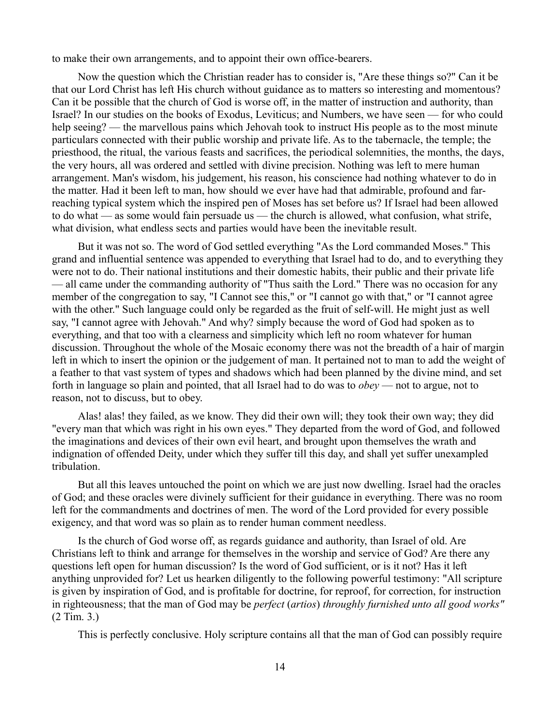to make their own arrangements, and to appoint their own office-bearers.

Now the question which the Christian reader has to consider is, "Are these things so?" Can it be that our Lord Christ has left His church without guidance as to matters so interesting and momentous? Can it be possible that the church of God is worse off, in the matter of instruction and authority, than Israel? In our studies on the books of Exodus, Leviticus; and Numbers, we have seen — for who could help seeing? — the marvellous pains which Jehovah took to instruct His people as to the most minute particulars connected with their public worship and private life. As to the tabernacle, the temple; the priesthood, the ritual, the various feasts and sacrifices, the periodical solemnities, the months, the days, the very hours, all was ordered and settled with divine precision. Nothing was left to mere human arrangement. Man's wisdom, his judgement, his reason, his conscience had nothing whatever to do in the matter. Had it been left to man, how should we ever have had that admirable, profound and farreaching typical system which the inspired pen of Moses has set before us? If Israel had been allowed to do what — as some would fain persuade us — the church is allowed, what confusion, what strife, what division, what endless sects and parties would have been the inevitable result.

But it was not so. The word of God settled everything "As the Lord commanded Moses." This grand and influential sentence was appended to everything that Israel had to do, and to everything they were not to do. Their national institutions and their domestic habits, their public and their private life — all came under the commanding authority of "Thus saith the Lord." There was no occasion for any member of the congregation to say, "I Cannot see this," or "I cannot go with that," or "I cannot agree with the other." Such language could only be regarded as the fruit of self-will. He might just as well say, "I cannot agree with Jehovah." And why? simply because the word of God had spoken as to everything, and that too with a clearness and simplicity which left no room whatever for human discussion. Throughout the whole of the Mosaic economy there was not the breadth of a hair of margin left in which to insert the opinion or the judgement of man. It pertained not to man to add the weight of a feather to that vast system of types and shadows which had been planned by the divine mind, and set forth in language so plain and pointed, that all Israel had to do was to *obey* — not to argue, not to reason, not to discuss, but to obey.

Alas! alas! they failed, as we know. They did their own will; they took their own way; they did "every man that which was right in his own eyes." They departed from the word of God, and followed the imaginations and devices of their own evil heart, and brought upon themselves the wrath and indignation of offended Deity, under which they suffer till this day, and shall yet suffer unexampled tribulation.

But all this leaves untouched the point on which we are just now dwelling. Israel had the oracles of God; and these oracles were divinely sufficient for their guidance in everything. There was no room left for the commandments and doctrines of men. The word of the Lord provided for every possible exigency, and that word was so plain as to render human comment needless.

Is the church of God worse off, as regards guidance and authority, than Israel of old. Are Christians left to think and arrange for themselves in the worship and service of God? Are there any questions left open for human discussion? Is the word of God sufficient, or is it not? Has it left anything unprovided for? Let us hearken diligently to the following powerful testimony: "All scripture is given by inspiration of God, and is profitable for doctrine, for reproof, for correction, for instruction in righteousness; that the man of God may be *perfect* (*artios*) *throughly furnished unto all good works"* (2 Tim. 3.)

This is perfectly conclusive. Holy scripture contains all that the man of God can possibly require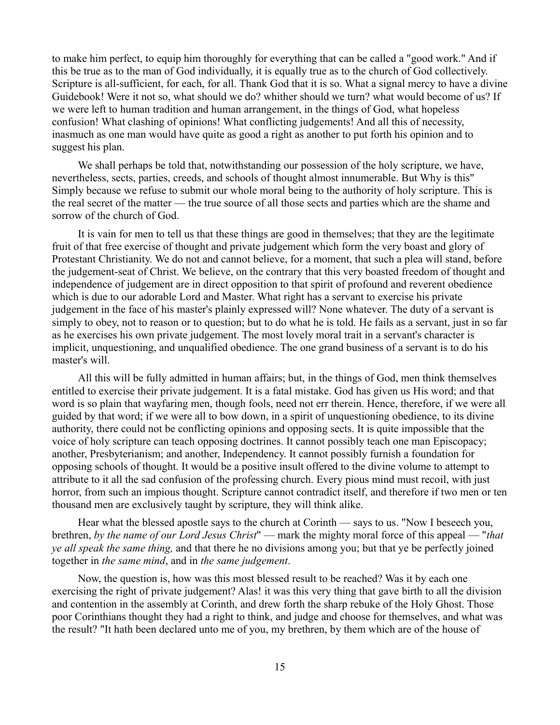to make him perfect, to equip him thoroughly for everything that can be called a "good work." And if this be true as to the man of God individually, it is equally true as to the church of God collectively. Scripture is all-sufficient, for each, for all. Thank God that it is so. What a signal mercy to have a divine Guidebook! Were it not so, what should we do? whither should we turn? what would become of us? If we were left to human tradition and human arrangement, in the things of God, what hopeless confusion! What clashing of opinions! What conflicting judgements! And all this of necessity, inasmuch as one man would have quite as good a right as another to put forth his opinion and to suggest his plan.

We shall perhaps be told that, notwithstanding our possession of the holy scripture, we have, nevertheless, sects, parties, creeds, and schools of thought almost innumerable. But Why is this" Simply because we refuse to submit our whole moral being to the authority of holy scripture. This is the real secret of the matter — the true source of all those sects and parties which are the shame and sorrow of the church of God.

It is vain for men to tell us that these things are good in themselves; that they are the legitimate fruit of that free exercise of thought and private judgement which form the very boast and glory of Protestant Christianity. We do not and cannot believe, for a moment, that such a plea will stand, before the judgement-seat of Christ. We believe, on the contrary that this very boasted freedom of thought and independence of judgement are in direct opposition to that spirit of profound and reverent obedience which is due to our adorable Lord and Master. What right has a servant to exercise his private judgement in the face of his master's plainly expressed will? None whatever. The duty of a servant is simply to obey, not to reason or to question; but to do what he is told. He fails as a servant, just in so far as he exercises his own private judgement. The most lovely moral trait in a servant's character is implicit, unquestioning, and unqualified obedience. The one grand business of a servant is to do his master's will.

All this will be fully admitted in human affairs; but, in the things of God, men think themselves entitled to exercise their private judgement. It is a fatal mistake. God has given us His word; and that word is so plain that wayfaring men, though fools, need not err therein. Hence, therefore, if we were all guided by that word; if we were all to bow down, in a spirit of unquestioning obedience, to its divine authority, there could not be conflicting opinions and opposing sects. It is quite impossible that the voice of holy scripture can teach opposing doctrines. It cannot possibly teach one man Episcopacy; another, Presbyterianism; and another, Independency. It cannot possibly furnish a foundation for opposing schools of thought. It would be a positive insult offered to the divine volume to attempt to attribute to it all the sad confusion of the professing church. Every pious mind must recoil, with just horror, from such an impious thought. Scripture cannot contradict itself, and therefore if two men or ten thousand men are exclusively taught by scripture, they will think alike.

Hear what the blessed apostle says to the church at Corinth — says to us. "Now I beseech you, brethren, *by the name of our Lord Jesus Christ*" — mark the mighty moral force of this appeal — "*that ye all speak the same thing,* and that there he no divisions among you; but that ye be perfectly joined together in *the same mind*, and in *the same judgement*.

Now, the question is, how was this most blessed result to be reached? Was it by each one exercising the right of private judgement? Alas! it was this very thing that gave birth to all the division and contention in the assembly at Corinth, and drew forth the sharp rebuke of the Holy Ghost. Those poor Corinthians thought they had a right to think, and judge and choose for themselves, and what was the result? "It hath been declared unto me of you, my brethren, by them which are of the house of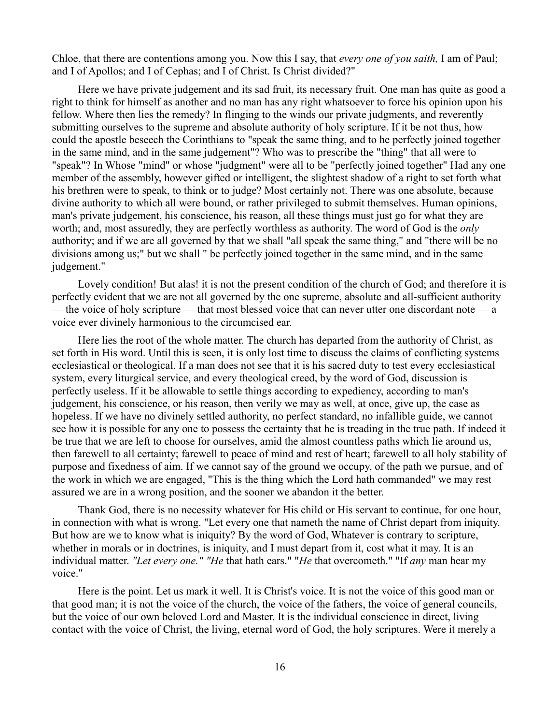Chloe, that there are contentions among you. Now this I say, that *every one of you saith,* I am of Paul; and I of Apollos; and I of Cephas; and I of Christ. Is Christ divided?"

Here we have private judgement and its sad fruit, its necessary fruit. One man has quite as good a right to think for himself as another and no man has any right whatsoever to force his opinion upon his fellow. Where then lies the remedy? In flinging to the winds our private judgments, and reverently submitting ourselves to the supreme and absolute authority of holy scripture. If it be not thus, how could the apostle beseech the Corinthians to "speak the same thing, and to he perfectly joined together in the same mind, and in the same judgement"? Who was to prescribe the "thing" that all were to "speak"? In Whose "mind" or whose "judgment" were all to be "perfectly joined together" Had any one member of the assembly, however gifted or intelligent, the slightest shadow of a right to set forth what his brethren were to speak, to think or to judge? Most certainly not. There was one absolute, because divine authority to which all were bound, or rather privileged to submit themselves. Human opinions, man's private judgement, his conscience, his reason, all these things must just go for what they are worth; and, most assuredly, they are perfectly worthless as authority. The word of God is the *only* authority; and if we are all governed by that we shall "all speak the same thing," and "there will be no divisions among us;" but we shall " be perfectly joined together in the same mind, and in the same judgement."

Lovely condition! But alas! it is not the present condition of the church of God; and therefore it is perfectly evident that we are not all governed by the one supreme, absolute and all-sufficient authority — the voice of holy scripture — that most blessed voice that can never utter one discordant note — a voice ever divinely harmonious to the circumcised ear.

Here lies the root of the whole matter. The church has departed from the authority of Christ, as set forth in His word. Until this is seen, it is only lost time to discuss the claims of conflicting systems ecclesiastical or theological. If a man does not see that it is his sacred duty to test every ecclesiastical system, every liturgical service, and every theological creed, by the word of God, discussion is perfectly useless. If it be allowable to settle things according to expediency, according to man's judgement, his conscience, or his reason, then verily we may as well, at once, give up, the case as hopeless. If we have no divinely settled authority, no perfect standard, no infallible guide, we cannot see how it is possible for any one to possess the certainty that he is treading in the true path. If indeed it be true that we are left to choose for ourselves, amid the almost countless paths which lie around us, then farewell to all certainty; farewell to peace of mind and rest of heart; farewell to all holy stability of purpose and fixedness of aim. If we cannot say of the ground we occupy, of the path we pursue, and of the work in which we are engaged, "This is the thing which the Lord hath commanded" we may rest assured we are in a wrong position, and the sooner we abandon it the better.

Thank God, there is no necessity whatever for His child or His servant to continue, for one hour, in connection with what is wrong. "Let every one that nameth the name of Christ depart from iniquity. But how are we to know what is iniquity? By the word of God, Whatever is contrary to scripture, whether in morals or in doctrines, is iniquity, and I must depart from it, cost what it may. It is an individual matter. *"Let every one." "He* that hath ears." "*He* that overcometh." "If *any* man hear my voice."

Here is the point. Let us mark it well. It is Christ's voice. It is not the voice of this good man or that good man; it is not the voice of the church, the voice of the fathers, the voice of general councils, but the voice of our own beloved Lord and Master. It is the individual conscience in direct, living contact with the voice of Christ, the living, eternal word of God, the holy scriptures. Were it merely a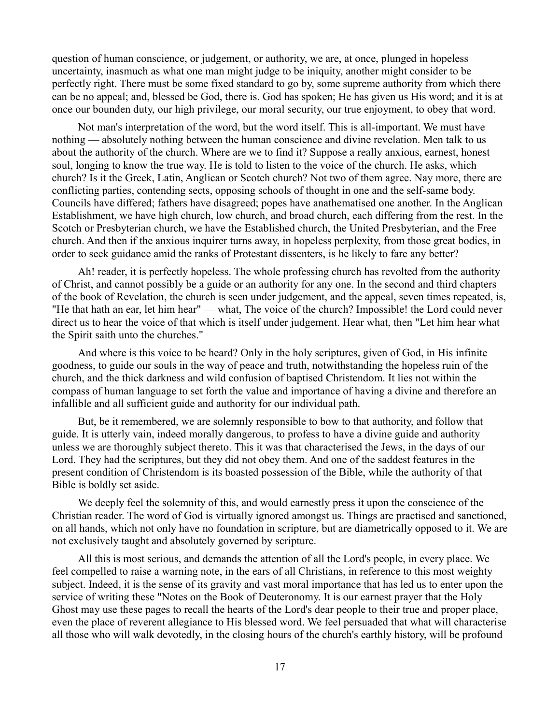question of human conscience, or judgement, or authority, we are, at once, plunged in hopeless uncertainty, inasmuch as what one man might judge to be iniquity, another might consider to be perfectly right. There must be some fixed standard to go by, some supreme authority from which there can be no appeal; and, blessed be God, there is. God has spoken; He has given us His word; and it is at once our bounden duty, our high privilege, our moral security, our true enjoyment, to obey that word.

Not man's interpretation of the word, but the word itself. This is all-important. We must have nothing — absolutely nothing between the human conscience and divine revelation. Men talk to us about the authority of the church. Where are we to find it? Suppose a really anxious, earnest, honest soul, longing to know the true way. He is told to listen to the voice of the church. He asks, which church? Is it the Greek, Latin, Anglican or Scotch church? Not two of them agree. Nay more, there are conflicting parties, contending sects, opposing schools of thought in one and the self-same body. Councils have differed; fathers have disagreed; popes have anathematised one another. In the Anglican Establishment, we have high church, low church, and broad church, each differing from the rest. In the Scotch or Presbyterian church, we have the Established church, the United Presbyterian, and the Free church. And then if the anxious inquirer turns away, in hopeless perplexity, from those great bodies, in order to seek guidance amid the ranks of Protestant dissenters, is he likely to fare any better?

Ah! reader, it is perfectly hopeless. The whole professing church has revolted from the authority of Christ, and cannot possibly be a guide or an authority for any one. In the second and third chapters of the book of Revelation, the church is seen under judgement, and the appeal, seven times repeated, is, "He that hath an ear, let him hear" — what, The voice of the church? Impossible! the Lord could never direct us to hear the voice of that which is itself under judgement. Hear what, then "Let him hear what the Spirit saith unto the churches."

And where is this voice to be heard? Only in the holy scriptures, given of God, in His infinite goodness, to guide our souls in the way of peace and truth, notwithstanding the hopeless ruin of the church, and the thick darkness and wild confusion of baptised Christendom. It lies not within the compass of human language to set forth the value and importance of having a divine and therefore an infallible and all sufficient guide and authority for our individual path.

But, be it remembered, we are solemnly responsible to bow to that authority, and follow that guide. It is utterly vain, indeed morally dangerous, to profess to have a divine guide and authority unless we are thoroughly subject thereto. This it was that characterised the Jews, in the days of our Lord. They had the scriptures, but they did not obey them. And one of the saddest features in the present condition of Christendom is its boasted possession of the Bible, while the authority of that Bible is boldly set aside.

We deeply feel the solemnity of this, and would earnestly press it upon the conscience of the Christian reader. The word of God is virtually ignored amongst us. Things are practised and sanctioned, on all hands, which not only have no foundation in scripture, but are diametrically opposed to it. We are not exclusively taught and absolutely governed by scripture.

All this is most serious, and demands the attention of all the Lord's people, in every place. We feel compelled to raise a warning note, in the ears of all Christians, in reference to this most weighty subject. Indeed, it is the sense of its gravity and vast moral importance that has led us to enter upon the service of writing these "Notes on the Book of Deuteronomy. It is our earnest prayer that the Holy Ghost may use these pages to recall the hearts of the Lord's dear people to their true and proper place, even the place of reverent allegiance to His blessed word. We feel persuaded that what will characterise all those who will walk devotedly, in the closing hours of the church's earthly history, will be profound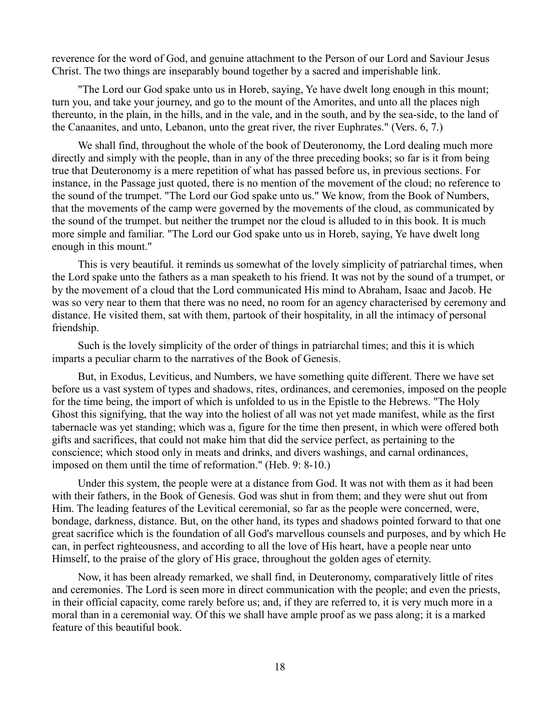reverence for the word of God, and genuine attachment to the Person of our Lord and Saviour Jesus Christ. The two things are inseparably bound together by a sacred and imperishable link.

"The Lord our God spake unto us in Horeb, saying, Ye have dwelt long enough in this mount; turn you, and take your journey, and go to the mount of the Amorites, and unto all the places nigh thereunto, in the plain, in the hills, and in the vale, and in the south, and by the sea-side, to the land of the Canaanites, and unto, Lebanon, unto the great river, the river Euphrates." (Vers. 6, 7.)

We shall find, throughout the whole of the book of Deuteronomy, the Lord dealing much more directly and simply with the people, than in any of the three preceding books; so far is it from being true that Deuteronomy is a mere repetition of what has passed before us, in previous sections. For instance, in the Passage just quoted, there is no mention of the movement of the cloud; no reference to the sound of the trumpet. "The Lord our God spake unto us." We know, from the Book of Numbers, that the movements of the camp were governed by the movements of the cloud, as communicated by the sound of the trumpet. but neither the trumpet nor the cloud is alluded to in this book. It is much more simple and familiar. "The Lord our God spake unto us in Horeb, saying, Ye have dwelt long enough in this mount."

This is very beautiful. it reminds us somewhat of the lovely simplicity of patriarchal times, when the Lord spake unto the fathers as a man speaketh to his friend. It was not by the sound of a trumpet, or by the movement of a cloud that the Lord communicated His mind to Abraham, Isaac and Jacob. He was so very near to them that there was no need, no room for an agency characterised by ceremony and distance. He visited them, sat with them, partook of their hospitality, in all the intimacy of personal friendship.

Such is the lovely simplicity of the order of things in patriarchal times; and this it is which imparts a peculiar charm to the narratives of the Book of Genesis.

But, in Exodus, Leviticus, and Numbers, we have something quite different. There we have set before us a vast system of types and shadows, rites, ordinances, and ceremonies, imposed on the people for the time being, the import of which is unfolded to us in the Epistle to the Hebrews. "The Holy Ghost this signifying, that the way into the holiest of all was not yet made manifest, while as the first tabernacle was yet standing; which was a, figure for the time then present, in which were offered both gifts and sacrifices, that could not make him that did the service perfect, as pertaining to the conscience; which stood only in meats and drinks, and divers washings, and carnal ordinances, imposed on them until the time of reformation." (Heb. 9: 8-10.)

Under this system, the people were at a distance from God. It was not with them as it had been with their fathers, in the Book of Genesis. God was shut in from them; and they were shut out from Him. The leading features of the Levitical ceremonial, so far as the people were concerned, were, bondage, darkness, distance. But, on the other hand, its types and shadows pointed forward to that one great sacrifice which is the foundation of all God's marvellous counsels and purposes, and by which He can, in perfect righteousness, and according to all the love of His heart, have a people near unto Himself, to the praise of the glory of His grace, throughout the golden ages of eternity.

Now, it has been already remarked, we shall find, in Deuteronomy, comparatively little of rites and ceremonies. The Lord is seen more in direct communication with the people; and even the priests, in their official capacity, come rarely before us; and, if they are referred to, it is very much more in a moral than in a ceremonial way. Of this we shall have ample proof as we pass along; it is a marked feature of this beautiful book.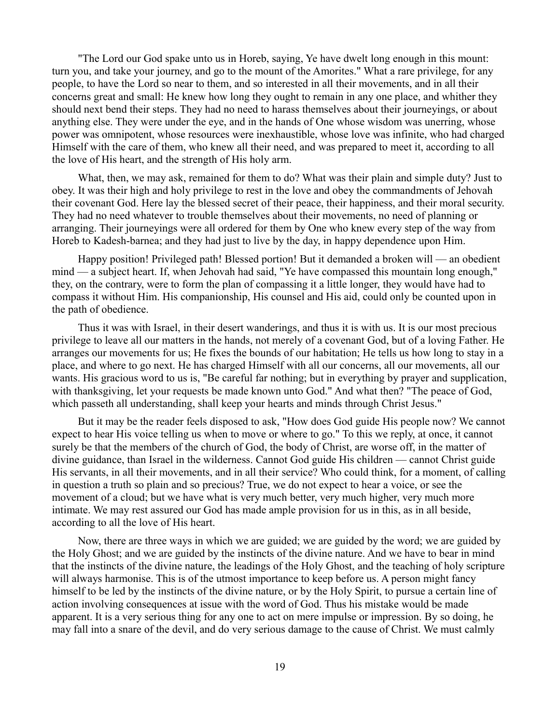"The Lord our God spake unto us in Horeb, saying, Ye have dwelt long enough in this mount: turn you, and take your journey, and go to the mount of the Amorites." What a rare privilege, for any people, to have the Lord so near to them, and so interested in all their movements, and in all their concerns great and small: He knew how long they ought to remain in any one place, and whither they should next bend their steps. They had no need to harass themselves about their journeyings, or about anything else. They were under the eye, and in the hands of One whose wisdom was unerring, whose power was omnipotent, whose resources were inexhaustible, whose love was infinite, who had charged Himself with the care of them, who knew all their need, and was prepared to meet it, according to all the love of His heart, and the strength of His holy arm.

What, then, we may ask, remained for them to do? What was their plain and simple duty? Just to obey. It was their high and holy privilege to rest in the love and obey the commandments of Jehovah their covenant God. Here lay the blessed secret of their peace, their happiness, and their moral security. They had no need whatever to trouble themselves about their movements, no need of planning or arranging. Their journeyings were all ordered for them by One who knew every step of the way from Horeb to Kadesh-barnea; and they had just to live by the day, in happy dependence upon Him.

Happy position! Privileged path! Blessed portion! But it demanded a broken will — an obedient mind — a subject heart. If, when Jehovah had said, "Ye have compassed this mountain long enough," they, on the contrary, were to form the plan of compassing it a little longer, they would have had to compass it without Him. His companionship, His counsel and His aid, could only be counted upon in the path of obedience.

Thus it was with Israel, in their desert wanderings, and thus it is with us. It is our most precious privilege to leave all our matters in the hands, not merely of a covenant God, but of a loving Father. He arranges our movements for us; He fixes the bounds of our habitation; He tells us how long to stay in a place, and where to go next. He has charged Himself with all our concerns, all our movements, all our wants. His gracious word to us is, "Be careful far nothing; but in everything by prayer and supplication, with thanksgiving, let your requests be made known unto God." And what then? "The peace of God, which passeth all understanding, shall keep your hearts and minds through Christ Jesus."

But it may be the reader feels disposed to ask, "How does God guide His people now? We cannot expect to hear His voice telling us when to move or where to go." To this we reply, at once, it cannot surely be that the members of the church of God, the body of Christ, are worse off, in the matter of divine guidance, than Israel in the wilderness. Cannot God guide His children — cannot Christ guide His servants, in all their movements, and in all their service? Who could think, for a moment, of calling in question a truth so plain and so precious? True, we do not expect to hear a voice, or see the movement of a cloud; but we have what is very much better, very much higher, very much more intimate. We may rest assured our God has made ample provision for us in this, as in all beside, according to all the love of His heart.

Now, there are three ways in which we are guided; we are guided by the word; we are guided by the Holy Ghost; and we are guided by the instincts of the divine nature. And we have to bear in mind that the instincts of the divine nature, the leadings of the Holy Ghost, and the teaching of holy scripture will always harmonise. This is of the utmost importance to keep before us. A person might fancy himself to be led by the instincts of the divine nature, or by the Holy Spirit, to pursue a certain line of action involving consequences at issue with the word of God. Thus his mistake would be made apparent. It is a very serious thing for any one to act on mere impulse or impression. By so doing, he may fall into a snare of the devil, and do very serious damage to the cause of Christ. We must calmly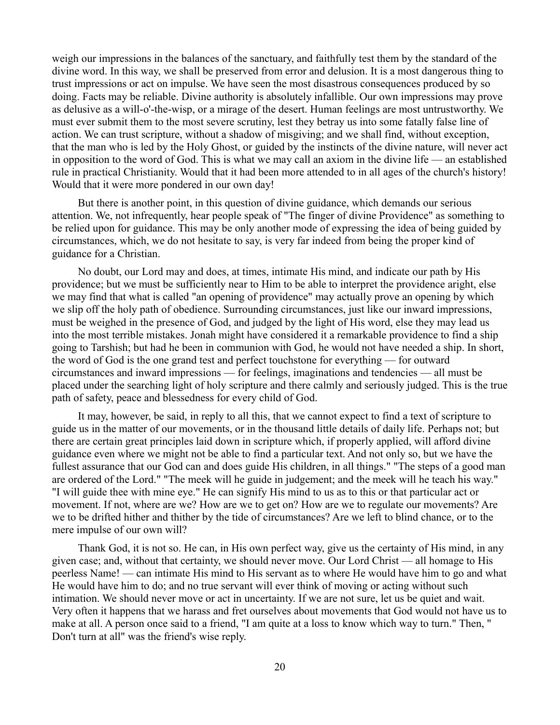weigh our impressions in the balances of the sanctuary, and faithfully test them by the standard of the divine word. In this way, we shall be preserved from error and delusion. It is a most dangerous thing to trust impressions or act on impulse. We have seen the most disastrous consequences produced by so doing. Facts may be reliable. Divine authority is absolutely infallible. Our own impressions may prove as delusive as a will-o'-the-wisp, or a mirage of the desert. Human feelings are most untrustworthy. We must ever submit them to the most severe scrutiny, lest they betray us into some fatally false line of action. We can trust scripture, without a shadow of misgiving; and we shall find, without exception, that the man who is led by the Holy Ghost, or guided by the instincts of the divine nature, will never act in opposition to the word of God. This is what we may call an axiom in the divine life — an established rule in practical Christianity. Would that it had been more attended to in all ages of the church's history! Would that it were more pondered in our own day!

But there is another point, in this question of divine guidance, which demands our serious attention. We, not infrequently, hear people speak of "The finger of divine Providence" as something to be relied upon for guidance. This may be only another mode of expressing the idea of being guided by circumstances, which, we do not hesitate to say, is very far indeed from being the proper kind of guidance for a Christian.

No doubt, our Lord may and does, at times, intimate His mind, and indicate our path by His providence; but we must be sufficiently near to Him to be able to interpret the providence aright, else we may find that what is called "an opening of providence" may actually prove an opening by which we slip off the holy path of obedience. Surrounding circumstances, just like our inward impressions, must be weighed in the presence of God, and judged by the light of His word, else they may lead us into the most terrible mistakes. Jonah might have considered it a remarkable providence to find a ship going to Tarshish; but had he been in communion with God, he would not have needed a ship. In short, the word of God is the one grand test and perfect touchstone for everything — for outward circumstances and inward impressions — for feelings, imaginations and tendencies — all must be placed under the searching light of holy scripture and there calmly and seriously judged. This is the true path of safety, peace and blessedness for every child of God.

It may, however, be said, in reply to all this, that we cannot expect to find a text of scripture to guide us in the matter of our movements, or in the thousand little details of daily life. Perhaps not; but there are certain great principles laid down in scripture which, if properly applied, will afford divine guidance even where we might not be able to find a particular text. And not only so, but we have the fullest assurance that our God can and does guide His children, in all things." "The steps of a good man are ordered of the Lord." "The meek will he guide in judgement; and the meek will he teach his way." "I will guide thee with mine eye." He can signify His mind to us as to this or that particular act or movement. If not, where are we? How are we to get on? How are we to regulate our movements? Are we to be drifted hither and thither by the tide of circumstances? Are we left to blind chance, or to the mere impulse of our own will?

Thank God, it is not so. He can, in His own perfect way, give us the certainty of His mind, in any given case; and, without that certainty, we should never move. Our Lord Christ — all homage to His peerless Name! — can intimate His mind to His servant as to where He would have him to go and what He would have him to do; and no true servant will ever think of moving or acting without such intimation. We should never move or act in uncertainty. If we are not sure, let us be quiet and wait. Very often it happens that we harass and fret ourselves about movements that God would not have us to make at all. A person once said to a friend, "I am quite at a loss to know which way to turn." Then, " Don't turn at all" was the friend's wise reply.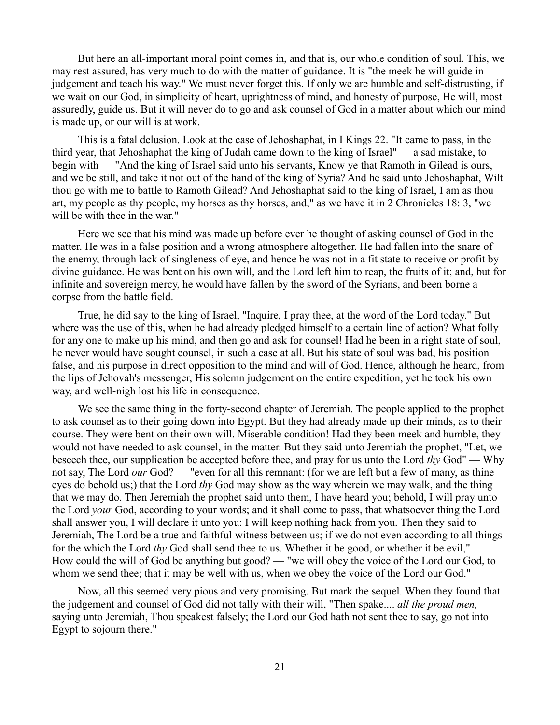But here an all-important moral point comes in, and that is, our whole condition of soul. This, we may rest assured, has very much to do with the matter of guidance. It is "the meek he will guide in judgement and teach his way." We must never forget this. If only we are humble and self-distrusting, if we wait on our God, in simplicity of heart, uprightness of mind, and honesty of purpose, He will, most assuredly, guide us. But it will never do to go and ask counsel of God in a matter about which our mind is made up, or our will is at work.

This is a fatal delusion. Look at the case of Jehoshaphat, in I Kings 22. "It came to pass, in the third year, that Jehoshaphat the king of Judah came down to the king of Israel" — a sad mistake, to begin with — "And the king of Israel said unto his servants, Know ye that Ramoth in Gilead is ours, and we be still, and take it not out of the hand of the king of Syria? And he said unto Jehoshaphat, Wilt thou go with me to battle to Ramoth Gilead? And Jehoshaphat said to the king of Israel, I am as thou art, my people as thy people, my horses as thy horses, and," as we have it in 2 Chronicles 18: 3, "we will be with thee in the war."

Here we see that his mind was made up before ever he thought of asking counsel of God in the matter. He was in a false position and a wrong atmosphere altogether. He had fallen into the snare of the enemy, through lack of singleness of eye, and hence he was not in a fit state to receive or profit by divine guidance. He was bent on his own will, and the Lord left him to reap, the fruits of it; and, but for infinite and sovereign mercy, he would have fallen by the sword of the Syrians, and been borne a corpse from the battle field.

True, he did say to the king of Israel, "Inquire, I pray thee, at the word of the Lord today." But where was the use of this, when he had already pledged himself to a certain line of action? What folly for any one to make up his mind, and then go and ask for counsel! Had he been in a right state of soul, he never would have sought counsel, in such a case at all. But his state of soul was bad, his position false, and his purpose in direct opposition to the mind and will of God. Hence, although he heard, from the lips of Jehovah's messenger, His solemn judgement on the entire expedition, yet he took his own way, and well-nigh lost his life in consequence.

We see the same thing in the forty-second chapter of Jeremiah. The people applied to the prophet to ask counsel as to their going down into Egypt. But they had already made up their minds, as to their course. They were bent on their own will. Miserable condition! Had they been meek and humble, they would not have needed to ask counsel, in the matter. But they said unto Jeremiah the prophet, "Let, we beseech thee, our supplication be accepted before thee, and pray for us unto the Lord *thy* God" — Why not say, The Lord *our* God? — "even for all this remnant: (for we are left but a few of many, as thine eyes do behold us;) that the Lord *thy* God may show as the way wherein we may walk, and the thing that we may do. Then Jeremiah the prophet said unto them, I have heard you; behold, I will pray unto the Lord *your* God, according to your words; and it shall come to pass, that whatsoever thing the Lord shall answer you, I will declare it unto you: I will keep nothing hack from you. Then they said to Jeremiah, The Lord be a true and faithful witness between us; if we do not even according to all things for the which the Lord *thy* God shall send thee to us. Whether it be good, or whether it be evil," — How could the will of God be anything but good? — "we will obey the voice of the Lord our God, to whom we send thee; that it may be well with us, when we obey the voice of the Lord our God."

Now, all this seemed very pious and very promising. But mark the sequel. When they found that the judgement and counsel of God did not tally with their will, "Then spake.... *all the proud men,* saying unto Jeremiah, Thou speakest falsely; the Lord our God hath not sent thee to say, go not into Egypt to sojourn there."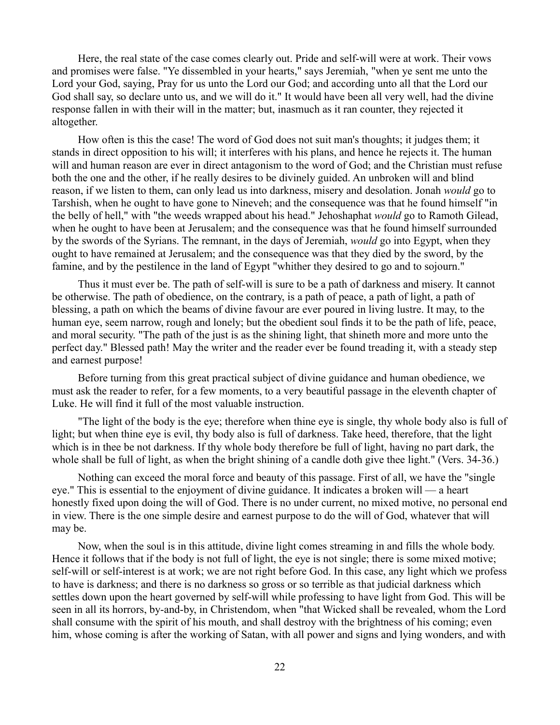Here, the real state of the case comes clearly out. Pride and self-will were at work. Their vows and promises were false. "Ye dissembled in your hearts," says Jeremiah, "when ye sent me unto the Lord your God, saying, Pray for us unto the Lord our God; and according unto all that the Lord our God shall say, so declare unto us, and we will do it." It would have been all very well, had the divine response fallen in with their will in the matter; but, inasmuch as it ran counter, they rejected it altogether.

How often is this the case! The word of God does not suit man's thoughts; it judges them; it stands in direct opposition to his will; it interferes with his plans, and hence he rejects it. The human will and human reason are ever in direct antagonism to the word of God; and the Christian must refuse both the one and the other, if he really desires to be divinely guided. An unbroken will and blind reason, if we listen to them, can only lead us into darkness, misery and desolation. Jonah *would* go to Tarshish, when he ought to have gone to Nineveh; and the consequence was that he found himself "in the belly of hell," with "the weeds wrapped about his head." Jehoshaphat *would* go to Ramoth Gilead, when he ought to have been at Jerusalem; and the consequence was that he found himself surrounded by the swords of the Syrians. The remnant, in the days of Jeremiah, *would* go into Egypt, when they ought to have remained at Jerusalem; and the consequence was that they died by the sword, by the famine, and by the pestilence in the land of Egypt "whither they desired to go and to sojourn."

Thus it must ever be. The path of self-will is sure to be a path of darkness and misery. It cannot be otherwise. The path of obedience, on the contrary, is a path of peace, a path of light, a path of blessing, a path on which the beams of divine favour are ever poured in living lustre. It may, to the human eye, seem narrow, rough and lonely; but the obedient soul finds it to be the path of life, peace, and moral security. "The path of the just is as the shining light, that shineth more and more unto the perfect day." Blessed path! May the writer and the reader ever be found treading it, with a steady step and earnest purpose!

Before turning from this great practical subject of divine guidance and human obedience, we must ask the reader to refer, for a few moments, to a very beautiful passage in the eleventh chapter of Luke. He will find it full of the most valuable instruction.

"The light of the body is the eye; therefore when thine eye is single, thy whole body also is full of light; but when thine eye is evil, thy body also is full of darkness. Take heed, therefore, that the light which is in thee be not darkness. If thy whole body therefore be full of light, having no part dark, the whole shall be full of light, as when the bright shining of a candle doth give thee light." (Vers. 34-36.)

Nothing can exceed the moral force and beauty of this passage. First of all, we have the "single eye." This is essential to the enjoyment of divine guidance. It indicates a broken will — a heart honestly fixed upon doing the will of God. There is no under current, no mixed motive, no personal end in view. There is the one simple desire and earnest purpose to do the will of God, whatever that will may be.

Now, when the soul is in this attitude, divine light comes streaming in and fills the whole body. Hence it follows that if the body is not full of light, the eye is not single; there is some mixed motive; self-will or self-interest is at work; we are not right before God. In this case, any light which we profess to have is darkness; and there is no darkness so gross or so terrible as that judicial darkness which settles down upon the heart governed by self-will while professing to have light from God. This will be seen in all its horrors, by-and-by, in Christendom, when "that Wicked shall be revealed, whom the Lord shall consume with the spirit of his mouth, and shall destroy with the brightness of his coming; even him, whose coming is after the working of Satan, with all power and signs and lying wonders, and with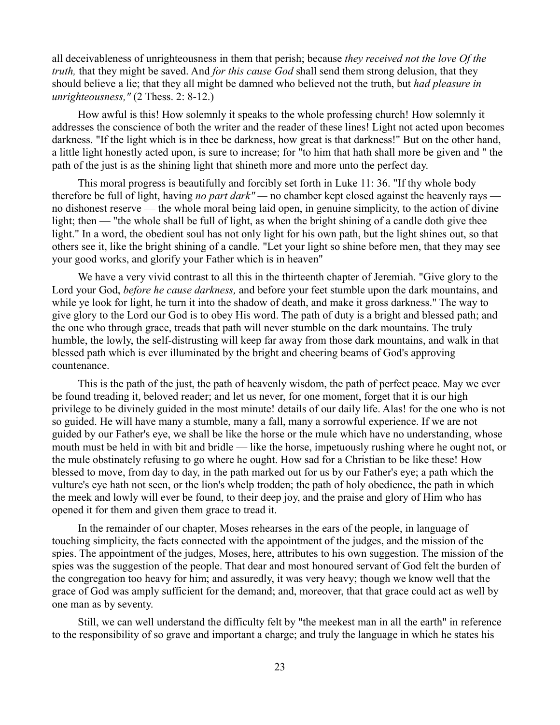all deceivableness of unrighteousness in them that perish; because *they received not the love Of the truth,* that they might be saved. And *for this cause God* shall send them strong delusion, that they should believe a lie; that they all might be damned who believed not the truth, but *had pleasure in unrighteousness,"* (2 Thess. 2: 8-12.)

How awful is this! How solemnly it speaks to the whole professing church! How solemnly it addresses the conscience of both the writer and the reader of these lines! Light not acted upon becomes darkness. "If the light which is in thee be darkness, how great is that darkness!" But on the other hand, a little light honestly acted upon, is sure to increase; for "to him that hath shall more be given and " the path of the just is as the shining light that shineth more and more unto the perfect day.

This moral progress is beautifully and forcibly set forth in Luke 11: 36. "If thy whole body therefore be full of light, having *no part dark" —* no chamber kept closed against the heavenly rays no dishonest reserve — the whole moral being laid open, in genuine simplicity, to the action of divine light; then — "the whole shall be full of light, as when the bright shining of a candle doth give thee light." In a word, the obedient soul has not only light for his own path, but the light shines out, so that others see it, like the bright shining of a candle. "Let your light so shine before men, that they may see your good works, and glorify your Father which is in heaven"

We have a very vivid contrast to all this in the thirteenth chapter of Jeremiah. "Give glory to the Lord your God, *before he cause darkness,* and before your feet stumble upon the dark mountains, and while ye look for light, he turn it into the shadow of death, and make it gross darkness." The way to give glory to the Lord our God is to obey His word. The path of duty is a bright and blessed path; and the one who through grace, treads that path will never stumble on the dark mountains. The truly humble, the lowly, the self-distrusting will keep far away from those dark mountains, and walk in that blessed path which is ever illuminated by the bright and cheering beams of God's approving countenance.

This is the path of the just, the path of heavenly wisdom, the path of perfect peace. May we ever be found treading it, beloved reader; and let us never, for one moment, forget that it is our high privilege to be divinely guided in the most minute! details of our daily life. Alas! for the one who is not so guided. He will have many a stumble, many a fall, many a sorrowful experience. If we are not guided by our Father's eye, we shall be like the horse or the mule which have no understanding, whose mouth must be held in with bit and bridle — like the horse, impetuously rushing where he ought not, or the mule obstinately refusing to go where he ought. How sad for a Christian to be like these! How blessed to move, from day to day, in the path marked out for us by our Father's eye; a path which the vulture's eye hath not seen, or the lion's whelp trodden; the path of holy obedience, the path in which the meek and lowly will ever be found, to their deep joy, and the praise and glory of Him who has opened it for them and given them grace to tread it.

In the remainder of our chapter, Moses rehearses in the ears of the people, in language of touching simplicity, the facts connected with the appointment of the judges, and the mission of the spies. The appointment of the judges, Moses, here, attributes to his own suggestion. The mission of the spies was the suggestion of the people. That dear and most honoured servant of God felt the burden of the congregation too heavy for him; and assuredly, it was very heavy; though we know well that the grace of God was amply sufficient for the demand; and, moreover, that that grace could act as well by one man as by seventy.

Still, we can well understand the difficulty felt by "the meekest man in all the earth" in reference to the responsibility of so grave and important a charge; and truly the language in which he states his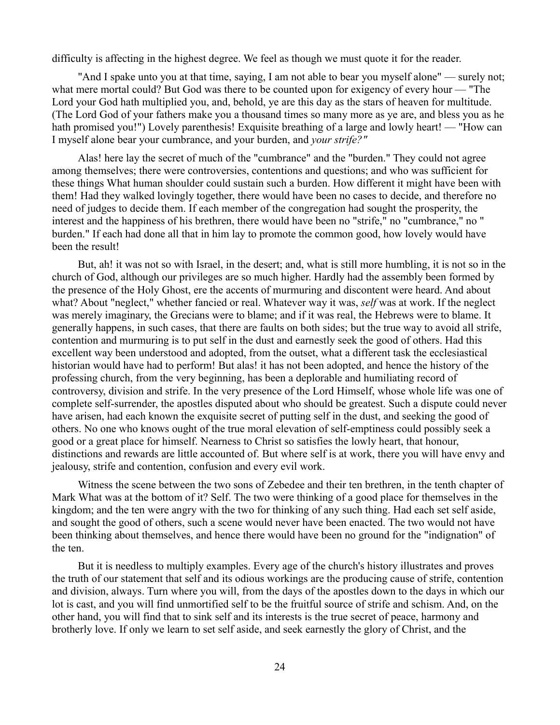difficulty is affecting in the highest degree. We feel as though we must quote it for the reader.

"And I spake unto you at that time, saying, I am not able to bear you myself alone" — surely not; what mere mortal could? But God was there to be counted upon for exigency of every hour — "The Lord your God hath multiplied you, and, behold, ye are this day as the stars of heaven for multitude. (The Lord God of your fathers make you a thousand times so many more as ye are, and bless you as he hath promised you!") Lovely parenthesis! Exquisite breathing of a large and lowly heart! — "How can I myself alone bear your cumbrance, and your burden, and *your strife?"*

Alas! here lay the secret of much of the "cumbrance" and the "burden." They could not agree among themselves; there were controversies, contentions and questions; and who was sufficient for these things What human shoulder could sustain such a burden. How different it might have been with them! Had they walked lovingly together, there would have been no cases to decide, and therefore no need of judges to decide them. If each member of the congregation had sought the prosperity, the interest and the happiness of his brethren, there would have been no "strife," no "cumbrance," no " burden." If each had done all that in him lay to promote the common good, how lovely would have been the result!

But, ah! it was not so with Israel, in the desert; and, what is still more humbling, it is not so in the church of God, although our privileges are so much higher. Hardly had the assembly been formed by the presence of the Holy Ghost, ere the accents of murmuring and discontent were heard. And about what? About "neglect," whether fancied or real. Whatever way it was, *self* was at work. If the neglect was merely imaginary, the Grecians were to blame; and if it was real, the Hebrews were to blame. It generally happens, in such cases, that there are faults on both sides; but the true way to avoid all strife, contention and murmuring is to put self in the dust and earnestly seek the good of others. Had this excellent way been understood and adopted, from the outset, what a different task the ecclesiastical historian would have had to perform! But alas! it has not been adopted, and hence the history of the professing church, from the very beginning, has been a deplorable and humiliating record of controversy, division and strife. In the very presence of the Lord Himself, whose whole life was one of complete self-surrender, the apostles disputed about who should be greatest. Such a dispute could never have arisen, had each known the exquisite secret of putting self in the dust, and seeking the good of others. No one who knows ought of the true moral elevation of self-emptiness could possibly seek a good or a great place for himself. Nearness to Christ so satisfies the lowly heart, that honour, distinctions and rewards are little accounted of. But where self is at work, there you will have envy and jealousy, strife and contention, confusion and every evil work.

Witness the scene between the two sons of Zebedee and their ten brethren, in the tenth chapter of Mark What was at the bottom of it? Self. The two were thinking of a good place for themselves in the kingdom; and the ten were angry with the two for thinking of any such thing. Had each set self aside, and sought the good of others, such a scene would never have been enacted. The two would not have been thinking about themselves, and hence there would have been no ground for the "indignation" of the ten.

But it is needless to multiply examples. Every age of the church's history illustrates and proves the truth of our statement that self and its odious workings are the producing cause of strife, contention and division, always. Turn where you will, from the days of the apostles down to the days in which our lot is cast, and you will find unmortified self to be the fruitful source of strife and schism. And, on the other hand, you will find that to sink self and its interests is the true secret of peace, harmony and brotherly love. If only we learn to set self aside, and seek earnestly the glory of Christ, and the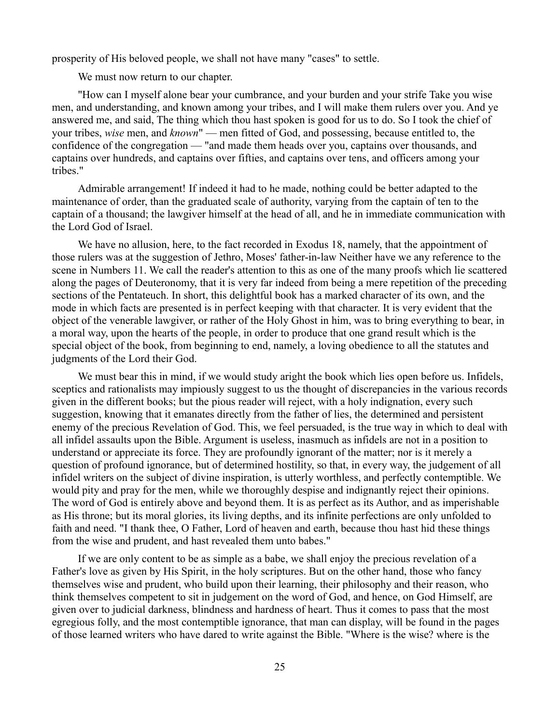prosperity of His beloved people, we shall not have many "cases" to settle.

We must now return to our chapter.

"How can I myself alone bear your cumbrance, and your burden and your strife Take you wise men, and understanding, and known among your tribes, and I will make them rulers over you. And ye answered me, and said, The thing which thou hast spoken is good for us to do. So I took the chief of your tribes, *wise* men, and *known*" — men fitted of God, and possessing, because entitled to, the confidence of the congregation — "and made them heads over you, captains over thousands, and captains over hundreds, and captains over fifties, and captains over tens, and officers among your tribes."

Admirable arrangement! If indeed it had to he made, nothing could be better adapted to the maintenance of order, than the graduated scale of authority, varying from the captain of ten to the captain of a thousand; the lawgiver himself at the head of all, and he in immediate communication with the Lord God of Israel.

We have no allusion, here, to the fact recorded in Exodus 18, namely, that the appointment of those rulers was at the suggestion of Jethro, Moses' father-in-law Neither have we any reference to the scene in Numbers 11. We call the reader's attention to this as one of the many proofs which lie scattered along the pages of Deuteronomy, that it is very far indeed from being a mere repetition of the preceding sections of the Pentateuch. In short, this delightful book has a marked character of its own, and the mode in which facts are presented is in perfect keeping with that character. It is very evident that the object of the venerable lawgiver, or rather of the Holy Ghost in him, was to bring everything to bear, in a moral way, upon the hearts of the people, in order to produce that one grand result which is the special object of the book, from beginning to end, namely, a loving obedience to all the statutes and judgments of the Lord their God.

We must bear this in mind, if we would study aright the book which lies open before us. Infidels, sceptics and rationalists may impiously suggest to us the thought of discrepancies in the various records given in the different books; but the pious reader will reject, with a holy indignation, every such suggestion, knowing that it emanates directly from the father of lies, the determined and persistent enemy of the precious Revelation of God. This, we feel persuaded, is the true way in which to deal with all infidel assaults upon the Bible. Argument is useless, inasmuch as infidels are not in a position to understand or appreciate its force. They are profoundly ignorant of the matter; nor is it merely a question of profound ignorance, but of determined hostility, so that, in every way, the judgement of all infidel writers on the subject of divine inspiration, is utterly worthless, and perfectly contemptible. We would pity and pray for the men, while we thoroughly despise and indignantly reject their opinions. The word of God is entirely above and beyond them. It is as perfect as its Author, and as imperishable as His throne; but its moral glories, its living depths, and its infinite perfections are only unfolded to faith and need. "I thank thee, O Father, Lord of heaven and earth, because thou hast hid these things from the wise and prudent, and hast revealed them unto babes."

If we are only content to be as simple as a babe, we shall enjoy the precious revelation of a Father's love as given by His Spirit, in the holy scriptures. But on the other hand, those who fancy themselves wise and prudent, who build upon their learning, their philosophy and their reason, who think themselves competent to sit in judgement on the word of God, and hence, on God Himself, are given over to judicial darkness, blindness and hardness of heart. Thus it comes to pass that the most egregious folly, and the most contemptible ignorance, that man can display, will be found in the pages of those learned writers who have dared to write against the Bible. "Where is the wise? where is the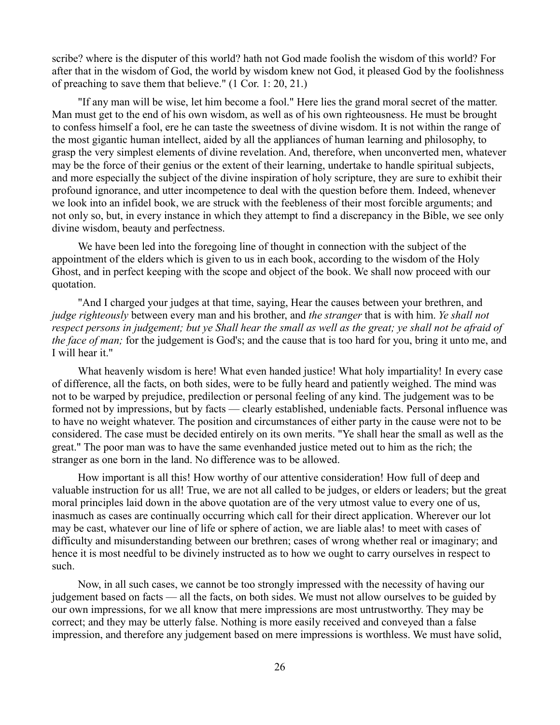scribe? where is the disputer of this world? hath not God made foolish the wisdom of this world? For after that in the wisdom of God, the world by wisdom knew not God, it pleased God by the foolishness of preaching to save them that believe." (1 Cor. 1: 20, 21.)

"If any man will be wise, let him become a fool." Here lies the grand moral secret of the matter. Man must get to the end of his own wisdom, as well as of his own righteousness. He must be brought to confess himself a fool, ere he can taste the sweetness of divine wisdom. It is not within the range of the most gigantic human intellect, aided by all the appliances of human learning and philosophy, to grasp the very simplest elements of divine revelation. And, therefore, when unconverted men, whatever may be the force of their genius or the extent of their learning, undertake to handle spiritual subjects, and more especially the subject of the divine inspiration of holy scripture, they are sure to exhibit their profound ignorance, and utter incompetence to deal with the question before them. Indeed, whenever we look into an infidel book, we are struck with the feebleness of their most forcible arguments; and not only so, but, in every instance in which they attempt to find a discrepancy in the Bible, we see only divine wisdom, beauty and perfectness.

We have been led into the foregoing line of thought in connection with the subject of the appointment of the elders which is given to us in each book, according to the wisdom of the Holy Ghost, and in perfect keeping with the scope and object of the book. We shall now proceed with our quotation.

"And I charged your judges at that time, saying, Hear the causes between your brethren, and *judge righteously* between every man and his brother, and *the stranger* that is with him. *Ye shall not respect persons in judgement; but ye Shall hear the small as well as the great; ye shall not be afraid of the face of man;* for the judgement is God's; and the cause that is too hard for you, bring it unto me, and I will hear it."

What heavenly wisdom is here! What even handed justice! What holy impartiality! In every case of difference, all the facts, on both sides, were to be fully heard and patiently weighed. The mind was not to be warped by prejudice, predilection or personal feeling of any kind. The judgement was to be formed not by impressions, but by facts — clearly established, undeniable facts. Personal influence was to have no weight whatever. The position and circumstances of either party in the cause were not to be considered. The case must be decided entirely on its own merits. "Ye shall hear the small as well as the great." The poor man was to have the same evenhanded justice meted out to him as the rich; the stranger as one born in the land. No difference was to be allowed.

How important is all this! How worthy of our attentive consideration! How full of deep and valuable instruction for us all! True, we are not all called to be judges, or elders or leaders; but the great moral principles laid down in the above quotation are of the very utmost value to every one of us, inasmuch as cases are continually occurring which call for their direct application. Wherever our lot may be cast, whatever our line of life or sphere of action, we are liable alas! to meet with cases of difficulty and misunderstanding between our brethren; cases of wrong whether real or imaginary; and hence it is most needful to be divinely instructed as to how we ought to carry ourselves in respect to such.

Now, in all such cases, we cannot be too strongly impressed with the necessity of having our judgement based on facts — all the facts, on both sides. We must not allow ourselves to be guided by our own impressions, for we all know that mere impressions are most untrustworthy. They may be correct; and they may be utterly false. Nothing is more easily received and conveyed than a false impression, and therefore any judgement based on mere impressions is worthless. We must have solid,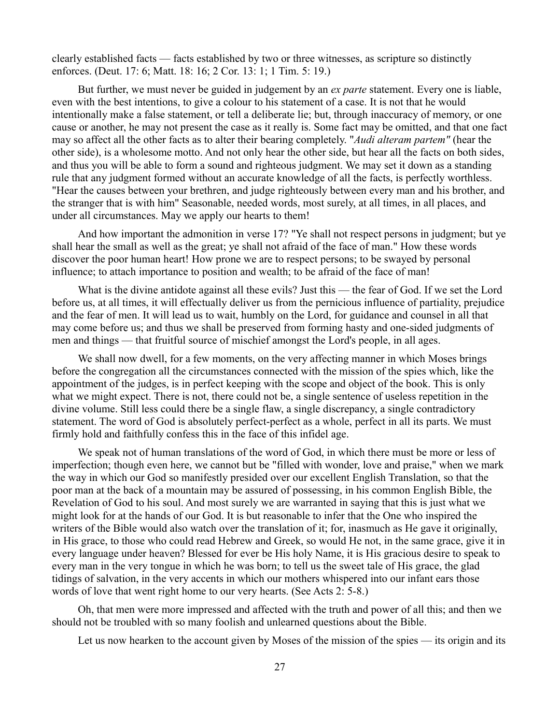clearly established facts — facts established by two or three witnesses, as scripture so distinctly enforces. (Deut. 17: 6; Matt. 18: 16; 2 Cor. 13: 1; 1 Tim. 5: 19.)

But further, we must never be guided in judgement by an *ex parte* statement. Every one is liable, even with the best intentions, to give a colour to his statement of a case. It is not that he would intentionally make a false statement, or tell a deliberate lie; but, through inaccuracy of memory, or one cause or another, he may not present the case as it really is. Some fact may be omitted, and that one fact may so affect all the other facts as to alter their bearing completely. "*Audi alteram partem"* (hear the other side), is a wholesome motto. And not only hear the other side, but hear all the facts on both sides, and thus you will be able to form a sound and righteous judgment. We may set it down as a standing rule that any judgment formed without an accurate knowledge of all the facts, is perfectly worthless. "Hear the causes between your brethren, and judge righteously between every man and his brother, and the stranger that is with him" Seasonable, needed words, most surely, at all times, in all places, and under all circumstances. May we apply our hearts to them!

And how important the admonition in verse 17? "Ye shall not respect persons in judgment; but ye shall hear the small as well as the great; ye shall not afraid of the face of man." How these words discover the poor human heart! How prone we are to respect persons; to be swayed by personal influence; to attach importance to position and wealth; to be afraid of the face of man!

What is the divine antidote against all these evils? Just this — the fear of God. If we set the Lord before us, at all times, it will effectually deliver us from the pernicious influence of partiality, prejudice and the fear of men. It will lead us to wait, humbly on the Lord, for guidance and counsel in all that may come before us; and thus we shall be preserved from forming hasty and one-sided judgments of men and things — that fruitful source of mischief amongst the Lord's people, in all ages.

We shall now dwell, for a few moments, on the very affecting manner in which Moses brings before the congregation all the circumstances connected with the mission of the spies which, like the appointment of the judges, is in perfect keeping with the scope and object of the book. This is only what we might expect. There is not, there could not be, a single sentence of useless repetition in the divine volume. Still less could there be a single flaw, a single discrepancy, a single contradictory statement. The word of God is absolutely perfect-perfect as a whole, perfect in all its parts. We must firmly hold and faithfully confess this in the face of this infidel age.

We speak not of human translations of the word of God, in which there must be more or less of imperfection; though even here, we cannot but be "filled with wonder, love and praise," when we mark the way in which our God so manifestly presided over our excellent English Translation, so that the poor man at the back of a mountain may be assured of possessing, in his common English Bible, the Revelation of God to his soul. And most surely we are warranted in saying that this is just what we might look for at the hands of our God. It is but reasonable to infer that the One who inspired the writers of the Bible would also watch over the translation of it; for, inasmuch as He gave it originally, in His grace, to those who could read Hebrew and Greek, so would He not, in the same grace, give it in every language under heaven? Blessed for ever be His holy Name, it is His gracious desire to speak to every man in the very tongue in which he was born; to tell us the sweet tale of His grace, the glad tidings of salvation, in the very accents in which our mothers whispered into our infant ears those words of love that went right home to our very hearts. (See Acts 2: 5-8.)

Oh, that men were more impressed and affected with the truth and power of all this; and then we should not be troubled with so many foolish and unlearned questions about the Bible.

Let us now hearken to the account given by Moses of the mission of the spies — its origin and its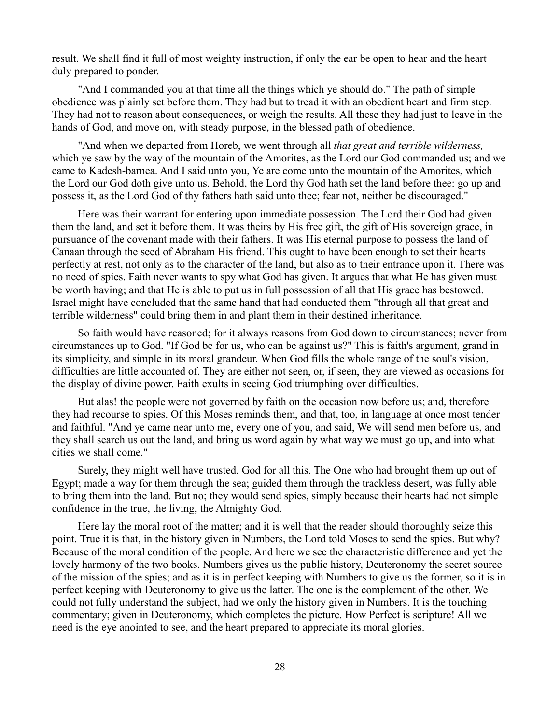result. We shall find it full of most weighty instruction, if only the ear be open to hear and the heart duly prepared to ponder.

"And I commanded you at that time all the things which ye should do." The path of simple obedience was plainly set before them. They had but to tread it with an obedient heart and firm step. They had not to reason about consequences, or weigh the results. All these they had just to leave in the hands of God, and move on, with steady purpose, in the blessed path of obedience.

"And when we departed from Horeb, we went through all *that great and terrible wilderness,* which ye saw by the way of the mountain of the Amorites, as the Lord our God commanded us; and we came to Kadesh-barnea. And I said unto you, Ye are come unto the mountain of the Amorites, which the Lord our God doth give unto us. Behold, the Lord thy God hath set the land before thee: go up and possess it, as the Lord God of thy fathers hath said unto thee; fear not, neither be discouraged."

Here was their warrant for entering upon immediate possession. The Lord their God had given them the land, and set it before them. It was theirs by His free gift, the gift of His sovereign grace, in pursuance of the covenant made with their fathers. It was His eternal purpose to possess the land of Canaan through the seed of Abraham His friend. This ought to have been enough to set their hearts perfectly at rest, not only as to the character of the land, but also as to their entrance upon it. There was no need of spies. Faith never wants to spy what God has given. It argues that what He has given must be worth having; and that He is able to put us in full possession of all that His grace has bestowed. Israel might have concluded that the same hand that had conducted them "through all that great and terrible wilderness" could bring them in and plant them in their destined inheritance.

So faith would have reasoned; for it always reasons from God down to circumstances; never from circumstances up to God. "If God be for us, who can be against us?" This is faith's argument, grand in its simplicity, and simple in its moral grandeur. When God fills the whole range of the soul's vision, difficulties are little accounted of. They are either not seen, or, if seen, they are viewed as occasions for the display of divine power. Faith exults in seeing God triumphing over difficulties.

But alas! the people were not governed by faith on the occasion now before us; and, therefore they had recourse to spies. Of this Moses reminds them, and that, too, in language at once most tender and faithful. "And ye came near unto me, every one of you, and said, We will send men before us, and they shall search us out the land, and bring us word again by what way we must go up, and into what cities we shall come."

Surely, they might well have trusted. God for all this. The One who had brought them up out of Egypt; made a way for them through the sea; guided them through the trackless desert, was fully able to bring them into the land. But no; they would send spies, simply because their hearts had not simple confidence in the true, the living, the Almighty God.

Here lay the moral root of the matter; and it is well that the reader should thoroughly seize this point. True it is that, in the history given in Numbers, the Lord told Moses to send the spies. But why? Because of the moral condition of the people. And here we see the characteristic difference and yet the lovely harmony of the two books. Numbers gives us the public history, Deuteronomy the secret source of the mission of the spies; and as it is in perfect keeping with Numbers to give us the former, so it is in perfect keeping with Deuteronomy to give us the latter. The one is the complement of the other. We could not fully understand the subject, had we only the history given in Numbers. It is the touching commentary; given in Deuteronomy, which completes the picture. How Perfect is scripture! All we need is the eye anointed to see, and the heart prepared to appreciate its moral glories.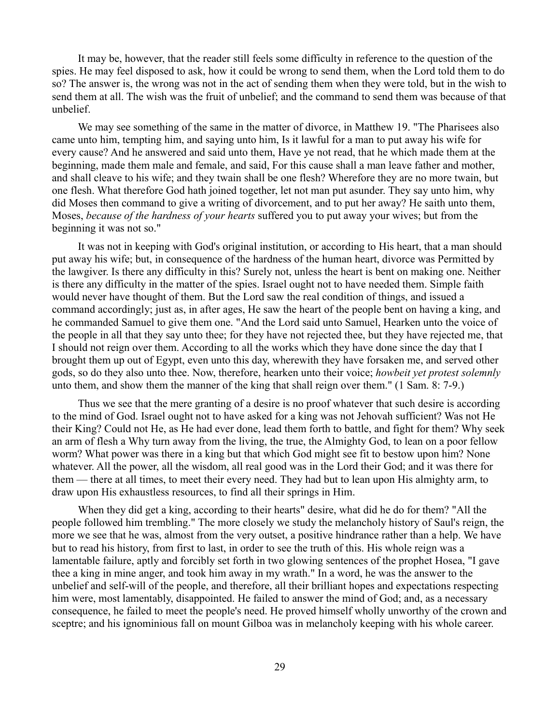It may be, however, that the reader still feels some difficulty in reference to the question of the spies. He may feel disposed to ask, how it could be wrong to send them, when the Lord told them to do so? The answer is, the wrong was not in the act of sending them when they were told, but in the wish to send them at all. The wish was the fruit of unbelief; and the command to send them was because of that unbelief.

We may see something of the same in the matter of divorce, in Matthew 19. "The Pharisees also came unto him, tempting him, and saying unto him, Is it lawful for a man to put away his wife for every cause? And he answered and said unto them, Have ye not read, that he which made them at the beginning, made them male and female, and said, For this cause shall a man leave father and mother, and shall cleave to his wife; and they twain shall be one flesh? Wherefore they are no more twain, but one flesh. What therefore God hath joined together, let not man put asunder. They say unto him, why did Moses then command to give a writing of divorcement, and to put her away? He saith unto them, Moses, *because of the hardness of your hearts* suffered you to put away your wives; but from the beginning it was not so."

It was not in keeping with God's original institution, or according to His heart, that a man should put away his wife; but, in consequence of the hardness of the human heart, divorce was Permitted by the lawgiver. Is there any difficulty in this? Surely not, unless the heart is bent on making one. Neither is there any difficulty in the matter of the spies. Israel ought not to have needed them. Simple faith would never have thought of them. But the Lord saw the real condition of things, and issued a command accordingly; just as, in after ages, He saw the heart of the people bent on having a king, and he commanded Samuel to give them one. "And the Lord said unto Samuel, Hearken unto the voice of the people in all that they say unto thee; for they have not rejected thee, but they have rejected me, that I should not reign over them. According to all the works which they have done since the day that I brought them up out of Egypt, even unto this day, wherewith they have forsaken me, and served other gods, so do they also unto thee. Now, therefore, hearken unto their voice; *howbeit yet protest solemnly* unto them, and show them the manner of the king that shall reign over them." (1 Sam. 8: 7-9.)

Thus we see that the mere granting of a desire is no proof whatever that such desire is according to the mind of God. Israel ought not to have asked for a king was not Jehovah sufficient? Was not He their King? Could not He, as He had ever done, lead them forth to battle, and fight for them? Why seek an arm of flesh a Why turn away from the living, the true, the Almighty God, to lean on a poor fellow worm? What power was there in a king but that which God might see fit to bestow upon him? None whatever. All the power, all the wisdom, all real good was in the Lord their God; and it was there for them — there at all times, to meet their every need. They had but to lean upon His almighty arm, to draw upon His exhaustless resources, to find all their springs in Him.

When they did get a king, according to their hearts" desire, what did he do for them? "All the people followed him trembling." The more closely we study the melancholy history of Saul's reign, the more we see that he was, almost from the very outset, a positive hindrance rather than a help. We have but to read his history, from first to last, in order to see the truth of this. His whole reign was a lamentable failure, aptly and forcibly set forth in two glowing sentences of the prophet Hosea, "I gave thee a king in mine anger, and took him away in my wrath." In a word, he was the answer to the unbelief and self-will of the people, and therefore, all their brilliant hopes and expectations respecting him were, most lamentably, disappointed. He failed to answer the mind of God; and, as a necessary consequence, he failed to meet the people's need. He proved himself wholly unworthy of the crown and sceptre; and his ignominious fall on mount Gilboa was in melancholy keeping with his whole career.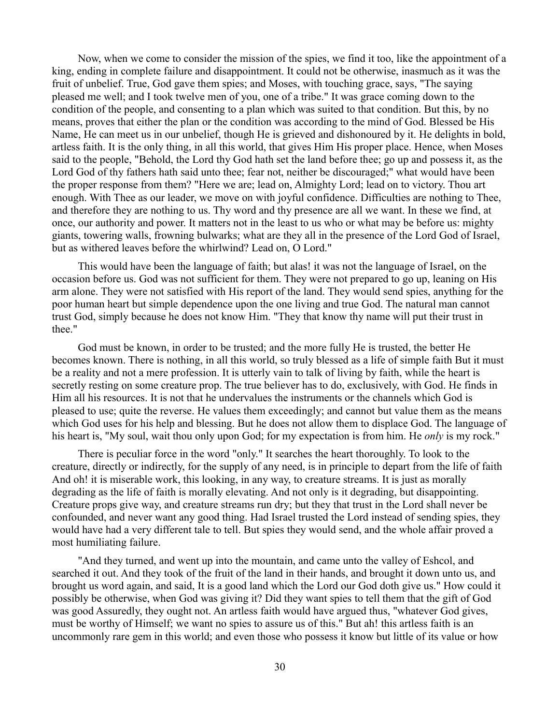Now, when we come to consider the mission of the spies, we find it too, like the appointment of a king, ending in complete failure and disappointment. It could not be otherwise, inasmuch as it was the fruit of unbelief. True, God gave them spies; and Moses, with touching grace, says, "The saying pleased me well; and I took twelve men of you, one of a tribe." It was grace coming down to the condition of the people, and consenting to a plan which was suited to that condition. But this, by no means, proves that either the plan or the condition was according to the mind of God. Blessed be His Name, He can meet us in our unbelief, though He is grieved and dishonoured by it. He delights in bold, artless faith. It is the only thing, in all this world, that gives Him His proper place. Hence, when Moses said to the people, "Behold, the Lord thy God hath set the land before thee; go up and possess it, as the Lord God of thy fathers hath said unto thee; fear not, neither be discouraged;" what would have been the proper response from them? "Here we are; lead on, Almighty Lord; lead on to victory. Thou art enough. With Thee as our leader, we move on with joyful confidence. Difficulties are nothing to Thee, and therefore they are nothing to us. Thy word and thy presence are all we want. In these we find, at once, our authority and power. It matters not in the least to us who or what may be before us: mighty giants, towering walls, frowning bulwarks; what are they all in the presence of the Lord God of Israel, but as withered leaves before the whirlwind? Lead on, O Lord."

This would have been the language of faith; but alas! it was not the language of Israel, on the occasion before us. God was not sufficient for them. They were not prepared to go up, leaning on His arm alone. They were not satisfied with His report of the land. They would send spies, anything for the poor human heart but simple dependence upon the one living and true God. The natural man cannot trust God, simply because he does not know Him. "They that know thy name will put their trust in thee."

God must be known, in order to be trusted; and the more fully He is trusted, the better He becomes known. There is nothing, in all this world, so truly blessed as a life of simple faith But it must be a reality and not a mere profession. It is utterly vain to talk of living by faith, while the heart is secretly resting on some creature prop. The true believer has to do, exclusively, with God. He finds in Him all his resources. It is not that he undervalues the instruments or the channels which God is pleased to use; quite the reverse. He values them exceedingly; and cannot but value them as the means which God uses for his help and blessing. But he does not allow them to displace God. The language of his heart is, "My soul, wait thou only upon God; for my expectation is from him. He *only* is my rock."

There is peculiar force in the word "only." It searches the heart thoroughly. To look to the creature, directly or indirectly, for the supply of any need, is in principle to depart from the life of faith And oh! it is miserable work, this looking, in any way, to creature streams. It is just as morally degrading as the life of faith is morally elevating. And not only is it degrading, but disappointing. Creature props give way, and creature streams run dry; but they that trust in the Lord shall never be confounded, and never want any good thing. Had Israel trusted the Lord instead of sending spies, they would have had a very different tale to tell. But spies they would send, and the whole affair proved a most humiliating failure.

"And they turned, and went up into the mountain, and came unto the valley of Eshcol, and searched it out. And they took of the fruit of the land in their hands, and brought it down unto us, and brought us word again, and said, It is a good land which the Lord our God doth give us." How could it possibly be otherwise, when God was giving it? Did they want spies to tell them that the gift of God was good Assuredly, they ought not. An artless faith would have argued thus, "whatever God gives, must be worthy of Himself; we want no spies to assure us of this." But ah! this artless faith is an uncommonly rare gem in this world; and even those who possess it know but little of its value or how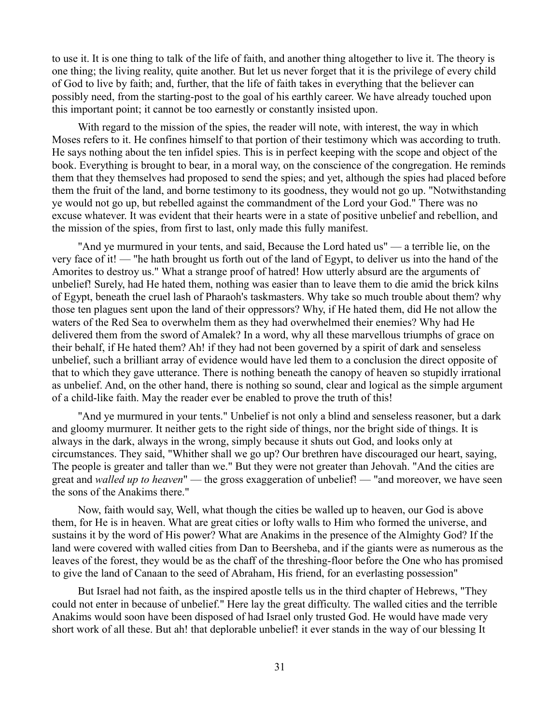to use it. It is one thing to talk of the life of faith, and another thing altogether to live it. The theory is one thing; the living reality, quite another. But let us never forget that it is the privilege of every child of God to live by faith; and, further, that the life of faith takes in everything that the believer can possibly need, from the starting-post to the goal of his earthly career. We have already touched upon this important point; it cannot be too earnestly or constantly insisted upon.

With regard to the mission of the spies, the reader will note, with interest, the way in which Moses refers to it. He confines himself to that portion of their testimony which was according to truth. He says nothing about the ten infidel spies. This is in perfect keeping with the scope and object of the book. Everything is brought to bear, in a moral way, on the conscience of the congregation. He reminds them that they themselves had proposed to send the spies; and yet, although the spies had placed before them the fruit of the land, and borne testimony to its goodness, they would not go up. "Notwithstanding ye would not go up, but rebelled against the commandment of the Lord your God." There was no excuse whatever. It was evident that their hearts were in a state of positive unbelief and rebellion, and the mission of the spies, from first to last, only made this fully manifest.

"And ye murmured in your tents, and said, Because the Lord hated us" — a terrible lie, on the very face of it! — "he hath brought us forth out of the land of Egypt, to deliver us into the hand of the Amorites to destroy us." What a strange proof of hatred! How utterly absurd are the arguments of unbelief! Surely, had He hated them, nothing was easier than to leave them to die amid the brick kilns of Egypt, beneath the cruel lash of Pharaoh's taskmasters. Why take so much trouble about them? why those ten plagues sent upon the land of their oppressors? Why, if He hated them, did He not allow the waters of the Red Sea to overwhelm them as they had overwhelmed their enemies? Why had He delivered them from the sword of Amalek? In a word, why all these marvellous triumphs of grace on their behalf, if He hated them? Ah! if they had not been governed by a spirit of dark and senseless unbelief, such a brilliant array of evidence would have led them to a conclusion the direct opposite of that to which they gave utterance. There is nothing beneath the canopy of heaven so stupidly irrational as unbelief. And, on the other hand, there is nothing so sound, clear and logical as the simple argument of a child-like faith. May the reader ever be enabled to prove the truth of this!

"And ye murmured in your tents." Unbelief is not only a blind and senseless reasoner, but a dark and gloomy murmurer. It neither gets to the right side of things, nor the bright side of things. It is always in the dark, always in the wrong, simply because it shuts out God, and looks only at circumstances. They said, "Whither shall we go up? Our brethren have discouraged our heart, saying, The people is greater and taller than we." But they were not greater than Jehovah. "And the cities are great and *walled up to heaven*" — the gross exaggeration of unbelief! — "and moreover, we have seen the sons of the Anakims there."

Now, faith would say, Well, what though the cities be walled up to heaven, our God is above them, for He is in heaven. What are great cities or lofty walls to Him who formed the universe, and sustains it by the word of His power? What are Anakims in the presence of the Almighty God? If the land were covered with walled cities from Dan to Beersheba, and if the giants were as numerous as the leaves of the forest, they would be as the chaff of the threshing-floor before the One who has promised to give the land of Canaan to the seed of Abraham, His friend, for an everlasting possession"

But Israel had not faith, as the inspired apostle tells us in the third chapter of Hebrews, "They could not enter in because of unbelief." Here lay the great difficulty. The walled cities and the terrible Anakims would soon have been disposed of had Israel only trusted God. He would have made very short work of all these. But ah! that deplorable unbelief! it ever stands in the way of our blessing It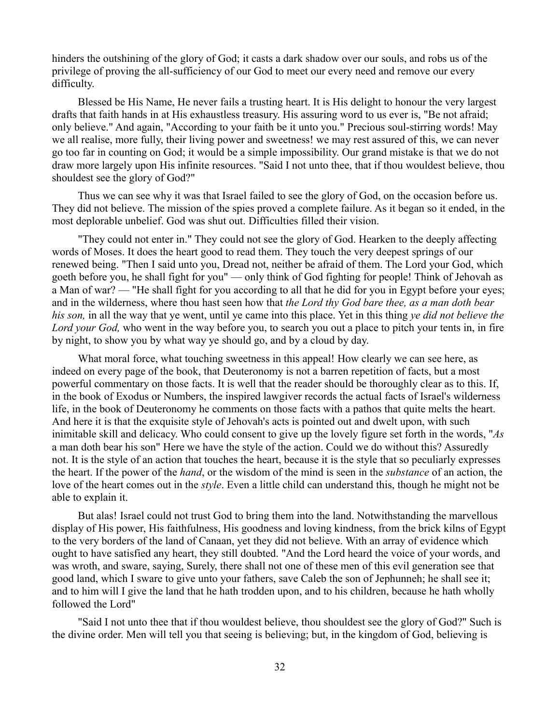hinders the outshining of the glory of God; it casts a dark shadow over our souls, and robs us of the privilege of proving the all-sufficiency of our God to meet our every need and remove our every difficulty.

Blessed be His Name, He never fails a trusting heart. It is His delight to honour the very largest drafts that faith hands in at His exhaustless treasury. His assuring word to us ever is, "Be not afraid; only believe." And again, "According to your faith be it unto you." Precious soul-stirring words! May we all realise, more fully, their living power and sweetness! we may rest assured of this, we can never go too far in counting on God; it would be a simple impossibility. Our grand mistake is that we do not draw more largely upon His infinite resources. "Said I not unto thee, that if thou wouldest believe, thou shouldest see the glory of God?"

Thus we can see why it was that Israel failed to see the glory of God, on the occasion before us. They did not believe. The mission of the spies proved a complete failure. As it began so it ended, in the most deplorable unbelief. God was shut out. Difficulties filled their vision.

"They could not enter in." They could not see the glory of God. Hearken to the deeply affecting words of Moses. It does the heart good to read them. They touch the very deepest springs of our renewed being. "Then I said unto you, Dread not, neither be afraid of them. The Lord your God, which goeth before you, he shall fight for you" — only think of God fighting for people! Think of Jehovah as a Man of war? — "He shall fight for you according to all that he did for you in Egypt before your eyes; and in the wilderness, where thou hast seen how that *the Lord thy God bare thee, as a man doth bear his son,* in all the way that ye went, until ye came into this place. Yet in this thing *ye did not believe the Lord your God,* who went in the way before you, to search you out a place to pitch your tents in, in fire by night, to show you by what way ye should go, and by a cloud by day.

What moral force, what touching sweetness in this appeal! How clearly we can see here, as indeed on every page of the book, that Deuteronomy is not a barren repetition of facts, but a most powerful commentary on those facts. It is well that the reader should be thoroughly clear as to this. If, in the book of Exodus or Numbers, the inspired lawgiver records the actual facts of Israel's wilderness life, in the book of Deuteronomy he comments on those facts with a pathos that quite melts the heart. And here it is that the exquisite style of Jehovah's acts is pointed out and dwelt upon, with such inimitable skill and delicacy. Who could consent to give up the lovely figure set forth in the words, "*As* a man doth bear his son" Here we have the style of the action. Could we do without this? Assuredly not. It is the style of an action that touches the heart, because it is the style that so peculiarly expresses the heart. If the power of the *hand*, or the wisdom of the mind is seen in the *substance* of an action, the love of the heart comes out in the *style*. Even a little child can understand this, though he might not be able to explain it.

But alas! Israel could not trust God to bring them into the land. Notwithstanding the marvellous display of His power, His faithfulness, His goodness and loving kindness, from the brick kilns of Egypt to the very borders of the land of Canaan, yet they did not believe. With an array of evidence which ought to have satisfied any heart, they still doubted. "And the Lord heard the voice of your words, and was wroth, and sware, saying, Surely, there shall not one of these men of this evil generation see that good land, which I sware to give unto your fathers, save Caleb the son of Jephunneh; he shall see it; and to him will I give the land that he hath trodden upon, and to his children, because he hath wholly followed the Lord"

"Said I not unto thee that if thou wouldest believe, thou shouldest see the glory of God?" Such is the divine order. Men will tell you that seeing is believing; but, in the kingdom of God, believing is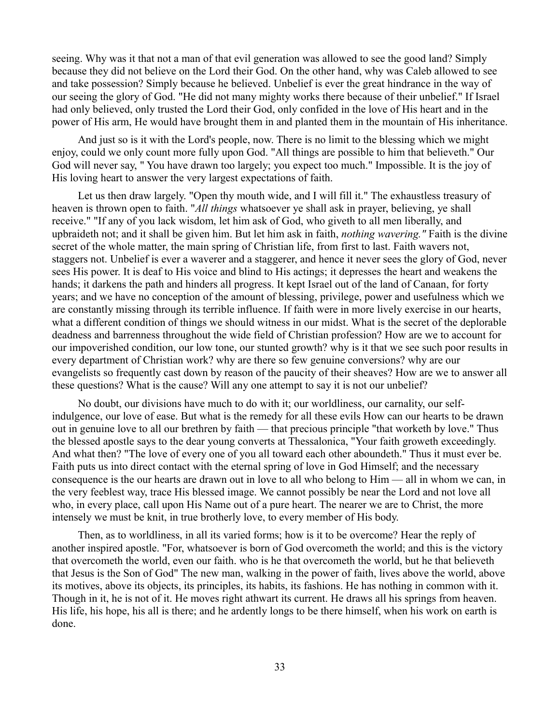seeing. Why was it that not a man of that evil generation was allowed to see the good land? Simply because they did not believe on the Lord their God. On the other hand, why was Caleb allowed to see and take possession? Simply because he believed. Unbelief is ever the great hindrance in the way of our seeing the glory of God. "He did not many mighty works there because of their unbelief." If Israel had only believed, only trusted the Lord their God, only confided in the love of His heart and in the power of His arm, He would have brought them in and planted them in the mountain of His inheritance.

And just so is it with the Lord's people, now. There is no limit to the blessing which we might enjoy, could we only count more fully upon God. "All things are possible to him that believeth." Our God will never say, " You have drawn too largely; you expect too much." Impossible. It is the joy of His loving heart to answer the very largest expectations of faith.

Let us then draw largely. "Open thy mouth wide, and I will fill it." The exhaustless treasury of heaven is thrown open to faith. "*All things* whatsoever ye shall ask in prayer, believing, ye shall receive." "If any of you lack wisdom, let him ask of God, who giveth to all men liberally, and upbraideth not; and it shall be given him. But let him ask in faith, *nothing wavering."* Faith is the divine secret of the whole matter, the main spring of Christian life, from first to last. Faith wavers not, staggers not. Unbelief is ever a waverer and a staggerer, and hence it never sees the glory of God, never sees His power. It is deaf to His voice and blind to His actings; it depresses the heart and weakens the hands; it darkens the path and hinders all progress. It kept Israel out of the land of Canaan, for forty years; and we have no conception of the amount of blessing, privilege, power and usefulness which we are constantly missing through its terrible influence. If faith were in more lively exercise in our hearts, what a different condition of things we should witness in our midst. What is the secret of the deplorable deadness and barrenness throughout the wide field of Christian profession? How are we to account for our impoverished condition, our low tone, our stunted growth? why is it that we see such poor results in every department of Christian work? why are there so few genuine conversions? why are our evangelists so frequently cast down by reason of the paucity of their sheaves? How are we to answer all these questions? What is the cause? Will any one attempt to say it is not our unbelief?

No doubt, our divisions have much to do with it; our worldliness, our carnality, our selfindulgence, our love of ease. But what is the remedy for all these evils How can our hearts to be drawn out in genuine love to all our brethren by faith — that precious principle "that worketh by love." Thus the blessed apostle says to the dear young converts at Thessalonica, "Your faith groweth exceedingly. And what then? "The love of every one of you all toward each other aboundeth." Thus it must ever be. Faith puts us into direct contact with the eternal spring of love in God Himself; and the necessary consequence is the our hearts are drawn out in love to all who belong to Him — all in whom we can, in the very feeblest way, trace His blessed image. We cannot possibly be near the Lord and not love all who, in every place, call upon His Name out of a pure heart. The nearer we are to Christ, the more intensely we must be knit, in true brotherly love, to every member of His body.

Then, as to worldliness, in all its varied forms; how is it to be overcome? Hear the reply of another inspired apostle. "For, whatsoever is born of God overcometh the world; and this is the victory that overcometh the world, even our faith. who is he that overcometh the world, but he that believeth that Jesus is the Son of God" The new man, walking in the power of faith, lives above the world, above its motives, above its objects, its principles, its habits, its fashions. He has nothing in common with it. Though in it, he is not of it. He moves right athwart its current. He draws all his springs from heaven. His life, his hope, his all is there; and he ardently longs to be there himself, when his work on earth is done.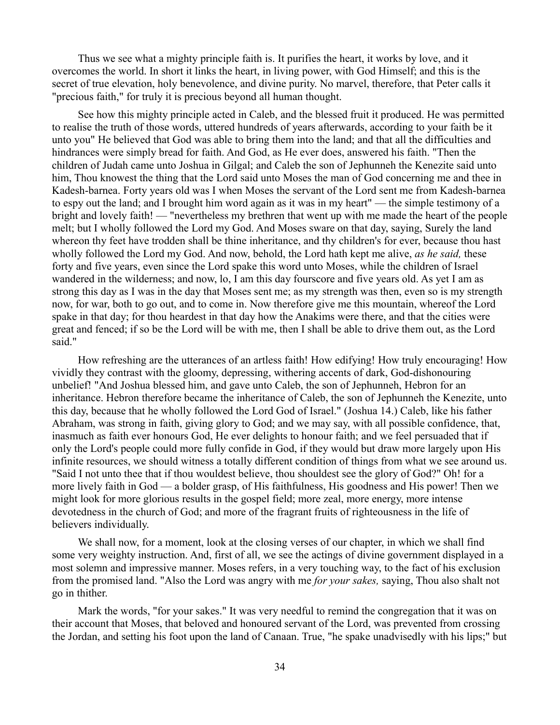Thus we see what a mighty principle faith is. It purifies the heart, it works by love, and it overcomes the world. In short it links the heart, in living power, with God Himself; and this is the secret of true elevation, holy benevolence, and divine purity. No marvel, therefore, that Peter calls it "precious faith," for truly it is precious beyond all human thought.

See how this mighty principle acted in Caleb, and the blessed fruit it produced. He was permitted to realise the truth of those words, uttered hundreds of years afterwards, according to your faith be it unto you" He believed that God was able to bring them into the land; and that all the difficulties and hindrances were simply bread for faith. And God, as He ever does, answered his faith. "Then the children of Judah came unto Joshua in Gilgal; and Caleb the son of Jephunneh the Kenezite said unto him, Thou knowest the thing that the Lord said unto Moses the man of God concerning me and thee in Kadesh-barnea. Forty years old was I when Moses the servant of the Lord sent me from Kadesh-barnea to espy out the land; and I brought him word again as it was in my heart" — the simple testimony of a bright and lovely faith! — "nevertheless my brethren that went up with me made the heart of the people melt; but I wholly followed the Lord my God. And Moses sware on that day, saying, Surely the land whereon thy feet have trodden shall be thine inheritance, and thy children's for ever, because thou hast wholly followed the Lord my God. And now, behold, the Lord hath kept me alive, *as he said,* these forty and five years, even since the Lord spake this word unto Moses, while the children of Israel wandered in the wilderness; and now, lo, I am this day fourscore and five years old. As yet I am as strong this day as I was in the day that Moses sent me; as my strength was then, even so is my strength now, for war, both to go out, and to come in. Now therefore give me this mountain, whereof the Lord spake in that day; for thou heardest in that day how the Anakims were there, and that the cities were great and fenced; if so be the Lord will be with me, then I shall be able to drive them out, as the Lord said."

How refreshing are the utterances of an artless faith! How edifying! How truly encouraging! How vividly they contrast with the gloomy, depressing, withering accents of dark, God-dishonouring unbelief! "And Joshua blessed him, and gave unto Caleb, the son of Jephunneh, Hebron for an inheritance. Hebron therefore became the inheritance of Caleb, the son of Jephunneh the Kenezite, unto this day, because that he wholly followed the Lord God of Israel." (Joshua 14.) Caleb, like his father Abraham, was strong in faith, giving glory to God; and we may say, with all possible confidence, that, inasmuch as faith ever honours God, He ever delights to honour faith; and we feel persuaded that if only the Lord's people could more fully confide in God, if they would but draw more largely upon His infinite resources, we should witness a totally different condition of things from what we see around us. "Said I not unto thee that if thou wouldest believe, thou shouldest see the glory of God?" Oh! for a more lively faith in God — a bolder grasp, of His faithfulness, His goodness and His power! Then we might look for more glorious results in the gospel field; more zeal, more energy, more intense devotedness in the church of God; and more of the fragrant fruits of righteousness in the life of believers individually.

We shall now, for a moment, look at the closing verses of our chapter, in which we shall find some very weighty instruction. And, first of all, we see the actings of divine government displayed in a most solemn and impressive manner. Moses refers, in a very touching way, to the fact of his exclusion from the promised land. "Also the Lord was angry with me *for your sakes,* saying, Thou also shalt not go in thither.

Mark the words, "for your sakes." It was very needful to remind the congregation that it was on their account that Moses, that beloved and honoured servant of the Lord, was prevented from crossing the Jordan, and setting his foot upon the land of Canaan. True, "he spake unadvisedly with his lips;" but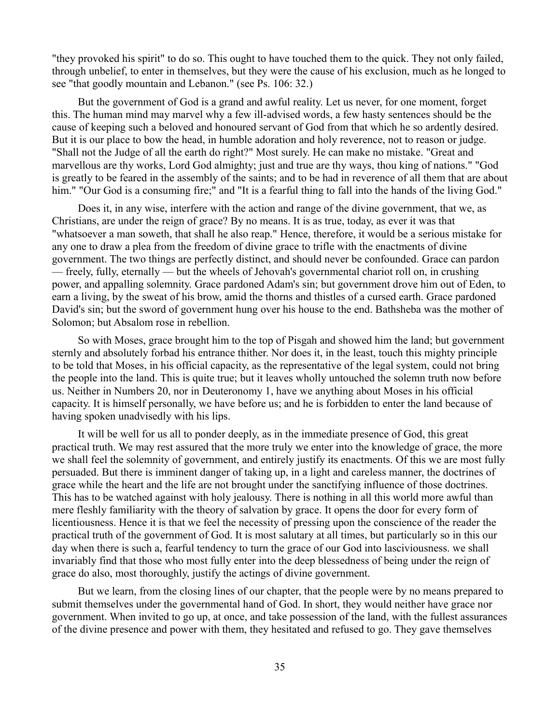"they provoked his spirit" to do so. This ought to have touched them to the quick. They not only failed, through unbelief, to enter in themselves, but they were the cause of his exclusion, much as he longed to see "that goodly mountain and Lebanon." (see Ps. 106: 32.)

But the government of God is a grand and awful reality. Let us never, for one moment, forget this. The human mind may marvel why a few ill-advised words, a few hasty sentences should be the cause of keeping such a beloved and honoured servant of God from that which he so ardently desired. But it is our place to bow the head, in humble adoration and holy reverence, not to reason or judge. "Shall not the Judge of all the earth do right?" Most surely. He can make no mistake. "Great and marvellous are thy works, Lord God almighty; just and true are thy ways, thou king of nations." "God is greatly to be feared in the assembly of the saints; and to be had in reverence of all them that are about him." "Our God is a consuming fire;" and "It is a fearful thing to fall into the hands of the living God."

Does it, in any wise, interfere with the action and range of the divine government, that we, as Christians, are under the reign of grace? By no means. It is as true, today, as ever it was that "whatsoever a man soweth, that shall he also reap." Hence, therefore, it would be a serious mistake for any one to draw a plea from the freedom of divine grace to trifle with the enactments of divine government. The two things are perfectly distinct, and should never be confounded. Grace can pardon — freely, fully, eternally — but the wheels of Jehovah's governmental chariot roll on, in crushing power, and appalling solemnity. Grace pardoned Adam's sin; but government drove him out of Eden, to earn a living, by the sweat of his brow, amid the thorns and thistles of a cursed earth. Grace pardoned David's sin; but the sword of government hung over his house to the end. Bathsheba was the mother of Solomon; but Absalom rose in rebellion.

So with Moses, grace brought him to the top of Pisgah and showed him the land; but government sternly and absolutely forbad his entrance thither. Nor does it, in the least, touch this mighty principle to be told that Moses, in his official capacity, as the representative of the legal system, could not bring the people into the land. This is quite true; but it leaves wholly untouched the solemn truth now before us. Neither in Numbers 20, nor in Deuteronomy 1, have we anything about Moses in his official capacity. It is himself personally, we have before us; and he is forbidden to enter the land because of having spoken unadvisedly with his lips.

It will be well for us all to ponder deeply, as in the immediate presence of God, this great practical truth. We may rest assured that the more truly we enter into the knowledge of grace, the more we shall feel the solemnity of government, and entirely justify its enactments. Of this we are most fully persuaded. But there is imminent danger of taking up, in a light and careless manner, the doctrines of grace while the heart and the life are not brought under the sanctifying influence of those doctrines. This has to be watched against with holy jealousy. There is nothing in all this world more awful than mere fleshly familiarity with the theory of salvation by grace. It opens the door for every form of licentiousness. Hence it is that we feel the necessity of pressing upon the conscience of the reader the practical truth of the government of God. It is most salutary at all times, but particularly so in this our day when there is such a, fearful tendency to turn the grace of our God into lasciviousness. we shall invariably find that those who most fully enter into the deep blessedness of being under the reign of grace do also, most thoroughly, justify the actings of divine government.

But we learn, from the closing lines of our chapter, that the people were by no means prepared to submit themselves under the governmental hand of God. In short, they would neither have grace nor government. When invited to go up, at once, and take possession of the land, with the fullest assurances of the divine presence and power with them, they hesitated and refused to go. They gave themselves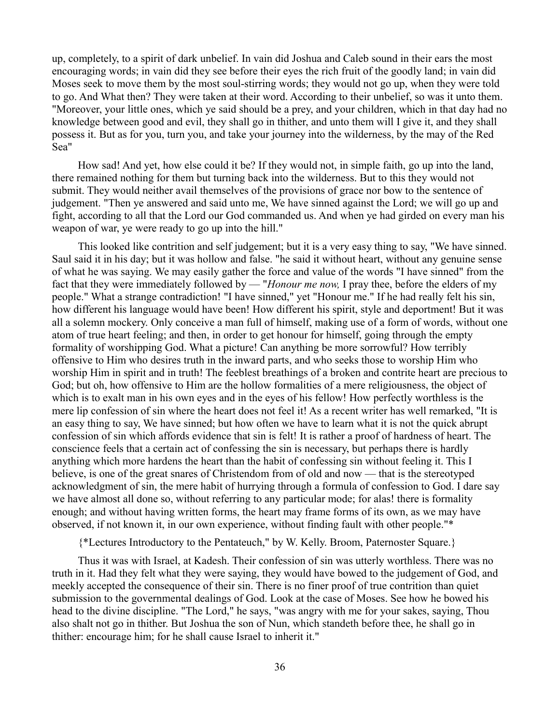up, completely, to a spirit of dark unbelief. In vain did Joshua and Caleb sound in their ears the most encouraging words; in vain did they see before their eyes the rich fruit of the goodly land; in vain did Moses seek to move them by the most soul-stirring words; they would not go up, when they were told to go. And What then? They were taken at their word. According to their unbelief, so was it unto them. "Moreover, your little ones, which ye said should be a prey, and your children, which in that day had no knowledge between good and evil, they shall go in thither, and unto them will I give it, and they shall possess it. But as for you, turn you, and take your journey into the wilderness, by the may of the Red Sea"

How sad! And yet, how else could it be? If they would not, in simple faith, go up into the land, there remained nothing for them but turning back into the wilderness. But to this they would not submit. They would neither avail themselves of the provisions of grace nor bow to the sentence of judgement. "Then ye answered and said unto me, We have sinned against the Lord; we will go up and fight, according to all that the Lord our God commanded us. And when ye had girded on every man his weapon of war, ye were ready to go up into the hill."

This looked like contrition and self judgement; but it is a very easy thing to say, "We have sinned. Saul said it in his day; but it was hollow and false. "he said it without heart, without any genuine sense of what he was saying. We may easily gather the force and value of the words "I have sinned" from the fact that they were immediately followed by — "*Honour me now,* I pray thee, before the elders of my people." What a strange contradiction! "I have sinned," yet "Honour me." If he had really felt his sin, how different his language would have been! How different his spirit, style and deportment! But it was all a solemn mockery. Only conceive a man full of himself, making use of a form of words, without one atom of true heart feeling; and then, in order to get honour for himself, going through the empty formality of worshipping God. What a picture! Can anything be more sorrowful? How terribly offensive to Him who desires truth in the inward parts, and who seeks those to worship Him who worship Him in spirit and in truth! The feeblest breathings of a broken and contrite heart are precious to God; but oh, how offensive to Him are the hollow formalities of a mere religiousness, the object of which is to exalt man in his own eyes and in the eyes of his fellow! How perfectly worthless is the mere lip confession of sin where the heart does not feel it! As a recent writer has well remarked, "It is an easy thing to say, We have sinned; but how often we have to learn what it is not the quick abrupt confession of sin which affords evidence that sin is felt! It is rather a proof of hardness of heart. The conscience feels that a certain act of confessing the sin is necessary, but perhaps there is hardly anything which more hardens the heart than the habit of confessing sin without feeling it. This I believe, is one of the great snares of Christendom from of old and now — that is the stereotyped acknowledgment of sin, the mere habit of hurrying through a formula of confession to God. I dare say we have almost all done so, without referring to any particular mode; for alas! there is formality enough; and without having written forms, the heart may frame forms of its own, as we may have observed, if not known it, in our own experience, without finding fault with other people."\*

{\*Lectures Introductory to the Pentateuch," by W. Kelly. Broom, Paternoster Square.}

Thus it was with Israel, at Kadesh. Their confession of sin was utterly worthless. There was no truth in it. Had they felt what they were saying, they would have bowed to the judgement of God, and meekly accepted the consequence of their sin. There is no finer proof of true contrition than quiet submission to the governmental dealings of God. Look at the case of Moses. See how he bowed his head to the divine discipline. "The Lord," he says, "was angry with me for your sakes, saying, Thou also shalt not go in thither. But Joshua the son of Nun, which standeth before thee, he shall go in thither: encourage him; for he shall cause Israel to inherit it."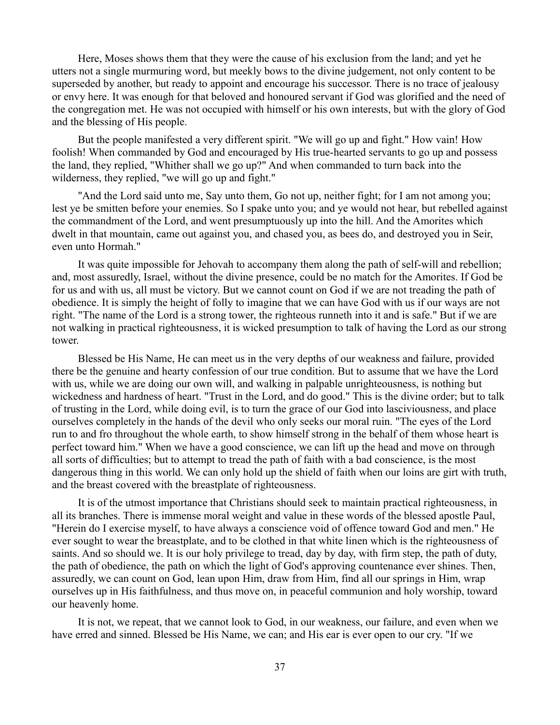Here, Moses shows them that they were the cause of his exclusion from the land; and yet he utters not a single murmuring word, but meekly bows to the divine judgement, not only content to be superseded by another, but ready to appoint and encourage his successor. There is no trace of jealousy or envy here. It was enough for that beloved and honoured servant if God was glorified and the need of the congregation met. He was not occupied with himself or his own interests, but with the glory of God and the blessing of His people.

But the people manifested a very different spirit. "We will go up and fight." How vain! How foolish! When commanded by God and encouraged by His true-hearted servants to go up and possess the land, they replied, "Whither shall we go up?" And when commanded to turn back into the wilderness, they replied, "we will go up and fight."

"And the Lord said unto me, Say unto them, Go not up, neither fight; for I am not among you; lest ye be smitten before your enemies. So I spake unto you; and ye would not hear, but rebelled against the commandment of the Lord, and went presumptuously up into the hill. And the Amorites which dwelt in that mountain, came out against you, and chased you, as bees do, and destroyed you in Seir, even unto Hormah."

It was quite impossible for Jehovah to accompany them along the path of self-will and rebellion; and, most assuredly, Israel, without the divine presence, could be no match for the Amorites. If God be for us and with us, all must be victory. But we cannot count on God if we are not treading the path of obedience. It is simply the height of folly to imagine that we can have God with us if our ways are not right. "The name of the Lord is a strong tower, the righteous runneth into it and is safe." But if we are not walking in practical righteousness, it is wicked presumption to talk of having the Lord as our strong tower.

Blessed be His Name, He can meet us in the very depths of our weakness and failure, provided there be the genuine and hearty confession of our true condition. But to assume that we have the Lord with us, while we are doing our own will, and walking in palpable unrighteousness, is nothing but wickedness and hardness of heart. "Trust in the Lord, and do good." This is the divine order; but to talk of trusting in the Lord, while doing evil, is to turn the grace of our God into lasciviousness, and place ourselves completely in the hands of the devil who only seeks our moral ruin. "The eyes of the Lord run to and fro throughout the whole earth, to show himself strong in the behalf of them whose heart is perfect toward him." When we have a good conscience, we can lift up the head and move on through all sorts of difficulties; but to attempt to tread the path of faith with a bad conscience, is the most dangerous thing in this world. We can only hold up the shield of faith when our loins are girt with truth, and the breast covered with the breastplate of righteousness.

It is of the utmost importance that Christians should seek to maintain practical righteousness, in all its branches. There is immense moral weight and value in these words of the blessed apostle Paul, "Herein do I exercise myself, to have always a conscience void of offence toward God and men." He ever sought to wear the breastplate, and to be clothed in that white linen which is the righteousness of saints. And so should we. It is our holy privilege to tread, day by day, with firm step, the path of duty, the path of obedience, the path on which the light of God's approving countenance ever shines. Then, assuredly, we can count on God, lean upon Him, draw from Him, find all our springs in Him, wrap ourselves up in His faithfulness, and thus move on, in peaceful communion and holy worship, toward our heavenly home.

It is not, we repeat, that we cannot look to God, in our weakness, our failure, and even when we have erred and sinned. Blessed be His Name, we can; and His ear is ever open to our cry. "If we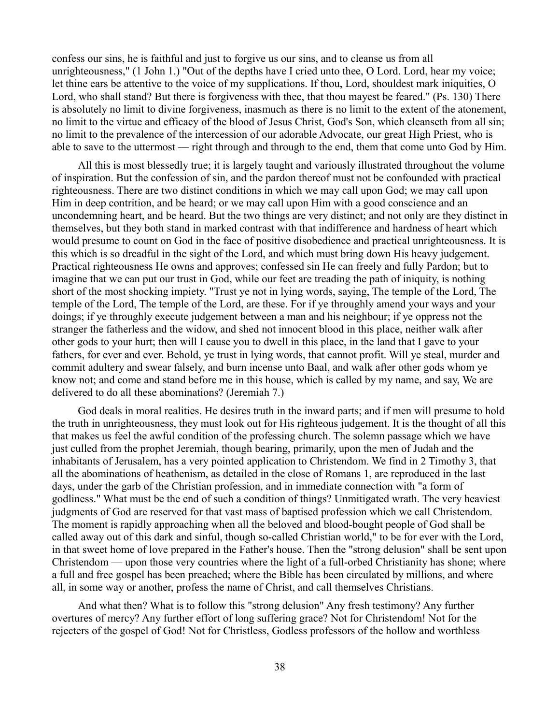confess our sins, he is faithful and just to forgive us our sins, and to cleanse us from all unrighteousness," (1 John 1.) "Out of the depths have I cried unto thee, O Lord. Lord, hear my voice; let thine ears be attentive to the voice of my supplications. If thou, Lord, shouldest mark iniquities, O Lord, who shall stand? But there is forgiveness with thee, that thou mayest be feared." (Ps. 130) There is absolutely no limit to divine forgiveness, inasmuch as there is no limit to the extent of the atonement, no limit to the virtue and efficacy of the blood of Jesus Christ, God's Son, which cleanseth from all sin; no limit to the prevalence of the intercession of our adorable Advocate, our great High Priest, who is able to save to the uttermost — right through and through to the end, them that come unto God by Him.

All this is most blessedly true; it is largely taught and variously illustrated throughout the volume of inspiration. But the confession of sin, and the pardon thereof must not be confounded with practical righteousness. There are two distinct conditions in which we may call upon God; we may call upon Him in deep contrition, and be heard; or we may call upon Him with a good conscience and an uncondemning heart, and be heard. But the two things are very distinct; and not only are they distinct in themselves, but they both stand in marked contrast with that indifference and hardness of heart which would presume to count on God in the face of positive disobedience and practical unrighteousness. It is this which is so dreadful in the sight of the Lord, and which must bring down His heavy judgement. Practical righteousness He owns and approves; confessed sin He can freely and fully Pardon; but to imagine that we can put our trust in God, while our feet are treading the path of iniquity, is nothing short of the most shocking impiety. "Trust ye not in lying words, saying, The temple of the Lord, The temple of the Lord, The temple of the Lord, are these. For if ye throughly amend your ways and your doings; if ye throughly execute judgement between a man and his neighbour; if ye oppress not the stranger the fatherless and the widow, and shed not innocent blood in this place, neither walk after other gods to your hurt; then will I cause you to dwell in this place, in the land that I gave to your fathers, for ever and ever. Behold, ye trust in lying words, that cannot profit. Will ye steal, murder and commit adultery and swear falsely, and burn incense unto Baal, and walk after other gods whom ye know not; and come and stand before me in this house, which is called by my name, and say, We are delivered to do all these abominations? (Jeremiah 7.)

God deals in moral realities. He desires truth in the inward parts; and if men will presume to hold the truth in unrighteousness, they must look out for His righteous judgement. It is the thought of all this that makes us feel the awful condition of the professing church. The solemn passage which we have just culled from the prophet Jeremiah, though bearing, primarily, upon the men of Judah and the inhabitants of Jerusalem, has a very pointed application to Christendom. We find in 2 Timothy 3, that all the abominations of heathenism, as detailed in the close of Romans 1, are reproduced in the last days, under the garb of the Christian profession, and in immediate connection with "a form of godliness." What must be the end of such a condition of things? Unmitigated wrath. The very heaviest judgments of God are reserved for that vast mass of baptised profession which we call Christendom. The moment is rapidly approaching when all the beloved and blood-bought people of God shall be called away out of this dark and sinful, though so-called Christian world," to be for ever with the Lord, in that sweet home of love prepared in the Father's house. Then the "strong delusion" shall be sent upon Christendom — upon those very countries where the light of a full-orbed Christianity has shone; where a full and free gospel has been preached; where the Bible has been circulated by millions, and where all, in some way or another, profess the name of Christ, and call themselves Christians.

And what then? What is to follow this "strong delusion" Any fresh testimony? Any further overtures of mercy? Any further effort of long suffering grace? Not for Christendom! Not for the rejecters of the gospel of God! Not for Christless, Godless professors of the hollow and worthless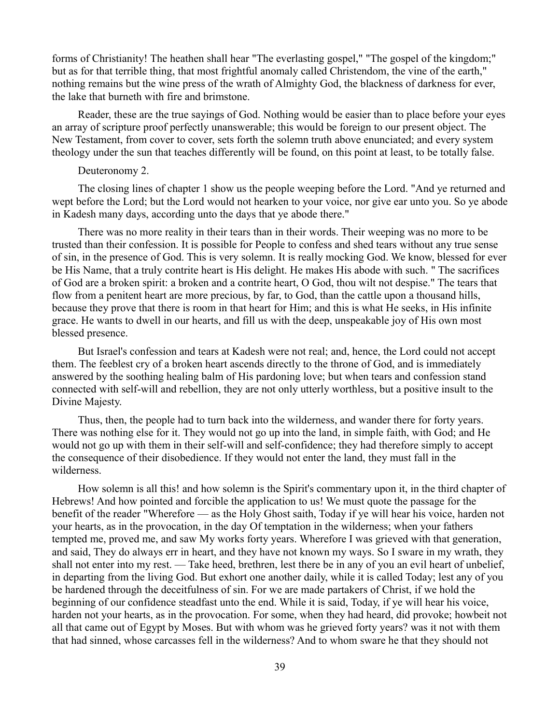forms of Christianity! The heathen shall hear "The everlasting gospel," "The gospel of the kingdom;" but as for that terrible thing, that most frightful anomaly called Christendom, the vine of the earth," nothing remains but the wine press of the wrath of Almighty God, the blackness of darkness for ever, the lake that burneth with fire and brimstone.

Reader, these are the true sayings of God. Nothing would be easier than to place before your eyes an array of scripture proof perfectly unanswerable; this would be foreign to our present object. The New Testament, from cover to cover, sets forth the solemn truth above enunciated; and every system theology under the sun that teaches differently will be found, on this point at least, to be totally false.

## Deuteronomy 2.

The closing lines of chapter 1 show us the people weeping before the Lord. "And ye returned and wept before the Lord; but the Lord would not hearken to your voice, nor give ear unto you. So ye abode in Kadesh many days, according unto the days that ye abode there."

There was no more reality in their tears than in their words. Their weeping was no more to be trusted than their confession. It is possible for People to confess and shed tears without any true sense of sin, in the presence of God. This is very solemn. It is really mocking God. We know, blessed for ever be His Name, that a truly contrite heart is His delight. He makes His abode with such. " The sacrifices of God are a broken spirit: a broken and a contrite heart, O God, thou wilt not despise." The tears that flow from a penitent heart are more precious, by far, to God, than the cattle upon a thousand hills, because they prove that there is room in that heart for Him; and this is what He seeks, in His infinite grace. He wants to dwell in our hearts, and fill us with the deep, unspeakable joy of His own most blessed presence.

But Israel's confession and tears at Kadesh were not real; and, hence, the Lord could not accept them. The feeblest cry of a broken heart ascends directly to the throne of God, and is immediately answered by the soothing healing balm of His pardoning love; but when tears and confession stand connected with self-will and rebellion, they are not only utterly worthless, but a positive insult to the Divine Majesty.

Thus, then, the people had to turn back into the wilderness, and wander there for forty years. There was nothing else for it. They would not go up into the land, in simple faith, with God; and He would not go up with them in their self-will and self-confidence; they had therefore simply to accept the consequence of their disobedience. If they would not enter the land, they must fall in the wilderness.

How solemn is all this! and how solemn is the Spirit's commentary upon it, in the third chapter of Hebrews! And how pointed and forcible the application to us! We must quote the passage for the benefit of the reader "Wherefore — as the Holy Ghost saith, Today if ye will hear his voice, harden not your hearts, as in the provocation, in the day Of temptation in the wilderness; when your fathers tempted me, proved me, and saw My works forty years. Wherefore I was grieved with that generation, and said, They do always err in heart, and they have not known my ways. So I sware in my wrath, they shall not enter into my rest. — Take heed, brethren, lest there be in any of you an evil heart of unbelief, in departing from the living God. But exhort one another daily, while it is called Today; lest any of you be hardened through the deceitfulness of sin. For we are made partakers of Christ, if we hold the beginning of our confidence steadfast unto the end. While it is said, Today, if ye will hear his voice, harden not your hearts, as in the provocation. For some, when they had heard, did provoke; howbeit not all that came out of Egypt by Moses. But with whom was he grieved forty years? was it not with them that had sinned, whose carcasses fell in the wilderness? And to whom sware he that they should not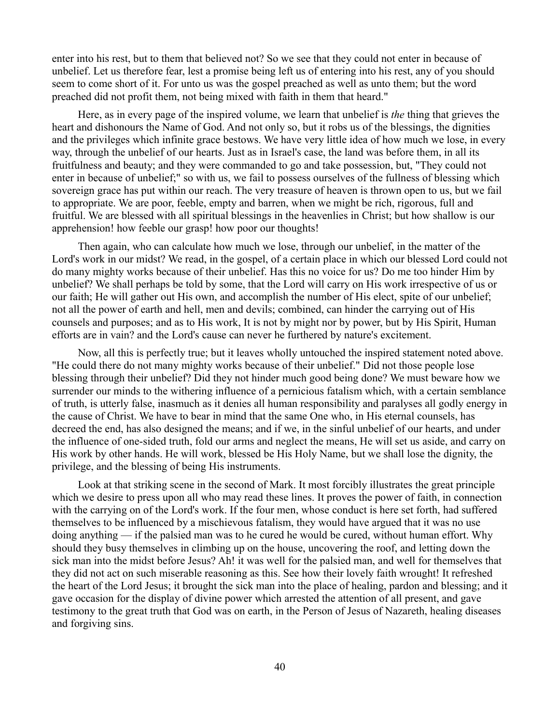enter into his rest, but to them that believed not? So we see that they could not enter in because of unbelief. Let us therefore fear, lest a promise being left us of entering into his rest, any of you should seem to come short of it. For unto us was the gospel preached as well as unto them; but the word preached did not profit them, not being mixed with faith in them that heard."

Here, as in every page of the inspired volume, we learn that unbelief is *the* thing that grieves the heart and dishonours the Name of God. And not only so, but it robs us of the blessings, the dignities and the privileges which infinite grace bestows. We have very little idea of how much we lose, in every way, through the unbelief of our hearts. Just as in Israel's case, the land was before them, in all its fruitfulness and beauty; and they were commanded to go and take possession, but, "They could not enter in because of unbelief;" so with us, we fail to possess ourselves of the fullness of blessing which sovereign grace has put within our reach. The very treasure of heaven is thrown open to us, but we fail to appropriate. We are poor, feeble, empty and barren, when we might be rich, rigorous, full and fruitful. We are blessed with all spiritual blessings in the heavenlies in Christ; but how shallow is our apprehension! how feeble our grasp! how poor our thoughts!

Then again, who can calculate how much we lose, through our unbelief, in the matter of the Lord's work in our midst? We read, in the gospel, of a certain place in which our blessed Lord could not do many mighty works because of their unbelief. Has this no voice for us? Do me too hinder Him by unbelief? We shall perhaps be told by some, that the Lord will carry on His work irrespective of us or our faith; He will gather out His own, and accomplish the number of His elect, spite of our unbelief; not all the power of earth and hell, men and devils; combined, can hinder the carrying out of His counsels and purposes; and as to His work, It is not by might nor by power, but by His Spirit, Human efforts are in vain? and the Lord's cause can never he furthered by nature's excitement.

Now, all this is perfectly true; but it leaves wholly untouched the inspired statement noted above. "He could there do not many mighty works because of their unbelief." Did not those people lose blessing through their unbelief? Did they not hinder much good being done? We must beware how we surrender our minds to the withering influence of a pernicious fatalism which, with a certain semblance of truth, is utterly false, inasmuch as it denies all human responsibility and paralyses all godly energy in the cause of Christ. We have to bear in mind that the same One who, in His eternal counsels, has decreed the end, has also designed the means; and if we, in the sinful unbelief of our hearts, and under the influence of one-sided truth, fold our arms and neglect the means, He will set us aside, and carry on His work by other hands. He will work, blessed be His Holy Name, but we shall lose the dignity, the privilege, and the blessing of being His instruments.

Look at that striking scene in the second of Mark. It most forcibly illustrates the great principle which we desire to press upon all who may read these lines. It proves the power of faith, in connection with the carrying on of the Lord's work. If the four men, whose conduct is here set forth, had suffered themselves to be influenced by a mischievous fatalism, they would have argued that it was no use doing anything — if the palsied man was to he cured he would be cured, without human effort. Why should they busy themselves in climbing up on the house, uncovering the roof, and letting down the sick man into the midst before Jesus? Ah! it was well for the palsied man, and well for themselves that they did not act on such miserable reasoning as this. See how their lovely faith wrought! It refreshed the heart of the Lord Jesus; it brought the sick man into the place of healing, pardon and blessing; and it gave occasion for the display of divine power which arrested the attention of all present, and gave testimony to the great truth that God was on earth, in the Person of Jesus of Nazareth, healing diseases and forgiving sins.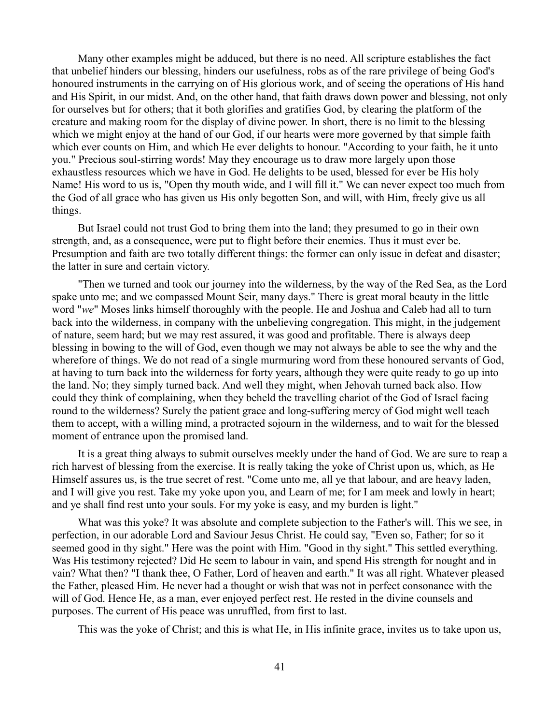Many other examples might be adduced, but there is no need. All scripture establishes the fact that unbelief hinders our blessing, hinders our usefulness, robs as of the rare privilege of being God's honoured instruments in the carrying on of His glorious work, and of seeing the operations of His hand and His Spirit, in our midst. And, on the other hand, that faith draws down power and blessing, not only for ourselves but for others; that it both glorifies and gratifies God, by clearing the platform of the creature and making room for the display of divine power. In short, there is no limit to the blessing which we might enjoy at the hand of our God, if our hearts were more governed by that simple faith which ever counts on Him, and which He ever delights to honour. "According to your faith, he it unto you." Precious soul-stirring words! May they encourage us to draw more largely upon those exhaustless resources which we have in God. He delights to be used, blessed for ever be His holy Name! His word to us is, "Open thy mouth wide, and I will fill it." We can never expect too much from the God of all grace who has given us His only begotten Son, and will, with Him, freely give us all things.

But Israel could not trust God to bring them into the land; they presumed to go in their own strength, and, as a consequence, were put to flight before their enemies. Thus it must ever be. Presumption and faith are two totally different things: the former can only issue in defeat and disaster; the latter in sure and certain victory.

"Then we turned and took our journey into the wilderness, by the way of the Red Sea, as the Lord spake unto me; and we compassed Mount Seir, many days." There is great moral beauty in the little word "*we*" Moses links himself thoroughly with the people. He and Joshua and Caleb had all to turn back into the wilderness, in company with the unbelieving congregation. This might, in the judgement of nature, seem hard; but we may rest assured, it was good and profitable. There is always deep blessing in bowing to the will of God, even though we may not always be able to see the why and the wherefore of things. We do not read of a single murmuring word from these honoured servants of God, at having to turn back into the wilderness for forty years, although they were quite ready to go up into the land. No; they simply turned back. And well they might, when Jehovah turned back also. How could they think of complaining, when they beheld the travelling chariot of the God of Israel facing round to the wilderness? Surely the patient grace and long-suffering mercy of God might well teach them to accept, with a willing mind, a protracted sojourn in the wilderness, and to wait for the blessed moment of entrance upon the promised land.

It is a great thing always to submit ourselves meekly under the hand of God. We are sure to reap a rich harvest of blessing from the exercise. It is really taking the yoke of Christ upon us, which, as He Himself assures us, is the true secret of rest. "Come unto me, all ye that labour, and are heavy laden, and I will give you rest. Take my yoke upon you, and Learn of me; for I am meek and lowly in heart; and ye shall find rest unto your souls. For my yoke is easy, and my burden is light."

What was this yoke? It was absolute and complete subjection to the Father's will. This we see, in perfection, in our adorable Lord and Saviour Jesus Christ. He could say, "Even so, Father; for so it seemed good in thy sight." Here was the point with Him. "Good in thy sight." This settled everything. Was His testimony rejected? Did He seem to labour in vain, and spend His strength for nought and in vain? What then? "I thank thee, O Father, Lord of heaven and earth." It was all right. Whatever pleased the Father, pleased Him. He never had a thought or wish that was not in perfect consonance with the will of God. Hence He, as a man, ever enjoyed perfect rest. He rested in the divine counsels and purposes. The current of His peace was unruffled, from first to last.

This was the yoke of Christ; and this is what He, in His infinite grace, invites us to take upon us,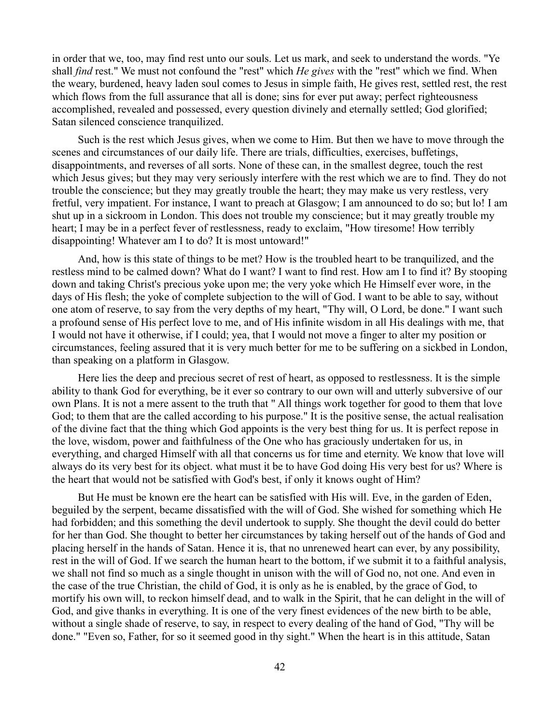in order that we, too, may find rest unto our souls. Let us mark, and seek to understand the words. "Ye shall *find* rest." We must not confound the "rest" which *He gives* with the "rest" which we find. When the weary, burdened, heavy laden soul comes to Jesus in simple faith, He gives rest, settled rest, the rest which flows from the full assurance that all is done; sins for ever put away; perfect righteousness accomplished, revealed and possessed, every question divinely and eternally settled; God glorified; Satan silenced conscience tranquilized.

Such is the rest which Jesus gives, when we come to Him. But then we have to move through the scenes and circumstances of our daily life. There are trials, difficulties, exercises, buffetings, disappointments, and reverses of all sorts. None of these can, in the smallest degree, touch the rest which Jesus gives; but they may very seriously interfere with the rest which we are to find. They do not trouble the conscience; but they may greatly trouble the heart; they may make us very restless, very fretful, very impatient. For instance, I want to preach at Glasgow; I am announced to do so; but lo! I am shut up in a sickroom in London. This does not trouble my conscience; but it may greatly trouble my heart; I may be in a perfect fever of restlessness, ready to exclaim, "How tiresome! How terribly disappointing! Whatever am I to do? It is most untoward!"

And, how is this state of things to be met? How is the troubled heart to be tranquilized, and the restless mind to be calmed down? What do I want? I want to find rest. How am I to find it? By stooping down and taking Christ's precious yoke upon me; the very yoke which He Himself ever wore, in the days of His flesh; the yoke of complete subjection to the will of God. I want to be able to say, without one atom of reserve, to say from the very depths of my heart, "Thy will, O Lord, be done." I want such a profound sense of His perfect love to me, and of His infinite wisdom in all His dealings with me, that I would not have it otherwise, if I could; yea, that I would not move a finger to alter my position or circumstances, feeling assured that it is very much better for me to be suffering on a sickbed in London, than speaking on a platform in Glasgow.

Here lies the deep and precious secret of rest of heart, as opposed to restlessness. It is the simple ability to thank God for everything, be it ever so contrary to our own will and utterly subversive of our own Plans. It is not a mere assent to the truth that " All things work together for good to them that love God; to them that are the called according to his purpose." It is the positive sense, the actual realisation of the divine fact that the thing which God appoints is the very best thing for us. It is perfect repose in the love, wisdom, power and faithfulness of the One who has graciously undertaken for us, in everything, and charged Himself with all that concerns us for time and eternity. We know that love will always do its very best for its object. what must it be to have God doing His very best for us? Where is the heart that would not be satisfied with God's best, if only it knows ought of Him?

But He must be known ere the heart can be satisfied with His will. Eve, in the garden of Eden, beguiled by the serpent, became dissatisfied with the will of God. She wished for something which He had forbidden; and this something the devil undertook to supply. She thought the devil could do better for her than God. She thought to better her circumstances by taking herself out of the hands of God and placing herself in the hands of Satan. Hence it is, that no unrenewed heart can ever, by any possibility, rest in the will of God. If we search the human heart to the bottom, if we submit it to a faithful analysis, we shall not find so much as a single thought in unison with the will of God no, not one. And even in the case of the true Christian, the child of God, it is only as he is enabled, by the grace of God, to mortify his own will, to reckon himself dead, and to walk in the Spirit, that he can delight in the will of God, and give thanks in everything. It is one of the very finest evidences of the new birth to be able, without a single shade of reserve, to say, in respect to every dealing of the hand of God, "Thy will be done." "Even so, Father, for so it seemed good in thy sight." When the heart is in this attitude, Satan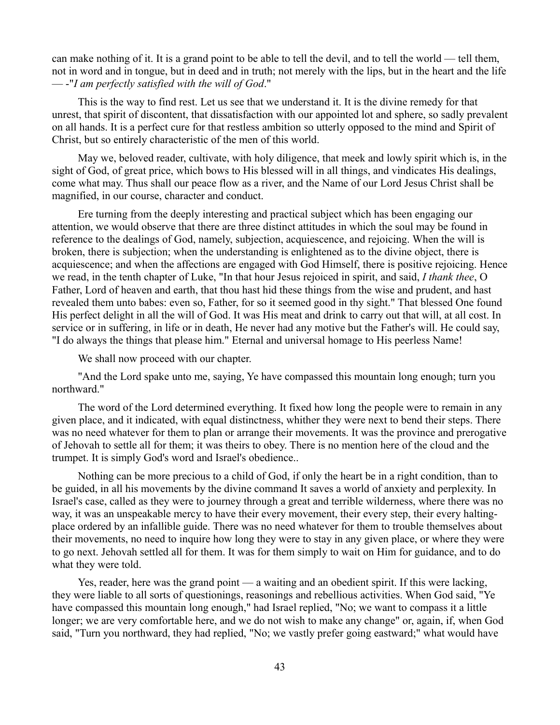can make nothing of it. It is a grand point to be able to tell the devil, and to tell the world — tell them, not in word and in tongue, but in deed and in truth; not merely with the lips, but in the heart and the life — -"*I am perfectly satisfied with the will of God*."

This is the way to find rest. Let us see that we understand it. It is the divine remedy for that unrest, that spirit of discontent, that dissatisfaction with our appointed lot and sphere, so sadly prevalent on all hands. It is a perfect cure for that restless ambition so utterly opposed to the mind and Spirit of Christ, but so entirely characteristic of the men of this world.

May we, beloved reader, cultivate, with holy diligence, that meek and lowly spirit which is, in the sight of God, of great price, which bows to His blessed will in all things, and vindicates His dealings, come what may. Thus shall our peace flow as a river, and the Name of our Lord Jesus Christ shall be magnified, in our course, character and conduct.

Ere turning from the deeply interesting and practical subject which has been engaging our attention, we would observe that there are three distinct attitudes in which the soul may be found in reference to the dealings of God, namely, subjection, acquiescence, and rejoicing. When the will is broken, there is subjection; when the understanding is enlightened as to the divine object, there is acquiescence; and when the affections are engaged with God Himself, there is positive rejoicing. Hence we read, in the tenth chapter of Luke, "In that hour Jesus rejoiced in spirit, and said, *I thank thee*, O Father, Lord of heaven and earth, that thou hast hid these things from the wise and prudent, and hast revealed them unto babes: even so, Father, for so it seemed good in thy sight." That blessed One found His perfect delight in all the will of God. It was His meat and drink to carry out that will, at all cost. In service or in suffering, in life or in death, He never had any motive but the Father's will. He could say, "I do always the things that please him." Eternal and universal homage to His peerless Name!

We shall now proceed with our chapter.

"And the Lord spake unto me, saying, Ye have compassed this mountain long enough; turn you northward."

The word of the Lord determined everything. It fixed how long the people were to remain in any given place, and it indicated, with equal distinctness, whither they were next to bend their steps. There was no need whatever for them to plan or arrange their movements. It was the province and prerogative of Jehovah to settle all for them; it was theirs to obey. There is no mention here of the cloud and the trumpet. It is simply God's word and Israel's obedience..

Nothing can be more precious to a child of God, if only the heart be in a right condition, than to be guided, in all his movements by the divine command It saves a world of anxiety and perplexity. In Israel's case, called as they were to journey through a great and terrible wilderness, where there was no way, it was an unspeakable mercy to have their every movement, their every step, their every haltingplace ordered by an infallible guide. There was no need whatever for them to trouble themselves about their movements, no need to inquire how long they were to stay in any given place, or where they were to go next. Jehovah settled all for them. It was for them simply to wait on Him for guidance, and to do what they were told.

Yes, reader, here was the grand point — a waiting and an obedient spirit. If this were lacking, they were liable to all sorts of questionings, reasonings and rebellious activities. When God said, "Ye have compassed this mountain long enough," had Israel replied, "No; we want to compass it a little longer; we are very comfortable here, and we do not wish to make any change" or, again, if, when God said, "Turn you northward, they had replied, "No; we vastly prefer going eastward;" what would have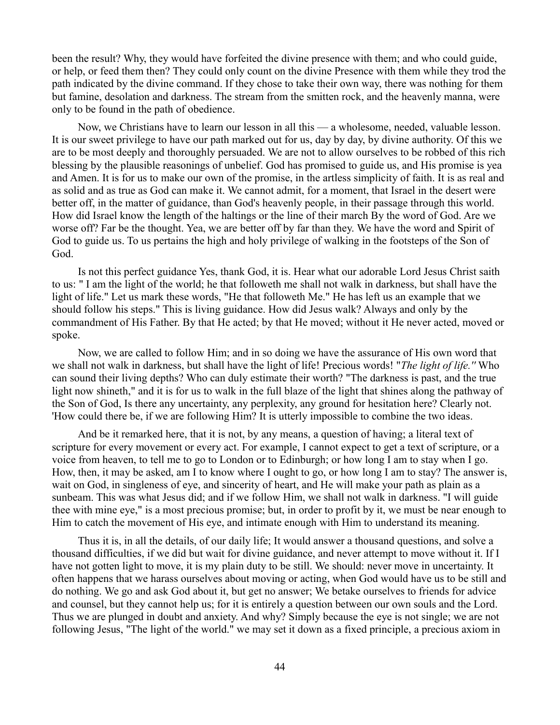been the result? Why, they would have forfeited the divine presence with them; and who could guide, or help, or feed them then? They could only count on the divine Presence with them while they trod the path indicated by the divine command. If they chose to take their own way, there was nothing for them but famine, desolation and darkness. The stream from the smitten rock, and the heavenly manna, were only to be found in the path of obedience.

Now, we Christians have to learn our lesson in all this — a wholesome, needed, valuable lesson. It is our sweet privilege to have our path marked out for us, day by day, by divine authority. Of this we are to be most deeply and thoroughly persuaded. We are not to allow ourselves to be robbed of this rich blessing by the plausible reasonings of unbelief. God has promised to guide us, and His promise is yea and Amen. It is for us to make our own of the promise, in the artless simplicity of faith. It is as real and as solid and as true as God can make it. We cannot admit, for a moment, that Israel in the desert were better off, in the matter of guidance, than God's heavenly people, in their passage through this world. How did Israel know the length of the haltings or the line of their march By the word of God. Are we worse off? Far be the thought. Yea, we are better off by far than they. We have the word and Spirit of God to guide us. To us pertains the high and holy privilege of walking in the footsteps of the Son of God.

Is not this perfect guidance Yes, thank God, it is. Hear what our adorable Lord Jesus Christ saith to us: " I am the light of the world; he that followeth me shall not walk in darkness, but shall have the light of life." Let us mark these words, "He that followeth Me." He has left us an example that we should follow his steps." This is living guidance. How did Jesus walk? Always and only by the commandment of His Father. By that He acted; by that He moved; without it He never acted, moved or spoke.

Now, we are called to follow Him; and in so doing we have the assurance of His own word that we shall not walk in darkness, but shall have the light of life! Precious words! "*The light of life.''* Who can sound their living depths? Who can duly estimate their worth? "The darkness is past, and the true light now shineth," and it is for us to walk in the full blaze of the light that shines along the pathway of the Son of God, Is there any uncertainty, any perplexity, any ground for hesitation here? Clearly not. 'How could there be, if we are following Him? It is utterly impossible to combine the two ideas.

And be it remarked here, that it is not, by any means, a question of having; a literal text of scripture for every movement or every act. For example, I cannot expect to get a text of scripture, or a voice from heaven, to tell me to go to London or to Edinburgh; or how long I am to stay when I go. How, then, it may be asked, am I to know where I ought to go, or how long I am to stay? The answer is, wait on God, in singleness of eye, and sincerity of heart, and He will make your path as plain as a sunbeam. This was what Jesus did; and if we follow Him, we shall not walk in darkness. "I will guide thee with mine eye," is a most precious promise; but, in order to profit by it, we must be near enough to Him to catch the movement of His eye, and intimate enough with Him to understand its meaning.

Thus it is, in all the details, of our daily life; It would answer a thousand questions, and solve a thousand difficulties, if we did but wait for divine guidance, and never attempt to move without it. If I have not gotten light to move, it is my plain duty to be still. We should: never move in uncertainty. It often happens that we harass ourselves about moving or acting, when God would have us to be still and do nothing. We go and ask God about it, but get no answer; We betake ourselves to friends for advice and counsel, but they cannot help us; for it is entirely a question between our own souls and the Lord. Thus we are plunged in doubt and anxiety. And why? Simply because the eye is not single; we are not following Jesus, "The light of the world." we may set it down as a fixed principle, a precious axiom in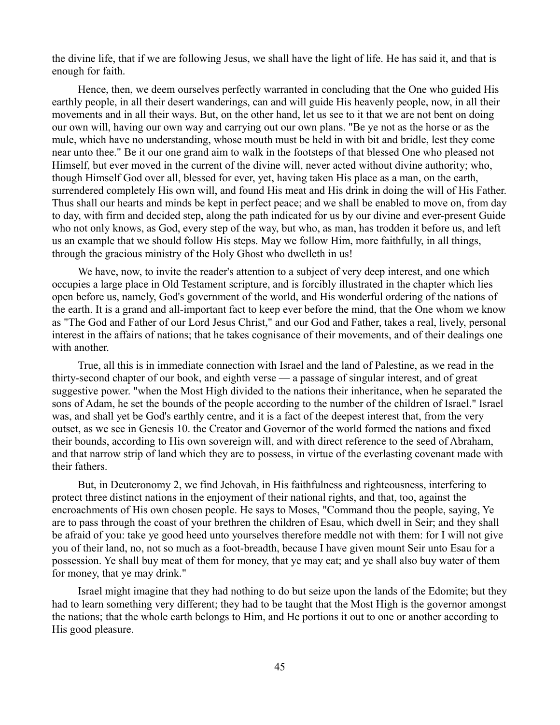the divine life, that if we are following Jesus, we shall have the light of life. He has said it, and that is enough for faith.

Hence, then, we deem ourselves perfectly warranted in concluding that the One who guided His earthly people, in all their desert wanderings, can and will guide His heavenly people, now, in all their movements and in all their ways. But, on the other hand, let us see to it that we are not bent on doing our own will, having our own way and carrying out our own plans. "Be ye not as the horse or as the mule, which have no understanding, whose mouth must be held in with bit and bridle, lest they come near unto thee." Be it our one grand aim to walk in the footsteps of that blessed One who pleased not Himself, but ever moved in the current of the divine will, never acted without divine authority; who, though Himself God over all, blessed for ever, yet, having taken His place as a man, on the earth, surrendered completely His own will, and found His meat and His drink in doing the will of His Father. Thus shall our hearts and minds be kept in perfect peace; and we shall be enabled to move on, from day to day, with firm and decided step, along the path indicated for us by our divine and ever-present Guide who not only knows, as God, every step of the way, but who, as man, has trodden it before us, and left us an example that we should follow His steps. May we follow Him, more faithfully, in all things, through the gracious ministry of the Holy Ghost who dwelleth in us!

We have, now, to invite the reader's attention to a subject of very deep interest, and one which occupies a large place in Old Testament scripture, and is forcibly illustrated in the chapter which lies open before us, namely, God's government of the world, and His wonderful ordering of the nations of the earth. It is a grand and all-important fact to keep ever before the mind, that the One whom we know as "The God and Father of our Lord Jesus Christ," and our God and Father, takes a real, lively, personal interest in the affairs of nations; that he takes cognisance of their movements, and of their dealings one with another.

True, all this is in immediate connection with Israel and the land of Palestine, as we read in the thirty-second chapter of our book, and eighth verse — a passage of singular interest, and of great suggestive power. "when the Most High divided to the nations their inheritance, when he separated the sons of Adam, he set the bounds of the people according to the number of the children of Israel." Israel was, and shall yet be God's earthly centre, and it is a fact of the deepest interest that, from the very outset, as we see in Genesis 10. the Creator and Governor of the world formed the nations and fixed their bounds, according to His own sovereign will, and with direct reference to the seed of Abraham, and that narrow strip of land which they are to possess, in virtue of the everlasting covenant made with their fathers.

But, in Deuteronomy 2, we find Jehovah, in His faithfulness and righteousness, interfering to protect three distinct nations in the enjoyment of their national rights, and that, too, against the encroachments of His own chosen people. He says to Moses, "Command thou the people, saying, Ye are to pass through the coast of your brethren the children of Esau, which dwell in Seir; and they shall be afraid of you: take ye good heed unto yourselves therefore meddle not with them: for I will not give you of their land, no, not so much as a foot-breadth, because I have given mount Seir unto Esau for a possession. Ye shall buy meat of them for money, that ye may eat; and ye shall also buy water of them for money, that ye may drink."

Israel might imagine that they had nothing to do but seize upon the lands of the Edomite; but they had to learn something very different; they had to be taught that the Most High is the governor amongst the nations; that the whole earth belongs to Him, and He portions it out to one or another according to His good pleasure.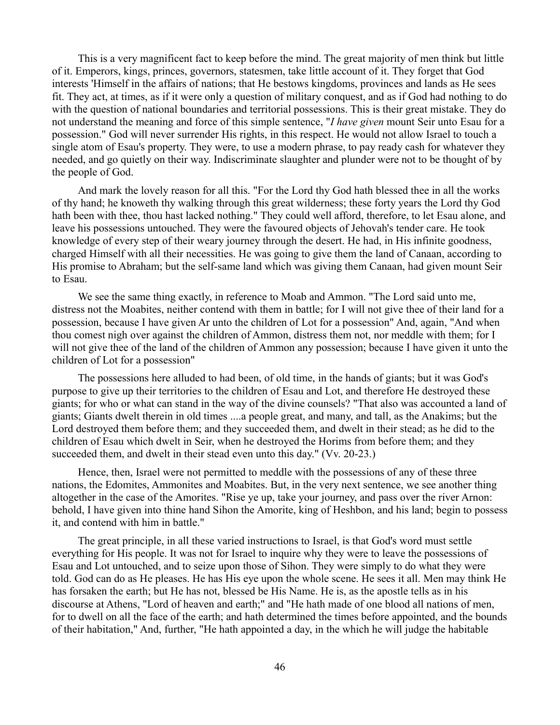This is a very magnificent fact to keep before the mind. The great majority of men think but little of it. Emperors, kings, princes, governors, statesmen, take little account of it. They forget that God interests 'Himself in the affairs of nations; that He bestows kingdoms, provinces and lands as He sees fit. They act, at times, as if it were only a question of military conquest, and as if God had nothing to do with the question of national boundaries and territorial possessions. This is their great mistake. They do not understand the meaning and force of this simple sentence, "*I have given* mount Seir unto Esau for a possession." God will never surrender His rights, in this respect. He would not allow Israel to touch a single atom of Esau's property. They were, to use a modern phrase, to pay ready cash for whatever they needed, and go quietly on their way. Indiscriminate slaughter and plunder were not to be thought of by the people of God.

And mark the lovely reason for all this. "For the Lord thy God hath blessed thee in all the works of thy hand; he knoweth thy walking through this great wilderness; these forty years the Lord thy God hath been with thee, thou hast lacked nothing." They could well afford, therefore, to let Esau alone, and leave his possessions untouched. They were the favoured objects of Jehovah's tender care. He took knowledge of every step of their weary journey through the desert. He had, in His infinite goodness, charged Himself with all their necessities. He was going to give them the land of Canaan, according to His promise to Abraham; but the self-same land which was giving them Canaan, had given mount Seir to Esau.

We see the same thing exactly, in reference to Moab and Ammon. "The Lord said unto me, distress not the Moabites, neither contend with them in battle; for I will not give thee of their land for a possession, because I have given Ar unto the children of Lot for a possession" And, again, "And when thou comest nigh over against the children of Ammon, distress them not, nor meddle with them; for I will not give thee of the land of the children of Ammon any possession; because I have given it unto the children of Lot for a possession"

The possessions here alluded to had been, of old time, in the hands of giants; but it was God's purpose to give up their territories to the children of Esau and Lot, and therefore He destroyed these giants; for who or what can stand in the way of the divine counsels? "That also was accounted a land of giants; Giants dwelt therein in old times ....a people great, and many, and tall, as the Anakims; but the Lord destroyed them before them; and they succeeded them, and dwelt in their stead; as he did to the children of Esau which dwelt in Seir, when he destroyed the Horims from before them; and they succeeded them, and dwelt in their stead even unto this day." (Vv. 20-23.)

Hence, then, Israel were not permitted to meddle with the possessions of any of these three nations, the Edomites, Ammonites and Moabites. But, in the very next sentence, we see another thing altogether in the case of the Amorites. "Rise ye up, take your journey, and pass over the river Arnon: behold, I have given into thine hand Sihon the Amorite, king of Heshbon, and his land; begin to possess it, and contend with him in battle."

The great principle, in all these varied instructions to Israel, is that God's word must settle everything for His people. It was not for Israel to inquire why they were to leave the possessions of Esau and Lot untouched, and to seize upon those of Sihon. They were simply to do what they were told. God can do as He pleases. He has His eye upon the whole scene. He sees it all. Men may think He has forsaken the earth; but He has not, blessed be His Name. He is, as the apostle tells as in his discourse at Athens, "Lord of heaven and earth;" and "He hath made of one blood all nations of men, for to dwell on all the face of the earth; and hath determined the times before appointed, and the bounds of their habitation," And, further, "He hath appointed a day, in the which he will judge the habitable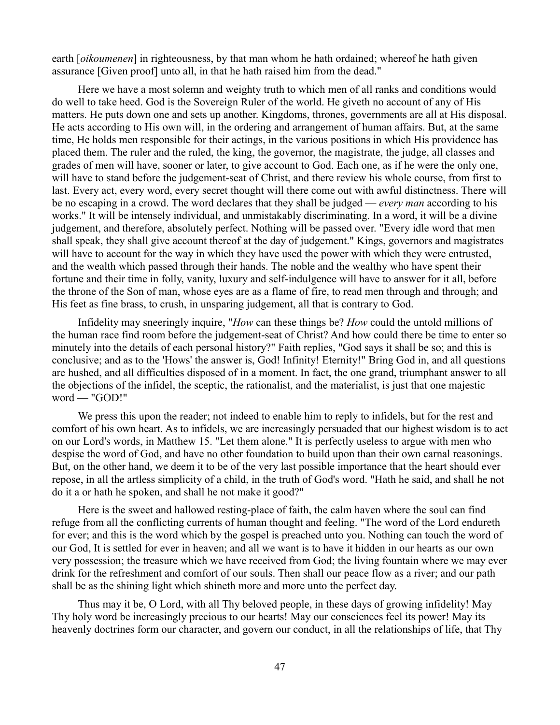earth [*oikoumenen*] in righteousness, by that man whom he hath ordained; whereof he hath given assurance [Given proof] unto all, in that he hath raised him from the dead."

Here we have a most solemn and weighty truth to which men of all ranks and conditions would do well to take heed. God is the Sovereign Ruler of the world. He giveth no account of any of His matters. He puts down one and sets up another. Kingdoms, thrones, governments are all at His disposal. He acts according to His own will, in the ordering and arrangement of human affairs. But, at the same time, He holds men responsible for their actings, in the various positions in which His providence has placed them. The ruler and the ruled, the king, the governor, the magistrate, the judge, all classes and grades of men will have, sooner or later, to give account to God. Each one, as if he were the only one, will have to stand before the judgement-seat of Christ, and there review his whole course, from first to last. Every act, every word, every secret thought will there come out with awful distinctness. There will be no escaping in a crowd. The word declares that they shall be judged — *every man* according to his works." It will be intensely individual, and unmistakably discriminating. In a word, it will be a divine judgement, and therefore, absolutely perfect. Nothing will be passed over. "Every idle word that men shall speak, they shall give account thereof at the day of judgement." Kings, governors and magistrates will have to account for the way in which they have used the power with which they were entrusted, and the wealth which passed through their hands. The noble and the wealthy who have spent their fortune and their time in folly, vanity, luxury and self-indulgence will have to answer for it all, before the throne of the Son of man, whose eyes are as a flame of fire, to read men through and through; and His feet as fine brass, to crush, in unsparing judgement, all that is contrary to God.

Infidelity may sneeringly inquire, "*How* can these things be? *How* could the untold millions of the human race find room before the judgement-seat of Christ? And how could there be time to enter so minutely into the details of each personal history?" Faith replies, "God says it shall be so; and this is conclusive; and as to the 'Hows' the answer is, God! Infinity! Eternity!" Bring God in, and all questions are hushed, and all difficulties disposed of in a moment. In fact, the one grand, triumphant answer to all the objections of the infidel, the sceptic, the rationalist, and the materialist, is just that one majestic word — "GOD!"

We press this upon the reader; not indeed to enable him to reply to infidels, but for the rest and comfort of his own heart. As to infidels, we are increasingly persuaded that our highest wisdom is to act on our Lord's words, in Matthew 15. "Let them alone." It is perfectly useless to argue with men who despise the word of God, and have no other foundation to build upon than their own carnal reasonings. But, on the other hand, we deem it to be of the very last possible importance that the heart should ever repose, in all the artless simplicity of a child, in the truth of God's word. "Hath he said, and shall he not do it a or hath he spoken, and shall he not make it good?"

Here is the sweet and hallowed resting-place of faith, the calm haven where the soul can find refuge from all the conflicting currents of human thought and feeling. "The word of the Lord endureth for ever; and this is the word which by the gospel is preached unto you. Nothing can touch the word of our God, It is settled for ever in heaven; and all we want is to have it hidden in our hearts as our own very possession; the treasure which we have received from God; the living fountain where we may ever drink for the refreshment and comfort of our souls. Then shall our peace flow as a river; and our path shall be as the shining light which shineth more and more unto the perfect day.

Thus may it be, O Lord, with all Thy beloved people, in these days of growing infidelity! May Thy holy word be increasingly precious to our hearts! May our consciences feel its power! May its heavenly doctrines form our character, and govern our conduct, in all the relationships of life, that Thy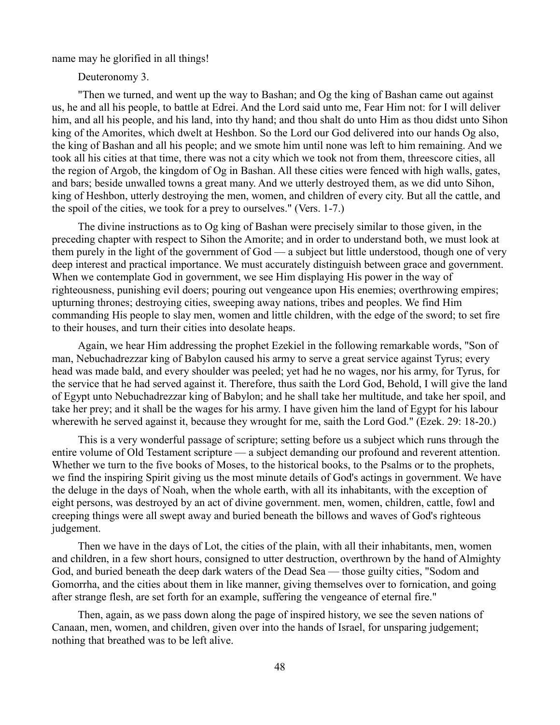name may he glorified in all things!

Deuteronomy 3.

"Then we turned, and went up the way to Bashan; and Og the king of Bashan came out against us, he and all his people, to battle at Edrei. And the Lord said unto me, Fear Him not: for I will deliver him, and all his people, and his land, into thy hand; and thou shalt do unto Him as thou didst unto Sihon king of the Amorites, which dwelt at Heshbon. So the Lord our God delivered into our hands Og also, the king of Bashan and all his people; and we smote him until none was left to him remaining. And we took all his cities at that time, there was not a city which we took not from them, threescore cities, all the region of Argob, the kingdom of Og in Bashan. All these cities were fenced with high walls, gates, and bars; beside unwalled towns a great many. And we utterly destroyed them, as we did unto Sihon, king of Heshbon, utterly destroying the men, women, and children of every city. But all the cattle, and the spoil of the cities, we took for a prey to ourselves." (Vers. 1-7.)

The divine instructions as to Og king of Bashan were precisely similar to those given, in the preceding chapter with respect to Sihon the Amorite; and in order to understand both, we must look at them purely in the light of the government of God — a subject but little understood, though one of very deep interest and practical importance. We must accurately distinguish between grace and government. When we contemplate God in government, we see Him displaying His power in the way of righteousness, punishing evil doers; pouring out vengeance upon His enemies; overthrowing empires; upturning thrones; destroying cities, sweeping away nations, tribes and peoples. We find Him commanding His people to slay men, women and little children, with the edge of the sword; to set fire to their houses, and turn their cities into desolate heaps.

Again, we hear Him addressing the prophet Ezekiel in the following remarkable words, "Son of man, Nebuchadrezzar king of Babylon caused his army to serve a great service against Tyrus; every head was made bald, and every shoulder was peeled; yet had he no wages, nor his army, for Tyrus, for the service that he had served against it. Therefore, thus saith the Lord God, Behold, I will give the land of Egypt unto Nebuchadrezzar king of Babylon; and he shall take her multitude, and take her spoil, and take her prey; and it shall be the wages for his army. I have given him the land of Egypt for his labour wherewith he served against it, because they wrought for me, saith the Lord God." (Ezek. 29: 18-20.)

This is a very wonderful passage of scripture; setting before us a subject which runs through the entire volume of Old Testament scripture — a subject demanding our profound and reverent attention. Whether we turn to the five books of Moses, to the historical books, to the Psalms or to the prophets, we find the inspiring Spirit giving us the most minute details of God's actings in government. We have the deluge in the days of Noah, when the whole earth, with all its inhabitants, with the exception of eight persons, was destroyed by an act of divine government. men, women, children, cattle, fowl and creeping things were all swept away and buried beneath the billows and waves of God's righteous judgement.

Then we have in the days of Lot, the cities of the plain, with all their inhabitants, men, women and children, in a few short hours, consigned to utter destruction, overthrown by the hand of Almighty God, and buried beneath the deep dark waters of the Dead Sea — those guilty cities, "Sodom and Gomorrha, and the cities about them in like manner, giving themselves over to fornication, and going after strange flesh, are set forth for an example, suffering the vengeance of eternal fire."

Then, again, as we pass down along the page of inspired history, we see the seven nations of Canaan, men, women, and children, given over into the hands of Israel, for unsparing judgement; nothing that breathed was to be left alive.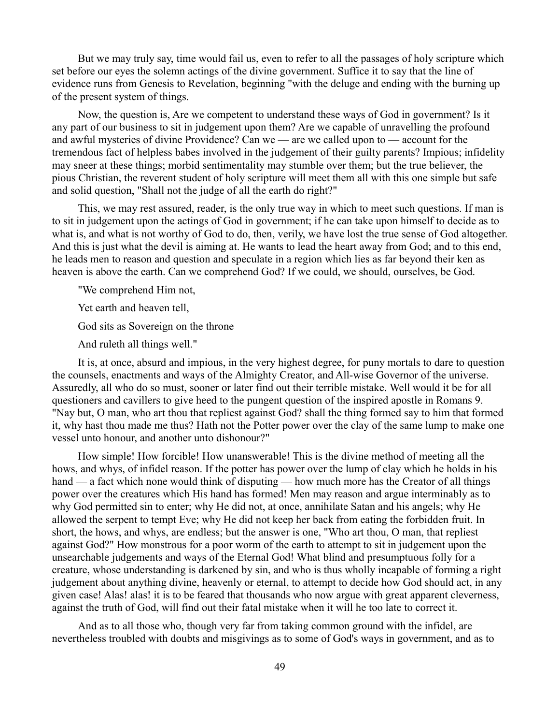But we may truly say, time would fail us, even to refer to all the passages of holy scripture which set before our eyes the solemn actings of the divine government. Suffice it to say that the line of evidence runs from Genesis to Revelation, beginning "with the deluge and ending with the burning up of the present system of things.

Now, the question is, Are we competent to understand these ways of God in government? Is it any part of our business to sit in judgement upon them? Are we capable of unravelling the profound and awful mysteries of divine Providence? Can we — are we called upon to — account for the tremendous fact of helpless babes involved in the judgement of their guilty parents? Impious; infidelity may sneer at these things; morbid sentimentality may stumble over them; but the true believer, the pious Christian, the reverent student of holy scripture will meet them all with this one simple but safe and solid question, "Shall not the judge of all the earth do right?"

This, we may rest assured, reader, is the only true way in which to meet such questions. If man is to sit in judgement upon the actings of God in government; if he can take upon himself to decide as to what is, and what is not worthy of God to do, then, verily, we have lost the true sense of God altogether. And this is just what the devil is aiming at. He wants to lead the heart away from God; and to this end, he leads men to reason and question and speculate in a region which lies as far beyond their ken as heaven is above the earth. Can we comprehend God? If we could, we should, ourselves, be God.

"We comprehend Him not,

Yet earth and heaven tell,

God sits as Sovereign on the throne

And ruleth all things well."

It is, at once, absurd and impious, in the very highest degree, for puny mortals to dare to question the counsels, enactments and ways of the Almighty Creator, and All-wise Governor of the universe. Assuredly, all who do so must, sooner or later find out their terrible mistake. Well would it be for all questioners and cavillers to give heed to the pungent question of the inspired apostle in Romans 9. "Nay but, O man, who art thou that repliest against God? shall the thing formed say to him that formed it, why hast thou made me thus? Hath not the Potter power over the clay of the same lump to make one vessel unto honour, and another unto dishonour?"

How simple! How forcible! How unanswerable! This is the divine method of meeting all the hows, and whys, of infidel reason. If the potter has power over the lump of clay which he holds in his hand — a fact which none would think of disputing — how much more has the Creator of all things power over the creatures which His hand has formed! Men may reason and argue interminably as to why God permitted sin to enter; why He did not, at once, annihilate Satan and his angels; why He allowed the serpent to tempt Eve; why He did not keep her back from eating the forbidden fruit. In short, the hows, and whys, are endless; but the answer is one, "Who art thou, O man, that repliest against God?" How monstrous for a poor worm of the earth to attempt to sit in judgement upon the unsearchable judgements and ways of the Eternal God! What blind and presumptuous folly for a creature, whose understanding is darkened by sin, and who is thus wholly incapable of forming a right judgement about anything divine, heavenly or eternal, to attempt to decide how God should act, in any given case! Alas! alas! it is to be feared that thousands who now argue with great apparent cleverness, against the truth of God, will find out their fatal mistake when it will he too late to correct it.

And as to all those who, though very far from taking common ground with the infidel, are nevertheless troubled with doubts and misgivings as to some of God's ways in government, and as to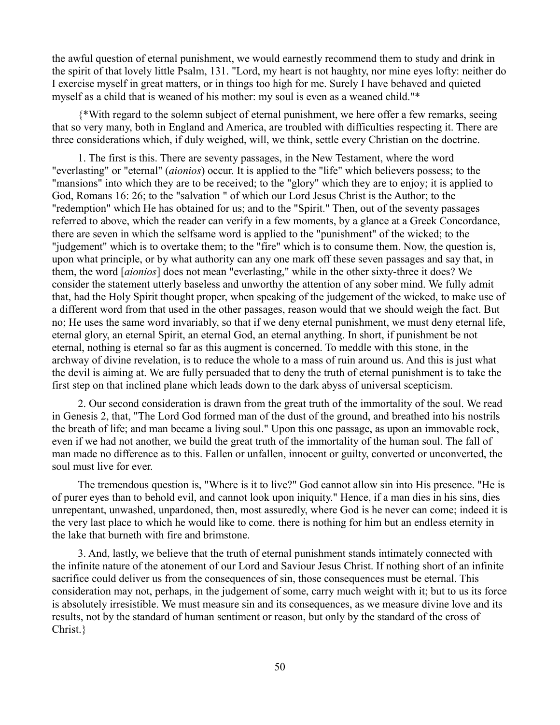the awful question of eternal punishment, we would earnestly recommend them to study and drink in the spirit of that lovely little Psalm, 131. "Lord, my heart is not haughty, nor mine eyes lofty: neither do I exercise myself in great matters, or in things too high for me. Surely I have behaved and quieted myself as a child that is weaned of his mother: my soul is even as a weaned child."\*

{\*With regard to the solemn subject of eternal punishment, we here offer a few remarks, seeing that so very many, both in England and America, are troubled with difficulties respecting it. There are three considerations which, if duly weighed, will, we think, settle every Christian on the doctrine.

1. The first is this. There are seventy passages, in the New Testament, where the word "everlasting" or "eternal" (*aionios*) occur. It is applied to the "life" which believers possess; to the "mansions" into which they are to be received; to the "glory" which they are to enjoy; it is applied to God, Romans 16: 26; to the "salvation " of which our Lord Jesus Christ is the Author; to the "redemption" which He has obtained for us; and to the "Spirit." Then, out of the seventy passages referred to above, which the reader can verify in a few moments, by a glance at a Greek Concordance, there are seven in which the selfsame word is applied to the "punishment" of the wicked; to the "judgement" which is to overtake them; to the "fire" which is to consume them. Now, the question is, upon what principle, or by what authority can any one mark off these seven passages and say that, in them, the word [*aionios*] does not mean "everlasting," while in the other sixty-three it does? We consider the statement utterly baseless and unworthy the attention of any sober mind. We fully admit that, had the Holy Spirit thought proper, when speaking of the judgement of the wicked, to make use of a different word from that used in the other passages, reason would that we should weigh the fact. But no; He uses the same word invariably, so that if we deny eternal punishment, we must deny eternal life, eternal glory, an eternal Spirit, an eternal God, an eternal anything. In short, if punishment be not eternal, nothing is eternal so far as this augment is concerned. To meddle with this stone, in the archway of divine revelation, is to reduce the whole to a mass of ruin around us. And this is just what the devil is aiming at. We are fully persuaded that to deny the truth of eternal punishment is to take the first step on that inclined plane which leads down to the dark abyss of universal scepticism.

2. Our second consideration is drawn from the great truth of the immortality of the soul. We read in Genesis 2, that, "The Lord God formed man of the dust of the ground, and breathed into his nostrils the breath of life; and man became a living soul." Upon this one passage, as upon an immovable rock, even if we had not another, we build the great truth of the immortality of the human soul. The fall of man made no difference as to this. Fallen or unfallen, innocent or guilty, converted or unconverted, the soul must live for ever.

The tremendous question is, "Where is it to live?" God cannot allow sin into His presence. "He is of purer eyes than to behold evil, and cannot look upon iniquity." Hence, if a man dies in his sins, dies unrepentant, unwashed, unpardoned, then, most assuredly, where God is he never can come; indeed it is the very last place to which he would like to come. there is nothing for him but an endless eternity in the lake that burneth with fire and brimstone.

3. And, lastly, we believe that the truth of eternal punishment stands intimately connected with the infinite nature of the atonement of our Lord and Saviour Jesus Christ. If nothing short of an infinite sacrifice could deliver us from the consequences of sin, those consequences must be eternal. This consideration may not, perhaps, in the judgement of some, carry much weight with it; but to us its force is absolutely irresistible. We must measure sin and its consequences, as we measure divine love and its results, not by the standard of human sentiment or reason, but only by the standard of the cross of Christ.}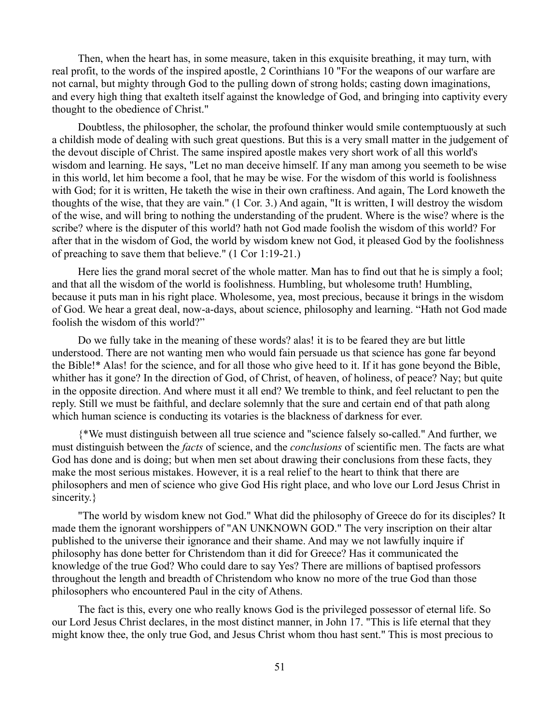Then, when the heart has, in some measure, taken in this exquisite breathing, it may turn, with real profit, to the words of the inspired apostle, 2 Corinthians 10 "For the weapons of our warfare are not carnal, but mighty through God to the pulling down of strong holds; casting down imaginations, and every high thing that exalteth itself against the knowledge of God, and bringing into captivity every thought to the obedience of Christ."

Doubtless, the philosopher, the scholar, the profound thinker would smile contemptuously at such a childish mode of dealing with such great questions. But this is a very small matter in the judgement of the devout disciple of Christ. The same inspired apostle makes very short work of all this world's wisdom and learning. He says, "Let no man deceive himself. If any man among you seemeth to be wise in this world, let him become a fool, that he may be wise. For the wisdom of this world is foolishness with God; for it is written, He taketh the wise in their own craftiness. And again, The Lord knoweth the thoughts of the wise, that they are vain." (1 Cor. 3.) And again, "It is written, I will destroy the wisdom of the wise, and will bring to nothing the understanding of the prudent. Where is the wise? where is the scribe? where is the disputer of this world? hath not God made foolish the wisdom of this world? For after that in the wisdom of God, the world by wisdom knew not God, it pleased God by the foolishness of preaching to save them that believe." (1 Cor 1:19-21.)

Here lies the grand moral secret of the whole matter. Man has to find out that he is simply a fool; and that all the wisdom of the world is foolishness. Humbling, but wholesome truth! Humbling, because it puts man in his right place. Wholesome, yea, most precious, because it brings in the wisdom of God. We hear a great deal, now-a-days, about science, philosophy and learning. "Hath not God made foolish the wisdom of this world?"

Do we fully take in the meaning of these words? alas! it is to be feared they are but little understood. There are not wanting men who would fain persuade us that science has gone far beyond the Bible!\* Alas! for the science, and for all those who give heed to it. If it has gone beyond the Bible, whither has it gone? In the direction of God, of Christ, of heaven, of holiness, of peace? Nay; but quite in the opposite direction. And where must it all end? We tremble to think, and feel reluctant to pen the reply. Still we must be faithful, and declare solemnly that the sure and certain end of that path along which human science is conducting its votaries is the blackness of darkness for ever.

{\*We must distinguish between all true science and "science falsely so-called." And further, we must distinguish between the *facts* of science, and the *conclusions* of scientific men. The facts are what God has done and is doing; but when men set about drawing their conclusions from these facts, they make the most serious mistakes. However, it is a real relief to the heart to think that there are philosophers and men of science who give God His right place, and who love our Lord Jesus Christ in sincerity.}

"The world by wisdom knew not God." What did the philosophy of Greece do for its disciples? It made them the ignorant worshippers of "AN UNKNOWN GOD." The very inscription on their altar published to the universe their ignorance and their shame. And may we not lawfully inquire if philosophy has done better for Christendom than it did for Greece? Has it communicated the knowledge of the true God? Who could dare to say Yes? There are millions of baptised professors throughout the length and breadth of Christendom who know no more of the true God than those philosophers who encountered Paul in the city of Athens.

The fact is this, every one who really knows God is the privileged possessor of eternal life. So our Lord Jesus Christ declares, in the most distinct manner, in John 17. "This is life eternal that they might know thee, the only true God, and Jesus Christ whom thou hast sent." This is most precious to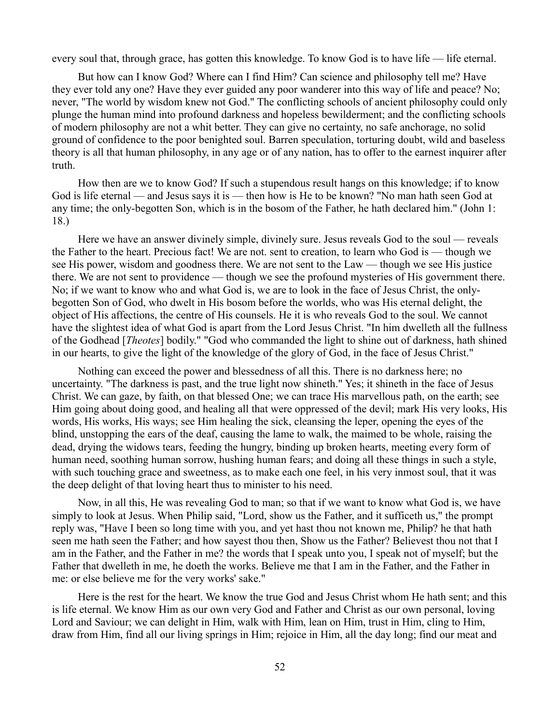every soul that, through grace, has gotten this knowledge. To know God is to have life — life eternal.

But how can I know God? Where can I find Him? Can science and philosophy tell me? Have they ever told any one? Have they ever guided any poor wanderer into this way of life and peace? No; never, "The world by wisdom knew not God." The conflicting schools of ancient philosophy could only plunge the human mind into profound darkness and hopeless bewilderment; and the conflicting schools of modern philosophy are not a whit better. They can give no certainty, no safe anchorage, no solid ground of confidence to the poor benighted soul. Barren speculation, torturing doubt, wild and baseless theory is all that human philosophy, in any age or of any nation, has to offer to the earnest inquirer after truth.

How then are we to know God? If such a stupendous result hangs on this knowledge; if to know God is life eternal — and Jesus says it is — then how is He to be known? "No man hath seen God at any time; the only-begotten Son, which is in the bosom of the Father, he hath declared him." (John 1: 18.)

Here we have an answer divinely simple, divinely sure. Jesus reveals God to the soul — reveals the Father to the heart. Precious fact! We are not. sent to creation, to learn who God is — though we see His power, wisdom and goodness there. We are not sent to the Law — though we see His justice there. We are not sent to providence — though we see the profound mysteries of His government there. No; if we want to know who and what God is, we are to look in the face of Jesus Christ, the onlybegotten Son of God, who dwelt in His bosom before the worlds, who was His eternal delight, the object of His affections, the centre of His counsels. He it is who reveals God to the soul. We cannot have the slightest idea of what God is apart from the Lord Jesus Christ. "In him dwelleth all the fullness of the Godhead [*Theotes*] bodily." "God who commanded the light to shine out of darkness, hath shined in our hearts, to give the light of the knowledge of the glory of God, in the face of Jesus Christ."

Nothing can exceed the power and blessedness of all this. There is no darkness here; no uncertainty. "The darkness is past, and the true light now shineth." Yes; it shineth in the face of Jesus Christ. We can gaze, by faith, on that blessed One; we can trace His marvellous path, on the earth; see Him going about doing good, and healing all that were oppressed of the devil; mark His very looks, His words, His works, His ways; see Him healing the sick, cleansing the leper, opening the eyes of the blind, unstopping the ears of the deaf, causing the lame to walk, the maimed to be whole, raising the dead, drying the widows tears, feeding the hungry, binding up broken hearts, meeting every form of human need, soothing human sorrow, hushing human fears; and doing all these things in such a style, with such touching grace and sweetness, as to make each one feel, in his very inmost soul, that it was the deep delight of that loving heart thus to minister to his need.

Now, in all this, He was revealing God to man; so that if we want to know what God is, we have simply to look at Jesus. When Philip said, "Lord, show us the Father, and it sufficeth us," the prompt reply was, "Have I been so long time with you, and yet hast thou not known me, Philip? he that hath seen me hath seen the Father; and how sayest thou then, Show us the Father? Believest thou not that I am in the Father, and the Father in me? the words that I speak unto you, I speak not of myself; but the Father that dwelleth in me, he doeth the works. Believe me that I am in the Father, and the Father in me: or else believe me for the very works' sake."

Here is the rest for the heart. We know the true God and Jesus Christ whom He hath sent; and this is life eternal. We know Him as our own very God and Father and Christ as our own personal, loving Lord and Saviour; we can delight in Him, walk with Him, lean on Him, trust in Him, cling to Him, draw from Him, find all our living springs in Him; rejoice in Him, all the day long; find our meat and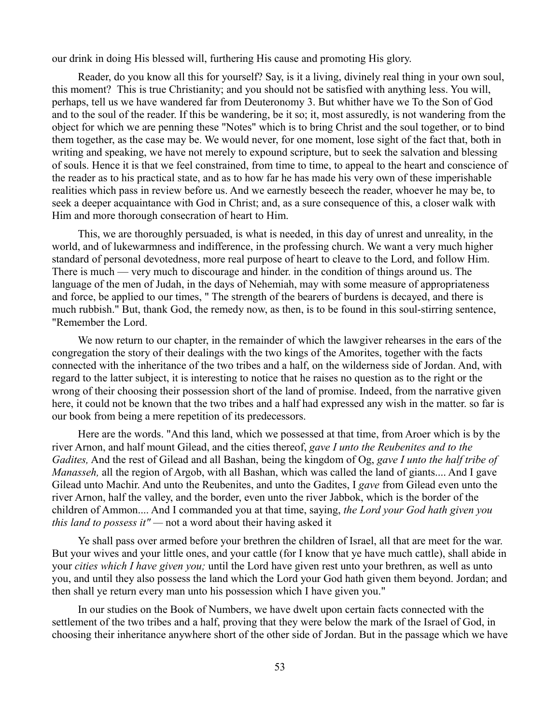our drink in doing His blessed will, furthering His cause and promoting His glory.

Reader, do you know all this for yourself? Say, is it a living, divinely real thing in your own soul, this moment? This is true Christianity; and you should not be satisfied with anything less. You will, perhaps, tell us we have wandered far from Deuteronomy 3. But whither have we To the Son of God and to the soul of the reader. If this be wandering, be it so; it, most assuredly, is not wandering from the object for which we are penning these "Notes" which is to bring Christ and the soul together, or to bind them together, as the case may be. We would never, for one moment, lose sight of the fact that, both in writing and speaking, we have not merely to expound scripture, but to seek the salvation and blessing of souls. Hence it is that we feel constrained, from time to time, to appeal to the heart and conscience of the reader as to his practical state, and as to how far he has made his very own of these imperishable realities which pass in review before us. And we earnestly beseech the reader, whoever he may be, to seek a deeper acquaintance with God in Christ; and, as a sure consequence of this, a closer walk with Him and more thorough consecration of heart to Him.

This, we are thoroughly persuaded, is what is needed, in this day of unrest and unreality, in the world, and of lukewarmness and indifference, in the professing church. We want a very much higher standard of personal devotedness, more real purpose of heart to cleave to the Lord, and follow Him. There is much — very much to discourage and hinder. in the condition of things around us. The language of the men of Judah, in the days of Nehemiah, may with some measure of appropriateness and force, be applied to our times, " The strength of the bearers of burdens is decayed, and there is much rubbish." But, thank God, the remedy now, as then, is to be found in this soul-stirring sentence, "Remember the Lord.

We now return to our chapter, in the remainder of which the lawgiver rehearses in the ears of the congregation the story of their dealings with the two kings of the Amorites, together with the facts connected with the inheritance of the two tribes and a half, on the wilderness side of Jordan. And, with regard to the latter subject, it is interesting to notice that he raises no question as to the right or the wrong of their choosing their possession short of the land of promise. Indeed, from the narrative given here, it could not be known that the two tribes and a half had expressed any wish in the matter. so far is our book from being a mere repetition of its predecessors.

Here are the words. "And this land, which we possessed at that time, from Aroer which is by the river Arnon, and half mount Gilead, and the cities thereof, *gave I unto the Reubenites and to the Gadites,* And the rest of Gilead and all Bashan, being the kingdom of Og, *gave I unto the half tribe of Manasseh,* all the region of Argob, with all Bashan, which was called the land of giants.... And I gave Gilead unto Machir. And unto the Reubenites, and unto the Gadites, I *gave* from Gilead even unto the river Arnon, half the valley, and the border, even unto the river Jabbok, which is the border of the children of Ammon.... And I commanded you at that time, saying, *the Lord your God hath given you this land to possess it" —* not a word about their having asked it

Ye shall pass over armed before your brethren the children of Israel, all that are meet for the war. But your wives and your little ones, and your cattle (for I know that ye have much cattle), shall abide in your *cities which I have given you;* until the Lord have given rest unto your brethren, as well as unto you, and until they also possess the land which the Lord your God hath given them beyond. Jordan; and then shall ye return every man unto his possession which I have given you."

In our studies on the Book of Numbers, we have dwelt upon certain facts connected with the settlement of the two tribes and a half, proving that they were below the mark of the Israel of God, in choosing their inheritance anywhere short of the other side of Jordan. But in the passage which we have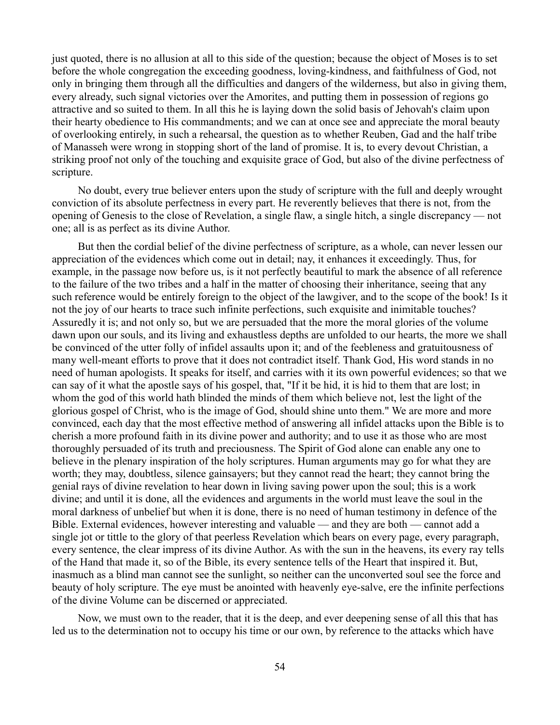just quoted, there is no allusion at all to this side of the question; because the object of Moses is to set before the whole congregation the exceeding goodness, loving-kindness, and faithfulness of God, not only in bringing them through all the difficulties and dangers of the wilderness, but also in giving them, every already, such signal victories over the Amorites, and putting them in possession of regions go attractive and so suited to them. In all this he is laying down the solid basis of Jehovah's claim upon their hearty obedience to His commandments; and we can at once see and appreciate the moral beauty of overlooking entirely, in such a rehearsal, the question as to whether Reuben, Gad and the half tribe of Manasseh were wrong in stopping short of the land of promise. It is, to every devout Christian, a striking proof not only of the touching and exquisite grace of God, but also of the divine perfectness of scripture.

No doubt, every true believer enters upon the study of scripture with the full and deeply wrought conviction of its absolute perfectness in every part. He reverently believes that there is not, from the opening of Genesis to the close of Revelation, a single flaw, a single hitch, a single discrepancy — not one; all is as perfect as its divine Author.

But then the cordial belief of the divine perfectness of scripture, as a whole, can never lessen our appreciation of the evidences which come out in detail; nay, it enhances it exceedingly. Thus, for example, in the passage now before us, is it not perfectly beautiful to mark the absence of all reference to the failure of the two tribes and a half in the matter of choosing their inheritance, seeing that any such reference would be entirely foreign to the object of the lawgiver, and to the scope of the book! Is it not the joy of our hearts to trace such infinite perfections, such exquisite and inimitable touches? Assuredly it is; and not only so, but we are persuaded that the more the moral glories of the volume dawn upon our souls, and its living and exhaustless depths are unfolded to our hearts, the more we shall be convinced of the utter folly of infidel assaults upon it; and of the feebleness and gratuitousness of many well-meant efforts to prove that it does not contradict itself. Thank God, His word stands in no need of human apologists. It speaks for itself, and carries with it its own powerful evidences; so that we can say of it what the apostle says of his gospel, that, "If it be hid, it is hid to them that are lost; in whom the god of this world hath blinded the minds of them which believe not, lest the light of the glorious gospel of Christ, who is the image of God, should shine unto them." We are more and more convinced, each day that the most effective method of answering all infidel attacks upon the Bible is to cherish a more profound faith in its divine power and authority; and to use it as those who are most thoroughly persuaded of its truth and preciousness. The Spirit of God alone can enable any one to believe in the plenary inspiration of the holy scriptures. Human arguments may go for what they are worth; they may, doubtless, silence gainsayers; but they cannot read the heart; they cannot bring the genial rays of divine revelation to hear down in living saving power upon the soul; this is a work divine; and until it is done, all the evidences and arguments in the world must leave the soul in the moral darkness of unbelief but when it is done, there is no need of human testimony in defence of the Bible. External evidences, however interesting and valuable — and they are both — cannot add a single jot or tittle to the glory of that peerless Revelation which bears on every page, every paragraph, every sentence, the clear impress of its divine Author. As with the sun in the heavens, its every ray tells of the Hand that made it, so of the Bible, its every sentence tells of the Heart that inspired it. But, inasmuch as a blind man cannot see the sunlight, so neither can the unconverted soul see the force and beauty of holy scripture. The eye must be anointed with heavenly eye-salve, ere the infinite perfections of the divine Volume can be discerned or appreciated.

Now, we must own to the reader, that it is the deep, and ever deepening sense of all this that has led us to the determination not to occupy his time or our own, by reference to the attacks which have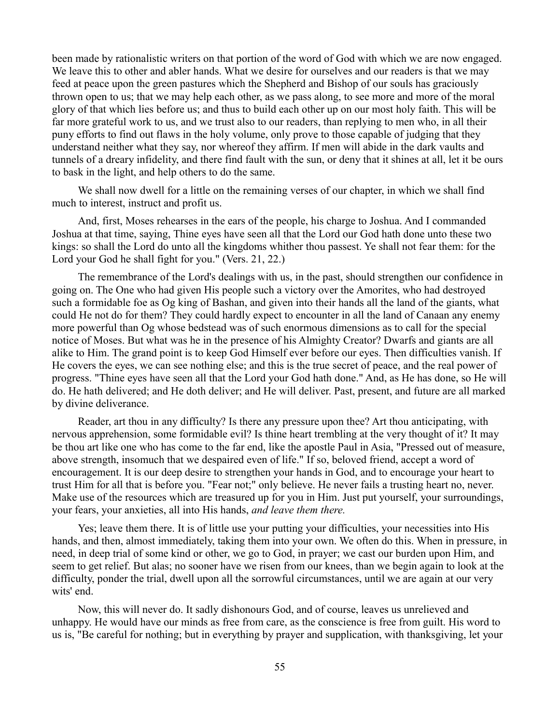been made by rationalistic writers on that portion of the word of God with which we are now engaged. We leave this to other and abler hands. What we desire for ourselves and our readers is that we may feed at peace upon the green pastures which the Shepherd and Bishop of our souls has graciously thrown open to us; that we may help each other, as we pass along, to see more and more of the moral glory of that which lies before us; and thus to build each other up on our most holy faith. This will be far more grateful work to us, and we trust also to our readers, than replying to men who, in all their puny efforts to find out flaws in the holy volume, only prove to those capable of judging that they understand neither what they say, nor whereof they affirm. If men will abide in the dark vaults and tunnels of a dreary infidelity, and there find fault with the sun, or deny that it shines at all, let it be ours to bask in the light, and help others to do the same.

We shall now dwell for a little on the remaining verses of our chapter, in which we shall find much to interest, instruct and profit us.

And, first, Moses rehearses in the ears of the people, his charge to Joshua. And I commanded Joshua at that time, saying, Thine eyes have seen all that the Lord our God hath done unto these two kings: so shall the Lord do unto all the kingdoms whither thou passest. Ye shall not fear them: for the Lord your God he shall fight for you." (Vers. 21, 22.)

The remembrance of the Lord's dealings with us, in the past, should strengthen our confidence in going on. The One who had given His people such a victory over the Amorites, who had destroyed such a formidable foe as Og king of Bashan, and given into their hands all the land of the giants, what could He not do for them? They could hardly expect to encounter in all the land of Canaan any enemy more powerful than Og whose bedstead was of such enormous dimensions as to call for the special notice of Moses. But what was he in the presence of his Almighty Creator? Dwarfs and giants are all alike to Him. The grand point is to keep God Himself ever before our eyes. Then difficulties vanish. If He covers the eyes, we can see nothing else; and this is the true secret of peace, and the real power of progress. "Thine eyes have seen all that the Lord your God hath done." And, as He has done, so He will do. He hath delivered; and He doth deliver; and He will deliver. Past, present, and future are all marked by divine deliverance.

Reader, art thou in any difficulty? Is there any pressure upon thee? Art thou anticipating, with nervous apprehension, some formidable evil? Is thine heart trembling at the very thought of it? It may be thou art like one who has come to the far end, like the apostle Paul in Asia, "Pressed out of measure, above strength, insomuch that we despaired even of life." If so, beloved friend, accept a word of encouragement. It is our deep desire to strengthen your hands in God, and to encourage your heart to trust Him for all that is before you. "Fear not;" only believe. He never fails a trusting heart no, never. Make use of the resources which are treasured up for you in Him. Just put yourself, your surroundings, your fears, your anxieties, all into His hands, *and leave them there.*

Yes; leave them there. It is of little use your putting your difficulties, your necessities into His hands, and then, almost immediately, taking them into your own. We often do this. When in pressure, in need, in deep trial of some kind or other, we go to God, in prayer; we cast our burden upon Him, and seem to get relief. But alas; no sooner have we risen from our knees, than we begin again to look at the difficulty, ponder the trial, dwell upon all the sorrowful circumstances, until we are again at our very wits' end.

Now, this will never do. It sadly dishonours God, and of course, leaves us unrelieved and unhappy. He would have our minds as free from care, as the conscience is free from guilt. His word to us is, "Be careful for nothing; but in everything by prayer and supplication, with thanksgiving, let your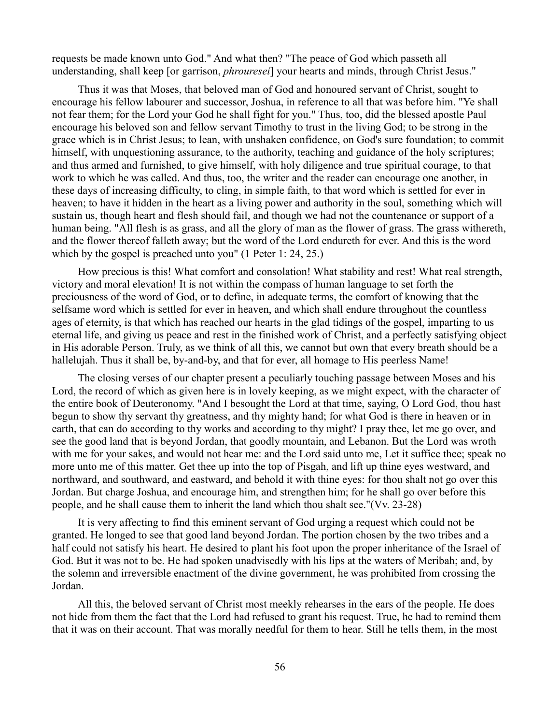requests be made known unto God." And what then? "The peace of God which passeth all understanding, shall keep [or garrison, *phrouresei*] your hearts and minds, through Christ Jesus."

Thus it was that Moses, that beloved man of God and honoured servant of Christ, sought to encourage his fellow labourer and successor, Joshua, in reference to all that was before him. "Ye shall not fear them; for the Lord your God he shall fight for you." Thus, too, did the blessed apostle Paul encourage his beloved son and fellow servant Timothy to trust in the living God; to be strong in the grace which is in Christ Jesus; to lean, with unshaken confidence, on God's sure foundation; to commit himself, with unquestioning assurance, to the authority, teaching and guidance of the holy scriptures; and thus armed and furnished, to give himself, with holy diligence and true spiritual courage, to that work to which he was called. And thus, too, the writer and the reader can encourage one another, in these days of increasing difficulty, to cling, in simple faith, to that word which is settled for ever in heaven; to have it hidden in the heart as a living power and authority in the soul, something which will sustain us, though heart and flesh should fail, and though we had not the countenance or support of a human being. "All flesh is as grass, and all the glory of man as the flower of grass. The grass withereth, and the flower thereof falleth away; but the word of the Lord endureth for ever. And this is the word which by the gospel is preached unto you" (1 Peter 1: 24, 25.)

How precious is this! What comfort and consolation! What stability and rest! What real strength, victory and moral elevation! It is not within the compass of human language to set forth the preciousness of the word of God, or to define, in adequate terms, the comfort of knowing that the selfsame word which is settled for ever in heaven, and which shall endure throughout the countless ages of eternity, is that which has reached our hearts in the glad tidings of the gospel, imparting to us eternal life, and giving us peace and rest in the finished work of Christ, and a perfectly satisfying object in His adorable Person. Truly, as we think of all this, we cannot but own that every breath should be a hallelujah. Thus it shall be, by-and-by, and that for ever, all homage to His peerless Name!

The closing verses of our chapter present a peculiarly touching passage between Moses and his Lord, the record of which as given here is in lovely keeping, as we might expect, with the character of the entire book of Deuteronomy. "And I besought the Lord at that time, saying, O Lord God, thou hast begun to show thy servant thy greatness, and thy mighty hand; for what God is there in heaven or in earth, that can do according to thy works and according to thy might? I pray thee, let me go over, and see the good land that is beyond Jordan, that goodly mountain, and Lebanon. But the Lord was wroth with me for your sakes, and would not hear me: and the Lord said unto me, Let it suffice thee; speak no more unto me of this matter. Get thee up into the top of Pisgah, and lift up thine eyes westward, and northward, and southward, and eastward, and behold it with thine eyes: for thou shalt not go over this Jordan. But charge Joshua, and encourage him, and strengthen him; for he shall go over before this people, and he shall cause them to inherit the land which thou shalt see."(Vv. 23-28)

It is very affecting to find this eminent servant of God urging a request which could not be granted. He longed to see that good land beyond Jordan. The portion chosen by the two tribes and a half could not satisfy his heart. He desired to plant his foot upon the proper inheritance of the Israel of God. But it was not to be. He had spoken unadvisedly with his lips at the waters of Meribah; and, by the solemn and irreversible enactment of the divine government, he was prohibited from crossing the Jordan.

All this, the beloved servant of Christ most meekly rehearses in the ears of the people. He does not hide from them the fact that the Lord had refused to grant his request. True, he had to remind them that it was on their account. That was morally needful for them to hear. Still he tells them, in the most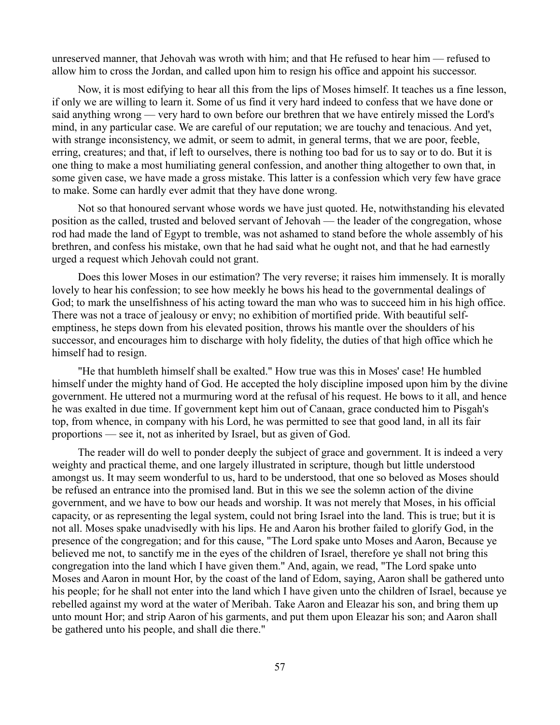unreserved manner, that Jehovah was wroth with him; and that He refused to hear him — refused to allow him to cross the Jordan, and called upon him to resign his office and appoint his successor.

Now, it is most edifying to hear all this from the lips of Moses himself. It teaches us a fine lesson, if only we are willing to learn it. Some of us find it very hard indeed to confess that we have done or said anything wrong — very hard to own before our brethren that we have entirely missed the Lord's mind, in any particular case. We are careful of our reputation; we are touchy and tenacious. And yet, with strange inconsistency, we admit, or seem to admit, in general terms, that we are poor, feeble, erring, creatures; and that, if left to ourselves, there is nothing too bad for us to say or to do. But it is one thing to make a most humiliating general confession, and another thing altogether to own that, in some given case, we have made a gross mistake. This latter is a confession which very few have grace to make. Some can hardly ever admit that they have done wrong.

Not so that honoured servant whose words we have just quoted. He, notwithstanding his elevated position as the called, trusted and beloved servant of Jehovah — the leader of the congregation, whose rod had made the land of Egypt to tremble, was not ashamed to stand before the whole assembly of his brethren, and confess his mistake, own that he had said what he ought not, and that he had earnestly urged a request which Jehovah could not grant.

Does this lower Moses in our estimation? The very reverse; it raises him immensely. It is morally lovely to hear his confession; to see how meekly he bows his head to the governmental dealings of God; to mark the unselfishness of his acting toward the man who was to succeed him in his high office. There was not a trace of jealousy or envy; no exhibition of mortified pride. With beautiful selfemptiness, he steps down from his elevated position, throws his mantle over the shoulders of his successor, and encourages him to discharge with holy fidelity, the duties of that high office which he himself had to resign.

"He that humbleth himself shall be exalted." How true was this in Moses' case! He humbled himself under the mighty hand of God. He accepted the holy discipline imposed upon him by the divine government. He uttered not a murmuring word at the refusal of his request. He bows to it all, and hence he was exalted in due time. If government kept him out of Canaan, grace conducted him to Pisgah's top, from whence, in company with his Lord, he was permitted to see that good land, in all its fair proportions — see it, not as inherited by Israel, but as given of God.

The reader will do well to ponder deeply the subject of grace and government. It is indeed a very weighty and practical theme, and one largely illustrated in scripture, though but little understood amongst us. It may seem wonderful to us, hard to be understood, that one so beloved as Moses should be refused an entrance into the promised land. But in this we see the solemn action of the divine government, and we have to bow our heads and worship. It was not merely that Moses, in his official capacity, or as representing the legal system, could not bring Israel into the land. This is true; but it is not all. Moses spake unadvisedly with his lips. He and Aaron his brother failed to glorify God, in the presence of the congregation; and for this cause, "The Lord spake unto Moses and Aaron, Because ye believed me not, to sanctify me in the eyes of the children of Israel, therefore ye shall not bring this congregation into the land which I have given them." And, again, we read, "The Lord spake unto Moses and Aaron in mount Hor, by the coast of the land of Edom, saying, Aaron shall be gathered unto his people; for he shall not enter into the land which I have given unto the children of Israel, because ye rebelled against my word at the water of Meribah. Take Aaron and Eleazar his son, and bring them up unto mount Hor; and strip Aaron of his garments, and put them upon Eleazar his son; and Aaron shall be gathered unto his people, and shall die there."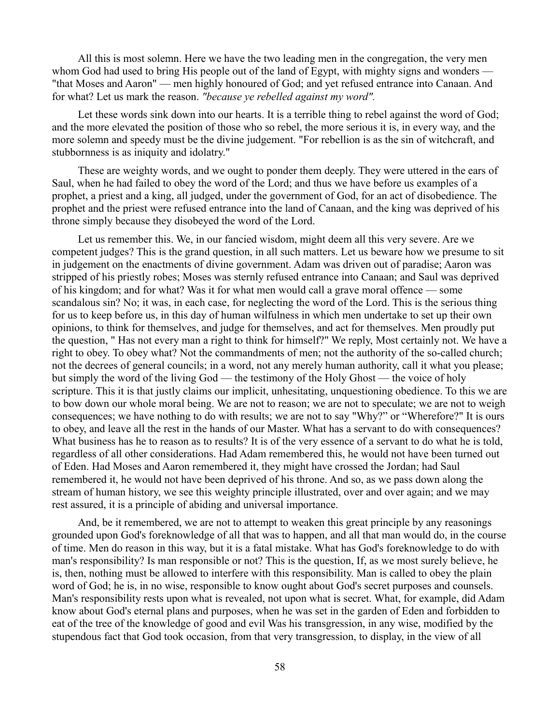All this is most solemn. Here we have the two leading men in the congregation, the very men whom God had used to bring His people out of the land of Egypt, with mighty signs and wonders — "that Moses and Aaron" — men highly honoured of God; and yet refused entrance into Canaan. And for what? Let us mark the reason. *"because ye rebelled against my word".*

Let these words sink down into our hearts. It is a terrible thing to rebel against the word of God; and the more elevated the position of those who so rebel, the more serious it is, in every way, and the more solemn and speedy must be the divine judgement. "For rebellion is as the sin of witchcraft, and stubbornness is as iniquity and idolatry."

These are weighty words, and we ought to ponder them deeply. They were uttered in the ears of Saul, when he had failed to obey the word of the Lord; and thus we have before us examples of a prophet, a priest and a king, all judged, under the government of God, for an act of disobedience. The prophet and the priest were refused entrance into the land of Canaan, and the king was deprived of his throne simply because they disobeyed the word of the Lord.

Let us remember this. We, in our fancied wisdom, might deem all this very severe. Are we competent judges? This is the grand question, in all such matters. Let us beware how we presume to sit in judgement on the enactments of divine government. Adam was driven out of paradise; Aaron was stripped of his priestly robes; Moses was sternly refused entrance into Canaan; and Saul was deprived of his kingdom; and for what? Was it for what men would call a grave moral offence — some scandalous sin? No; it was, in each case, for neglecting the word of the Lord. This is the serious thing for us to keep before us, in this day of human wilfulness in which men undertake to set up their own opinions, to think for themselves, and judge for themselves, and act for themselves. Men proudly put the question, " Has not every man a right to think for himself?" We reply, Most certainly not. We have a right to obey. To obey what? Not the commandments of men; not the authority of the so-called church; not the decrees of general councils; in a word, not any merely human authority, call it what you please; but simply the word of the living God — the testimony of the Holy Ghost — the voice of holy scripture. This it is that justly claims our implicit, unhesitating, unquestioning obedience. To this we are to bow down our whole moral being. We are not to reason; we are not to speculate; we are not to weigh consequences; we have nothing to do with results; we are not to say "Why?" or "Wherefore?" It is ours to obey, and leave all the rest in the hands of our Master. What has a servant to do with consequences? What business has he to reason as to results? It is of the very essence of a servant to do what he is told, regardless of all other considerations. Had Adam remembered this, he would not have been turned out of Eden. Had Moses and Aaron remembered it, they might have crossed the Jordan; had Saul remembered it, he would not have been deprived of his throne. And so, as we pass down along the stream of human history, we see this weighty principle illustrated, over and over again; and we may rest assured, it is a principle of abiding and universal importance.

And, be it remembered, we are not to attempt to weaken this great principle by any reasonings grounded upon God's foreknowledge of all that was to happen, and all that man would do, in the course of time. Men do reason in this way, but it is a fatal mistake. What has God's foreknowledge to do with man's responsibility? Is man responsible or not? This is the question, If, as we most surely believe, he is, then, nothing must be allowed to interfere with this responsibility. Man is called to obey the plain word of God; he is, in no wise, responsible to know ought about God's secret purposes and counsels. Man's responsibility rests upon what is revealed, not upon what is secret. What, for example, did Adam know about God's eternal plans and purposes, when he was set in the garden of Eden and forbidden to eat of the tree of the knowledge of good and evil Was his transgression, in any wise, modified by the stupendous fact that God took occasion, from that very transgression, to display, in the view of all